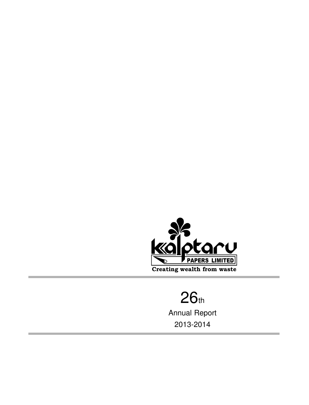

 $26<sub>th</sub>$ Annual Report 2013-2014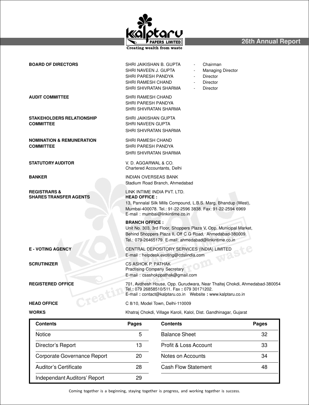

# **26th Annual Report**

| <b>BOARD OF DIRECTORS</b> |
|---------------------------|
|---------------------------|

STAKEHOLDERS RELATIONSHIP SHRI JAIKISHAN GUPTA **COMMITTEE** SHRI NAVEEN GUPTA

**NOMINATION & REMUNERATION SHRI RAMESH CHAND COMMITTEE** SHRI PARESH PANDYA

**REGISTRARS & LINK INTIME INDIA PVT. LTD.**<br>SHARES TRANSFER AGENTS HEAD OFFICE : **SHARES TRANSFER AGENTS** 

| <b>BOARD OF DIRECTORS</b> | SHRI JAIKISHAN B. GUPTA |        | Chairman          |
|---------------------------|-------------------------|--------|-------------------|
|                           | SHRI NAVEEN J. GUPTA    |        | Managing Director |
|                           | SHRI PARESH PANDYA      |        | Director          |
|                           | SHRI RAMESH CHAND       | $\sim$ | Director          |
|                           | SHRI SHIVRATAN SHARMA   |        | Director          |

**AUDIT COMMITTEE** SHRI RAMESH CHAND SHRI PARESH PANDYA SHRI SHIVRATAN SHARMA

SHRI SHIVRATAN SHARMA

SHRI SHIVRATAN SHARMA

**STATUTORY AUDITOR** V. D. AGGARWAL & CO. Chartered Accountants, Delhi

**BANKER** INDIAN OVERSEAS BANK Stadium Road Branch, Ahmedabad

> 13, Pannalal Silk Mills Compound, L.B.S. Marg, Bhandup (West), Mumbai-400078. Tel.: 91-22-2596 3838. Fax: 91-22-2594 6969 E-mail : mumbai@linkintime.co.in

**BRANCH OFFICE :** Unit No. 303, 3rd Floor, Shoppers Plaza V, Opp. Municipal Market, Behind Shoppers Plaza II, Off C G Road, Ahmedabad-380009. Tel.: 079-26465179. E-mail: ahmedabad@linkintime.co.in

**E - VOTING AGENCY** CENTRAL DEPOSITORY SERVICES (INDIA) LIMITED E-mail : helpdesk.evoting@cdslindia.com

**SCRUTINIZER** CS ASHOK P. PATHAK Practising Company Secretary E-mail : csashokppathak@gmail.com

**REGISTERED OFFICE** 701, Avdhesh House, Opp. Gurudwara, Near Thaltej Chokdi, Ahmedabad-380054<br>Tel.: 079 26858510/511. Fax : 079 30171202.<br>**E-mail : contact@kalptaru.co.in** Website : www.kalptaru.co.in Tel.**:** 079 26858510/511. Fax **:** 079 30171202. E-mail **:** contact@kalptaru.co.in Website **:** www.kalptaru.co.in

**HEAD OFFICE** C 8/10, Model Town, Delhi-110009

**WORKS** Khatraj Chokdi, Village Karoli, Kalol, Dist. Gandhinagar, Gujarat

| <b>Contents</b>              | <b>Pages</b> | <b>Contents</b>       | <b>Pages</b> |
|------------------------------|--------------|-----------------------|--------------|
| Notice                       | 5            | <b>Balance Sheet</b>  | 32           |
| Director's Report<br>13      |              | Profit & Loss Account | 33           |
| Corporate Governance Report  | 20           | Notes on Accounts     | 34           |
| Auditor's Certificate        | 28           | Cash Flow Statement   | 48           |
| Independant Auditors' Report | 29           |                       |              |

Coming together is a beginning, staying together is progress, and working together is success.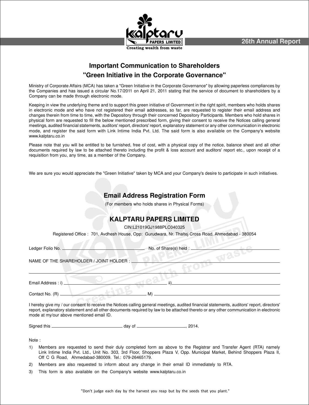

# **Important Communication to Shareholders "Green Initiative in the Corporate Governance"**

Ministry of Corporate Affairs (MCA) has taken a "Green Initiative in the Corporate Governance" by allowing paperless compliances by the Companies and has issued a circular No.17/2011 on April 21, 2011 stating that the service of document to shareholders by a Company can be made through electronic mode.

Keeping in view the underlying theme and to support this green initiative of Government in the right spirit, members who holds shares in electronic mode and who have not registered their email addresses, so far, are requested to register their email address and changes therein from time to time, with the Depository through their concerned Depository Participants. Members who hold shares in physical form are requested to fill the below mentioned prescribed form, giving their consent to receive the Notices calling general meetings, audited financial statements, auditors' report, directors' report, explanatory statement or any other communication in electronic mode, and register the said form with Link Intime India Pvt. Ltd. The said form is also available on the Company's website www.kalptaru.co.in

Please note that you will be entitled to be furnished, free of cost, with a physical copy of the notice, balance sheet and all other documents required by law to be attached thereto including the profit & loss account and auditors' report etc., upon receipt of a requisition from you, any time, as a member of the Company.

We are sure you would appreciate the "Green Initiative" taken by MCA and your Company's desire to participate in such initiatives.

# **Email Address Registration Form**

(For members who holds shares in Physical Forms)

# **KALPTARU PAPERS LIMITED**

CIN:L21019GJ1988PLC040325

Registered Office : 701, Avdhesh House, Opp: Gurudwara, Nr. Thaltej Cross Road, Ahmedabad - 380054

| Ledger Folio No. _                       | No. of Share(s) held : _                                                                                                                  |
|------------------------------------------|-------------------------------------------------------------------------------------------------------------------------------------------|
| NAME OF THE SHAREHOLDER / JOINT HOLDER : |                                                                                                                                           |
| Email Address: i)                        |                                                                                                                                           |
| Contact No. (R)                          | M <sub>1</sub>                                                                                                                            |
|                                          | I hereby give my / our consent to receive the Notices calling general meetings audited financial statements, auditors' report, directors' |

I hereby give my / our consent to receive the Notices calling general meetings, audited financial statements, auditors' report, directors' report, explanatory statement and all other documents required by law to be attached thereto or any other communication in electronic mode at my/our above mentioned email ID.

Signed this day of , 2014.

Note :

- 1) Members are requested to send their duly completed form as above to the Registrar and Transfer Agent (RTA) namely Link Intime India Pvt. Ltd., Unit No. 303, 3rd Floor, Shoppers Plaza V, Opp. Municipal Market, Behind Shoppers Plaza II, Off C G Road, Ahmedabad-380009. Tel.: 079-26465179.
- 2) Members are also requested to inform about any change in their email ID immediately to RTA.
- 3) This form is also available on the Company's website www.kalptaru.co.in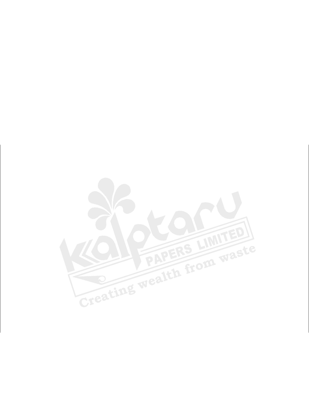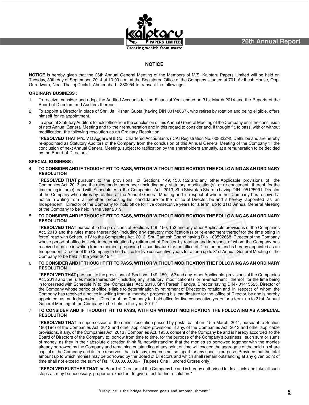

#### **NOTICE**

**NOTICE** is hereby given that the 26th Annual General Meeting of the Members of M/S. Kalptaru Papers Limited will be held on Tuesday, 30th day of September, 2014 at 10:00 a.m. at the Registered Office of the Company situated at 701, Avdhesh House, Opp. Gurudwara, Near Thaltej Chokdi, Ahmedabad - 380054 to transact the followings:

#### **ORDINARY BUSINESS :**

- 1. To receive, consider and adopt the Audited Accounts for the Financial Year ended on 31st March 2014 and the Reports of the Board of Directors and Auditors thereon.
- 2. To appoint a Director in place of Shri. Jai Kishan Gupta (having DIN 00148067), who retires by rotation and being eligible, offers himself for re-appointment.
- 3. To appoint Statutory Auditors to hold office from the conclusion of this Annual General Meeting of the Company until the conclusion of next Annual General Meeting and fix their remuneration and in this regard to consider and, if thought fit, to pass, with or without modification, the following resolution as an Ordinary Resolution:

**"RESOLVED THAT** M/s. V D Aggarwal & Co., Chartered Accountants (ICAI Registration No. 008332N), Delhi, be and are hereby re-appointed as Statutory Auditors of the Company from the conclusion of this Annual General Meeting of the Company till the conclusion of next Annual General Meeting, subject to ratification by the shareholders annually, at a remuneration to be decided by the Board of Directors."

#### **SPECIAL BUSINESS :**

#### 4. **TO CONSIDER AND IF THOUGHT FIT TO PASS, WITH OR WITHOUT MODIFICATION THE FOLLOWING AS AN ORDINARY RESOLUTION**

**"RESOLVED THAT** pursuant to the provisions of Sections 149, 150, 152 and any other Applicable provisions of the Companies Act, 2013 and the rules made thereunder (including any statutory modification(s) or re-enactment thereof for the time being in force) read with Schedule IV to the Companies Act, 2013, Shri Shivratan Sharma having DIN - 05125991, Director of the Company who retires by rotation at the Annual General Meeting and in respect of whom the Company has received a notice in writing from a member proposing his candidature for the office of Director, be and is hereby appointed as an Independent Director of the Company to hold office for five consecutive years for a term up to 31st Annual General Meeting of the Company to be held in the year 2019."

#### 5. **TO CONSIDER AND IF THOUGHT FIT TO PASS, WITH OR WITHOUT MODIFICATION THE FOLLOWING AS AN ORDINARY RESOLUTION**

**"RESOLVED THAT** pursuant to the provisions of Sections 149, 150, 152 and any other Applicable provisions of the Companies Act, 2013 and the rules made thereunder (including any statutory modification(s) or re-enactment thereof for the time being in force) read with Schedule IV to the Companies Act, 2013, Shri Ramesh Chand having DIN - 03592668, Director of the Company whose period of office is liable to determination by retirement of Director by rotation and in respect of whom the Company has received a notice in writing from a member proposing his candidature for the office of Director, be and is hereby appointed as an Independent Director of the Company to hold office for five consecutive years for a term up to 31st Annual General Meeting of the Company to be held in the year 2019."

#### 6. **TO CONSIDER AND IF THOUGHT FIT TO PASS, WITH OR WITHOUT MODIFICATION THE FOLLOWING AS AN ORDINARY RESOLUTION**

**"RESOLVED THAT** pursuant to the provisions of Sections 149, 150, 152 and any other Applicable provisions of the Companies Act, 2013 and the rules made thereunder (including any statutory modification(s) or re-enactment thereof for the time being in force) read with Schedule IV to the Companies Act, 2013, Shri Paresh Pandya, Director having DIN - 01415525, Director of the Company whose period of office is liable to determination by retirement of Director by rotation and in respect of whom the Company has received a notice in writing from a member proposing his candidature for the office of Director, be and is hereby appointed as an Independent Director of the Company to hold office for five consecutive years for a term up to 31st Annual General Meeting of the Company to be held in the year 2019."

#### 7. **TO CONSIDER AND IF THOUGHT FIT TO PASS, WITH OR WITHOUT MODIFICATION THE FOLLOWING AS A SPECIAL RESOLUTION**

**"RESOLVED THAT** in supersession of the earlier resolution passed by postal ballot on 15th March, 2011, pursuant to Section 180(1)(c) of the Companies Act, 2013 and other applicable provisions, if any, of the Companies Act, 2013 and other applicable provisions, if any, of the Companies Act, 2013 / Companies Act, 1956, consent of the Company be and is hereby accorded to the Board of Directors of the Company to borrow from time to time, for the purpose of the Company's business, such sum or sums of money, as they in their absolute discretion think fit, notwithstanding that the monies so borrowed together with the monies already borrowed by the Company and remaining outstanding at any point of time will exceed the aggregate of the paid-up share capital of the Company and its free reserves, that is to say, reserves not set apart for any specific purpose; Provided that the total amount up to which monies may be borrowed by the Board of Directors and which shall remain outstanding at any given point of time shall not exceed the sum of Rs. 100,00,00,000/- (Rupees One Hundred Crores only)."

**"RESOLVED FURTHER THAT** the Board of Directors of the Company be and is hereby authorised to do all acts and take all such steps as may be necessary, proper or expedient to give effect to this resolution."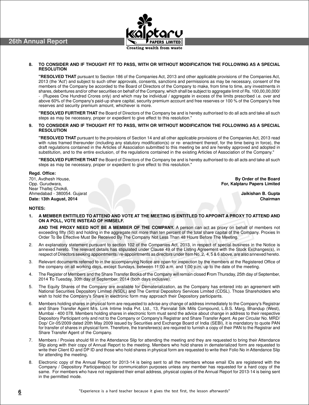

#### **8. TO CONSIDER AND IF THOUGHT FIT TO PASS, WITH OR WITHOUT MODIFICATION THE FOLLOWING AS A SPECIAL RESOLUTION**

**"RESOLVED THAT** pursuant to Section 186 of the Companies Act, 2013 and other applicable provisions of the Companies Act, 2013 (the 'Act') and subject to such other approvals, consents, sanctions and permissions as may be necessary, consent of the members of the Company be accorded to the Board of Directors of the Company to make, from time to time, any investments in shares, debentures and/or other securities on behalf of the Company, which shall be subject to aggregate limit of Rs. 100,00,00,000/ - (Rupees One Hundred Crores only) and which may be individual / aggregate in excess of the limits prescribed i.e. over and above 60% of the Company's paid-up share capital, security premium account and free reserves or 100 % of the Company's free reserves and security premium amount, whichever is more.

**"RESOLVED FURTHER THAT** the Board of Directors of the Company be and is hereby authorised to do all acts and take all such steps as may be necessary, proper or expedient to give effect to this resolution."

#### **9. TO CONSIDER AND IF THOUGHT FIT TO PASS, WITH OR WITHOUT MODIFICATION THE FOLLOWING AS A SPECIAL RESOLUTION**

**"RESOLVED THAT** pursuant to the provisions of Section 14 and all other applicable provisions of the Companies Act, 2013 read with rules framed thereunder (including any statutory modification(s) or re- enactment thereof, for the time being in force), the draft regulations contained in the Articles of Association submitted to this meeting be and are hereby approved and adopted in substitution, and to the entire exclusion, of the regulations contained in the existing Articles of Association of the Company."

**"RESOLVED FURTHER THAT** the Board of Directors of the Company be and is hereby authorised to do all acts and take all such steps as may be necessary, proper or expedient to give effect to this resolution."

#### **Regd. Office:**

701, Avdhesh House, **By Order of the Board** Near Thaltej Chokdi, Ahmedabad - 380054. Gujarat **Jaikishan B. Gupta Date: 13th August, 2014 Chairman**

**For, Kalptaru Papers Limited** 

#### **NOTES:**

**1. A MEMBER ENTITILED TO ATTEND AND VOTE AT THE MEETING IS ENTITLED TO APPOINT A PROXY TO ATTEND AND ON A POLL, VOTE INSTEAD OF HIMSELF.**

**AND THE PROXY NEED NOT BE A MEMBER OF THE COMPANY.** A person can act as proxy on behalf of members not exceeding fifty (50) and holding in the aggregate not more than ten percent of the total share capital of the Company. Proxies In Order To Be Effective Must Be Received By The Company Not Less Than 48 Hours Before The Meeting.

- 2. An explanatory statement pursuant to section 102 of the Companies Act, 2013, in respect of special business in the Notice is annexed hereto. The relevant details has stipulated under Clause 49 of the Listing Agreement with the Stock Exchanges(s), in respect of Directors seeking appointments / re-appointments as directors under Item No. 2, 4, 5 & 6 above, are also annexed hereto.
- 3. Relevant documents referred to in the accompanying Notice are open for inspection by the members at the Registered Office of the company on all working days, except Sundays, between 11:00 a.m. and 1:00 p.m. up to the date of the meeting.
- 4. The Register of Members and the Share Transfer Books of the Company will remain closed **F**rom Thursday, 25th day of September, 2014 **T**o Tuesday, 30th day of September, 2014 (both days inclusive).
- 5. The Equity Shares of the Company are available for Dematerialization, as the Company has entered into an agreement with National Securities Depository Limited (NSDL) and The Central Depository Services Limited (CDSL). Those Shareholders who wish to hold the Company's Share in electronic form may approach their Depository participants.
- 6. Members holding shares in physical form are requested to advise any change of address immediately to the Company's Registrar and Share Transfer Agent M/s. Link Intime India Pvt. Ltd., 13, Pannalal Silk Mills Compound, L.B.S. Marg, Bhandup (West), Mumbai - 400 078. Members holding shares in electronic form must send the advice about change in address to their respective Depository Participant only and not to the Company or Company's Registrar and Share Transfer Agent. As per Circular No. MRD/ Dop/ Cir-05/2009 dated 20th May 2009 issued by Securities and Exchange Board of India (SEBI), it is mandatory to quote PAN for transfer of shares in physical form. Therefore, the transferee(s) are required to furnish a copy of their PAN to the Registrar and Share Transfer Agent of the Company.
- 7. Members / Proxies should fill in the Attendance Slip for attending the meeting and they are requested to bring their Attendance Slip along with their copy of Annual Report to the meeting. Members who hold shares in dematerialized form are requested to write their Client ID and DP ID and those who hold shares in physical form are requested to write their Folio No in Attendance Slip for attending the meeting.
- 8. Electronic copy of the Annual Report for 2013-14 is being sent to all the members whose email IDs are registered with the Company / Depository Participants(s) for communication purposes unless any member has requested for a hard copy of the same. For members who have not registered their email address, physical copies of the Annual Report for 2013-14 is being sent in the permitted mode.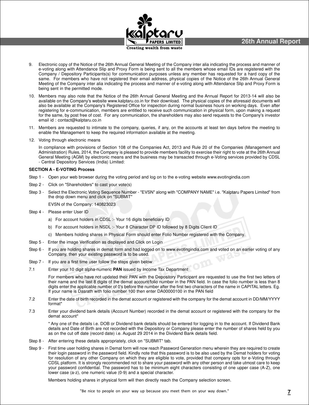

- 9. Electronic copy of the Notice of the 26th Annual General Meeting of the Company inter alia indicating the process and manner of e-voting along with Attendance Slip and Proxy Form is being sent to all the members whose email IDs are registered with the Company / Depository Participants(s) for communication purposes unless any member has requested for a hard copy of the same. For members who have not registered their email address, physical copies of the Notice of the 26th Annual General Meeting of the Company inter alia indicating the process and manner of e-voting along with Attendance Slip and Proxy Form is being sent in the permitted mode.
- 10. Members may also note that the Notice of the 26th Annual General Meeting and the Annual Report for 2013-14 will also be available on the Company's website www.kalptaru.co.in for their download. The physical copies of the aforesaid documents will also be available at the Company's Registered Office for inspection during normal business hours on working days. Even after registering for e-communication, members are entitled to receive such communication in physical form, upon making a request for the same, by post free of cost. For any communication, the shareholders may also send requests to the Company's investor email id : contact@kalptaru.co.in
- 11. Members are requested to intimate to the company, queries, if any, on the accounts at least ten days before the meeting to enable the Management to keep the required information available at the meeting.
- 12. Voting through electronic means

In compliance with provisions of Section 108 of the Companies Act, 2013 and Rule 20 of the Companies (Management and Administration) Rules, 2014, the Company is pleased to provide members facility to exercise their right to vote at the 26th Annual General Meeting (AGM) by electronic means and the business may be transacted through e-Voting services provided by CDSL - Central Depository Services (India) Limited:

#### **SECTION A - E-VOTING Process**

- Step 1 Open your web browser during the voting period and log on to the e-voting website www.evotingindia.com
- Step 2 Click on "Shareholders" to cast your vote(s)
- Step 3 Select the Electronic Voting Sequence Number "EVSN" along with "COMPANY NAME" i.e. "Kalptaru Papers Limited" from the drop down menu and click on "SUBMIT"

EVSN of the Company: 140823023

- Step 4 Please enter User ID
	- a) For account holders in CDSL :- Your 16 digits beneficiary ID
	- b) For account holders in NSDL :- Your 8 Character DP ID followed by 8 Digits Client ID
	- c) Members holding shares in Physical Form should enter Folio Number registered with the Company.
- Step 5 Enter the image Verification as displayed and Click on Login
- Step 6 If you are holding shares in demat form and had logged on to www.evotingindia.com and voted on an earlier voting of any Company, then your existing password is to be used.
- Step 7 If you are a first time user follow the steps given below
- 7.1 Enter your 10 digit alpha-numeric **PAN** issued by Income Tax Department

For members who have not updated their PAN with the Depository Participant are requested to use the first two letters of their name and the last 8 digits of the demat account/folio number in the PAN field. In case the folio number is less than 8 digits enter the applicable number of 0's before the number after the first two characters of the name in CAPITAL letters. Eg. If your name is Dasrath with folio number 100 then enter DA00000100 in the PAN field

- 7.2 Enter the date of birth recorded in the demat account or registered with the company for the demat account in DD/MM/YYYY format\*
- 7.3 Enter your dividend bank details (Account Number) recorded in the demat account or registered with the company for the demat account\*

\* Any one of the details i.e. DOB or Dividend bank details should be entered for logging in to the account. If Dividend Bank details and Date of Birth are not recorded with the Depository or Company please enter the number of shares held by you as on the cut off date (record date) i.e. August 29 2014 in the Dividend Bank details field.

- Step 8 After entering these details appropriately, click on "SUBMIT" tab.
- Step 9 First time user holding shares in Demat form will now reach Password Generation menu wherein they are required to create their login password in the password field. Kindly note that this password is to be also used by the Demat holders for voting for resolution of any other Company on which they are eligible to vote, provided that company opts for e-Voting through CDSL platform. It is strongly recommended not to share your password with any other person and take utmost care to keep your password confidential. The password has to be minimum eight characters consisting of one upper case (A-Z), one lower case (a-z), one numeric value (0-9) and a special character.

Members holding shares in physical form will then directly reach the Company selection screen.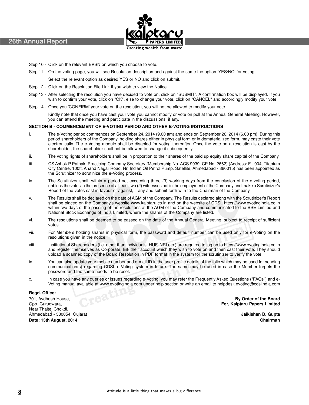# **26th Annual Report**



Step 10 - Click on the relevant EVSN on which you choose to vote.

Step 11 - On the voting page, you will see Resolution description and against the same the option 'YES/NO' for voting.

Select the relevant option as desired YES or NO and click on submit.

- Step 12 Click on the Resolution File Link if you wish to view the Notice.
- Step 13 After selecting the resolution you have decided to vote on, click on "SUBMIT". A confirmation box will be displayed. If you wish to confirm your vote, click on "OK", else to change your vote, click on "CANCEL" and accordingly modify your vote.
- Step 14 Once you 'CONFIRM' your vote on the resolution, you will not be allowed to modify your vote.

Kindly note that once you have cast your vote you cannot modify or vote on poll at the Annual General Meeting. However, you can attend the meeting and participate in the discussions, if any.

#### **SECTION B - COMMENCEMENT OF E-VOTING PERIOD AND OTHER E-VOTING INSTRUCTIONS**

- i. The e-Voting period commences on September 24, 2014 (9.00 am) and ends on September 26, 2014 (6.00 pm). During this period shareholders of the Company, holding shares either in physical form or in dematerialized form, may caste their vote electronically. The e-Voting module shall be disabled for voting thereafter. Once the vote on a resolution is cast by the shareholder, the shareholder shall not be allowed to change it subsequently.
- ii. The voting rights of shareholders shall be in proportion to their shares of the paid up equity share capital of the Company.
- iii. CS Ashok P Pathak, Practicing Company Secretary (Membership No. ACS 9939, CP No: 2662) (Address: F 904, Titanium City Centre, 100ft. Anand Nagar Road, Nr. Indian Oil Petrol Pump, Satellite, Ahmedabad - 380015) has been appointed as the Scrutinizer to scrutinize the e-Voting process.
- iv. The Scrutinizer shall, within a period not exceeding three (3) working days from the conclusion of the e-voting period, unblock the votes in the presence of at least two (2) witnesses not in the employment of the Company and make a Scrutinizer's Report of the votes cast in favour or against, if any and submit forth with to the Chairman of the Company.
- v. The Results shall be declared on the date of AGM of the Company. The Results declared along with the Scrutinizer's Report shall be placed on the Company's website www.kalptaru.co.in and on the website of CDSL https://www.evotingindia.co.in within two days of the passing of the resolutions at the AGM of the Company and communicated to the BSE Limited and National Stock Exchange of India Limited, where the shares of the Company are listed.
- vi. The resolutions shall be deemed to be passed on the date of the Annual General Meeting, subject to receipt of sufficient votes.
- vii. For Members holding shares in physical form, the password and default number can be used only for e-Voting on the resolutions given in the notice.
- viii. Institutional Shareholders (i.e. other than individuals, HUF, NRI etc.) are required to log on to https://www.evotingindia.co.in and register themselves as Corporate, link their account which they wish to vote on and then cast their vote. They should upload a scanned copy of the Board Resolution in PDF format in the system for the scrutinizer to verify the vote.
- ix. You can also update your mobile number and e-mail ID in the user profile details of the folio which may be used for sending communication(s) regarding CDSL e-Voting system in future. The same may be used in case the Member forgets the password and the same needs to be reset.
- x. In case you have any queries or issues regarding e-Voting, you may refer the Frequently Asked Questions ("FAQs") and e-Voting manual available at www.evotingindia.com under help section or write an email to helpdesk.evoting@cdslindia.com

**Regd. Office:**

Near Thaltej Chokdi, Ahmedabad - 380054. Gujarat **Jaikishan B. Gupta Date: 13th August, 2014 Chairman**

701, Avdhesh House, **By Order of the Board** Opp. Gurudwara, **For, Kalptaru Papers Limited**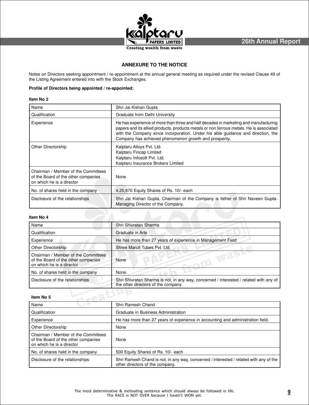

# **ANNEXURE TO THE NOTICE**

Notes on Directors seeking appointment / re-appointment at the annual general meeting as required under the revised Clause 49 of the Listing Agreement entered into with the Stock Exchanges.

#### **Profile of Directors being appointed / re-appointed:**

#### **Item No 2**

| Name                                                                                                    | Shri Jai Kishan Gupta                                                                                                                                                                                                                                                                                                         |  |  |
|---------------------------------------------------------------------------------------------------------|-------------------------------------------------------------------------------------------------------------------------------------------------------------------------------------------------------------------------------------------------------------------------------------------------------------------------------|--|--|
| Qualification                                                                                           | Graduate from Delhi University                                                                                                                                                                                                                                                                                                |  |  |
| Experience                                                                                              | He has experience of more than three and half decades in marketing and manufacturing<br>papers and its allied products, products metals or non ferrous metals. He is associated<br>with the Company since incorporation. Under his able guidance and direction, the<br>Company has achieved phenomenon growth and prosperity. |  |  |
| Other Directorship                                                                                      | Kalptaru Alloys Pvt. Ltd.<br>Kalptaru Fincap Limited<br>Kalptaru Infosoft Pvt. Ltd.<br>Kalptaru Insurance Brokers Limited                                                                                                                                                                                                     |  |  |
| Chairman / Member of the Committees<br>of the Board of the other companies<br>on which he is a director | None                                                                                                                                                                                                                                                                                                                          |  |  |
| No. of shares held in the company                                                                       | 4,20,670 Equity Shares of Rs. 10/- each                                                                                                                                                                                                                                                                                       |  |  |
| Disclosure of the relationships                                                                         | Shri Jai Kishan Gupta, Chairman of the Company is father of Shri Naveen Gupta-<br>Managing Director of the Company.                                                                                                                                                                                                           |  |  |
| Item No 4                                                                                               |                                                                                                                                                                                                                                                                                                                               |  |  |

#### **Item No 4**

| Name                                                                                                    | Shri Shivratan Sharma                                                                                                         |
|---------------------------------------------------------------------------------------------------------|-------------------------------------------------------------------------------------------------------------------------------|
| Qualification                                                                                           | Graduate in Arts                                                                                                              |
| Experience                                                                                              | He has more than 27 years of experience in Management Field                                                                   |
| Other Directorship                                                                                      | Shree Maruti Tubes Pvt. Ltd.                                                                                                  |
| Chairman / Member of the Committees<br>of the Board of the other companies<br>on which he is a director | None                                                                                                                          |
| No. of shares held in the company                                                                       | None                                                                                                                          |
| Disclosure of the relationships                                                                         | Shri Shivratan Sharma is not, in any way, concerned / interested / related with any of<br>the other directors of the company. |

#### **Item No 5**

| Name                                                                                                    | Shri Ramesh Chand                                                                                                         |
|---------------------------------------------------------------------------------------------------------|---------------------------------------------------------------------------------------------------------------------------|
| Qualification                                                                                           | Graduate in Business Administration                                                                                       |
| Experience                                                                                              | He has more than 27 years of experience in accounting and administration field.                                           |
| Other Directorship                                                                                      | None                                                                                                                      |
| Chairman / Member of the Committees<br>of the Board of the other companies<br>on which he is a director | None                                                                                                                      |
| No. of shares held in the company                                                                       | 500 Equity Shares of Rs. 10/- each                                                                                        |
| Disclosure of the relationships                                                                         | Shri Ramesh Chand is not, in any way, concerned / interested / related with any of the<br>other directors of the company. |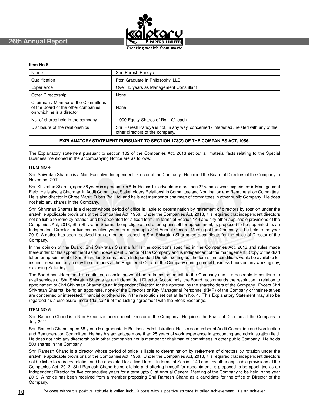

#### **Item No 6**

| Name                                                                                                    | Shri Paresh Pandya                                                                                                         |  |
|---------------------------------------------------------------------------------------------------------|----------------------------------------------------------------------------------------------------------------------------|--|
| Qualification                                                                                           | Post Graduate in Philosophy, LLB                                                                                           |  |
| Experience                                                                                              | Over 35 years as Management Consultant                                                                                     |  |
| Other Directorship                                                                                      | None                                                                                                                       |  |
| Chairman / Member of the Committees<br>of the Board of the other companies<br>on which he is a director | None                                                                                                                       |  |
| No. of shares held in the company                                                                       | 1,000 Equity Shares of Rs. 10/- each.                                                                                      |  |
| Disclosure of the relationships                                                                         | Shri Paresh Pandya is not, in any way, concerned / interested / related with any of the<br>other directors of the company. |  |
| <b>EXPLANATORY STATEMENT PURSUANT TO SECTION 173(2) OF THE COMPANIES ACT, 1956.</b>                     |                                                                                                                            |  |

The Explanatory statement pursuant to section 102 of the Companies Act, 2013 set out all material facts relating to the Special Business mentioned in the accompanying Notice are as follows:

#### **ITEM NO 4**

Shri Shivratan Sharma is a Non-Executive Independent Director of the Company. He joined the Board of Directors of the Company in November 2011.

Shri Shivratan Sharma, aged 58 years is a graduate in Arts. He has his advantage more than 27 years of work experience in Management Field. He is also a Chairman in Audit Committee, Stakeholders Relationship Committee and Nomination and Remuneration Committee. He is also director in Shree Maruti Tubes Pvt. Ltd. and he is not member or chairman of committees in other public Company. He does not held any shares in the Company.

Shri Shivratan Sharma is a director whose period of office is liable to determination by retirement of directors by rotation under the erstwhile applicable provisions of the Companies Act, 1956. Under the Companies Act, 2013, it is required that independent directors not be liable to retire by rotation and be appointed for a fixed term. In terms of Section 149 and any other applicable provisions of the Companies Act, 2013, Shri Shivratan Sharma being eligible and offering himself for appointment, is proposed to be appointed as an Independent Director for five consecutive years for a term upto 31st Annual General Meeting of the Company to be held in the year 2019. A notice has been received from a member proposing Shri Shivratan Sharma as a candidate for the office of Director of the Company.

In the opinion of the Board, Shri Shivratan Sharma fulfills the conditions specified in the Companies Act, 2013 and rules made thereunder for his appointment as an Independent Director of the Company and is independent of the management. Copy of the draft letter for appointment of Shri Shivratan Sharma as an Independent Director setting out the terms and conditions would be available for inspection without any fee by the members at the Registered Office of the Company during normal business hours on any working day, excluding Saturday.

The Board considers that his continued association would be of immense benefit to the Company and it is desirable to continue to avail services of Shri Shivratan Sharma as an Independent Director. Accordingly, the Board recommends the resolution in relation to appointment of Shri Shivratan Sharma as an Independent Director, for the approval by the shareholders of the Company. Except Shri Shivratan Sharma, being an appointee, none of the Directors or Key Managerial Personnel (KMP) of the Company or their relatives are concerned or interested, financial or otherwise, in the resolution set out at Item No. 4. This Explanatory Statement may also be regarded as a disclosure under Clause 49 of the Listing agreement with the Stock Exchange.

#### **ITEM NO 5**

Shri Ramesh Chand is a Non-Executive Independent Director of the Company. He joined the Board of Directors of the Company in July 2011.

Shri Ramesh Chand, aged 55 years is a graduate in Business Administration. He is also member of Audit Committee and Nomination and Remuneration Committee. He has his advantage more than 25 years of work experience in accounting and administration field. He does not hold any directorships in other companies nor is member or chairman of committees in other public Company. He holds 500 shares in the Company.

Shri Ramesh Chand is a director whose period of office is liable to determination by retirement of directors by rotation under the erstwhile applicable provisions of the Companies Act, 1956. Under the Companies Act, 2013, it is required that independent directors not be liable to retire by rotation and be appointed for a fixed term. In terms of Section 149 and any other applicable provisions of the Companies Act, 2013, Shri Ramesh Chand being eligible and offering himself for appointment, is proposed to be appointed as an Independent Director for five consecutive years for a term upto 31st Annual General Meeting of the Company to be held in the year 2019. A notice has been received from a member proposing Shri Ramesh Chand as a candidate for the office of Director of the Company.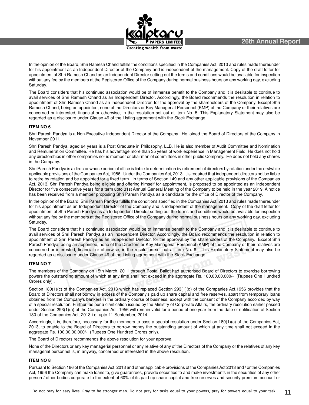

In the opinion of the Board, Shri Ramesh Chand fulfills the conditions specified in the Companies Act, 2013 and rules made thereunder for his appointment as an Independent Director of the Company and is independent of the management. Copy of the draft letter for appointment of Shri Ramesh Chand as an Independent Director setting out the terms and conditions would be available for inspection without any fee by the members at the Registered Office of the Company during normal business hours on any working day, excluding Saturday.

The Board considers that his continued association would be of immense benefit to the Company and it is desirable to continue to avail services of Shri Ramesh Chand as an Independent Director. Accordingly, the Board recommends the resolution in relation to appointment of Shri Ramesh Chand as an Independent Director, for the approval by the shareholders of the Company. Except Shri Ramesh Chand, being an appointee, none of the Directors or Key Managerial Personnel (KMP) of the Company or their relatives are concerned or interested, financial or otherwise, in the resolution set out at Item No. 5. This Explanatory Statement may also be regarded as a disclosure under Clause 49 of the Listing agreement with the Stock Exchange.

#### **ITEM NO 6**

Shri Paresh Pandya is a Non-Executive Independent Director of the Company. He joined the Board of Directors of the Company in November 2011.

Shri Paresh Pandya, aged 64 years is a Post Graduate in Philosophy, LLB. He is also member of Audit Committee and Nomination and Remuneration Committee. He has his advantage more than 35 years of work experience in Management Field. He does not hold any directorships in other companies nor is member or chairman of committees in other public Company. He does not held any shares in the Company.

Shri Paresh Pandya is a director whose period of office is liable to determination by retirement of directors by rotation under the erstwhile applicable provisions of the Companies Act, 1956. Under the Companies Act, 2013, it is required that independent directors not be liable to retire by rotation and be appointed for a fixed term. In terms of Section 149 and any other applicable provisions of the Companies Act, 2013, Shri Paresh Pandya being eligible and offering himself for appointment, is proposed to be appointed as an Independent Director for five consecutive years for a term upto 31st Annual General Meeting of the Company to be held in the year 2019. A notice has been received from a member proposing Shri Paresh Pandya as a candidate for the office of Director of the Company.

In the opinion of the Board, Shri Paresh Pandya fulfills the conditions specified in the Companies Act, 2013 and rules made thereunder for his appointment as an Independent Director of the Company and is independent of the management. Copy of the draft letter for appointment of Shri Paresh Pandya as an Independent Director setting out the terms and conditions would be available for inspection without any fee by the members at the Registered Office of the Company during normal business hours on any working day, excluding Saturday.

The Board considers that his continued association would be of immense benefit to the Company and it is desirable to continue to avail services of Shri Paresh Pandya as an Independent Director. Accordingly, the Board recommends the resolution in relation to appointment of Shri Paresh Pandya as an Independent Director, for the approval by the shareholders of the Company. Except Shri Paresh Pandya, being an appointee, none of the Directors or Key Managerial Personnel (KMP) of the Company or their relatives are concerned or interested, financial or otherwise, in the resolution set out at Item No. 6. This Explanatory Statement may also be regarded as a disclosure under Clause 49 of the Listing agreement with the Stock Exchange.

#### **ITEM NO 7**

The members of the Company on 15th March, 2011 through Postal Ballot had authorised Board of Directors to exercise borrowing powers the outstanding amount of which at any time shall not exceed in the aggregate Rs. 100,00,00,000/- (Rupees One Hundred Crores only)..

Section 180(1)(c) of the Companies Act, 2013 which has replaced Section 293(1)(d) of the Companies Act,1956 provides that the Board of Directors shall not borrow in excess of the Company's paid up share capital and free reserves, apart from temporary loans obtained from the Company's bankers in the ordinary course of business, except with the consent of the Company accorded by way of a special resolution. Further, as per a clarification issued by the Ministry of Corporate Affairs, the ordinary resolution earlier passed under Section 293(1)(a) of the Companies Act, 1956 will remain valid for a period of one year from the date of notification of Section 180 of the Companies Act, 2013 i.e. upto 11 September, 2014.

Accordingly, it is, therefore, necessary for the members to pass a special resolution under Section 180(1)(c) of the Companies Act, 2013, to enable to the Board of Directors to borrow money the outstanding amount of which at any time shall not exceed in the aggregate Rs. 100,00,00,000/- (Rupees One Hundred Crores only).

The Board of Directors recommends the above resolution for your approval.

None of the Directors or any key managerial personnel or any relative of any of the Directors of the Company or the relatives of any key managerial personnel is, in anyway, concerned or interested in the above resolution.

#### **ITEM NO 8**

Pursuant to Section 186 of the Companies Act, 2013 and other applicable provisions of the Companies Act 2013 and / or the Companies Act, 1956 the Company can make loans to, give guarantees, provide securities to and make investments in the securities of any other person / other bodies corporate to the extent of 60% of its paid-up share capital and free reserves and security premium account or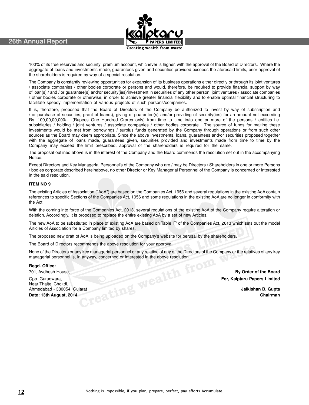

100% of its free reserves and security premium account, whichever is higher, with the approval of the Board of Directors. Where the aggregate of loans and investments made, guarantees given and securities provided exceeds the aforesaid limits, prior approval of the shareholders is required by way of a special resolution.

The Company is constantly reviewing opportunities for expansion of its business operations either directly or through its joint ventures / associate companies / other bodies corporate or persons and would, therefore, be required to provide financial support by way of loan(s) / and / or guarantee(s) and/or security(ies)/investment in securities of any other person joint ventures / associate companies / other bodies corporate or otherwise, in order to achieve greater financial flexibility and to enable optimal financial structuring to facilitate speedy implementation of various projects of such persons/companies.

It is, therefore, proposed that the Board of Directors of the Company be authorized to invest by way of subscription and / or purchase of securities, grant of loan(s), giving of guarantee(s) and/or providing of security(ies) for an amount not exceeding Rs. 100,00,00,000/- (Rupees One Hundred Crores only) from time to time in/to one or more of the persons / entities i.e. subsidiaries / holding / joint ventures / associate companies / other bodies corporate. The source of funds for making these investments would be met from borrowings / surplus funds generated by the Company through operations or from such other sources as the Board may deem appropriate. Since the above investments, loans, guarantees and/or securities proposed together with the aggregate of loans made, guarantees given, securities provided and investments made from time to time by the Company may exceed the limit prescribed, approval of the shareholders is required for the same.

The proposal outlined above is in the interest of the Company and the Board commends the resolution set out in the accompanying Notice.

Except Directors and Key Managerial Personnel's of the Company who are / may be Directors / Shareholders in one or more Persons / bodies corporate described hereinabove, no other Director or Key Managerial Personnel of the Company is concerned or interested in the said resolution.

#### **ITEM NO 9**

The existing Articles of Association ("AoA") are based on the Companies Act, 1956 and several regulations in the existing AoA contain references to specific Sections of the Companies Act, 1956 and some regulations in the existing AoA are no longer in conformity with the Act.

With the coming into force of the Companies Act, 2013, several regulations of the existing AoA of the Company require alteration or deletion. Accordingly, it is proposed to replace the entire existing AoA by a set of new Articles.

The new AoA to be substituted in place of existing AoA are based on Table 'F' of the Companies Act, 2013 which sets out the model Articles of Association for a Company limited by shares.

The proposed new draft of AoA is being uploaded on the Company's website for perusal by the shareholders.

The Board of Directors recommends the above resolution for your approval.

None of the Directors or any key managerial personnel or any relative of any of the Directors of the Company or the relatives of any key managerial personnel is, in anyway, concerned or interested in the above resolution.

#### **Regd. Office:**

Near Thaltej Chokdi,<br>Ahmedabad - 380054. Gujarat Ahmedabad - 380054. Gujarat **Jaikishan B. Gupta Date: 13th August, 2014 Chairman**

701, Avdhesh House, **By Order of the Board** Opp. Gurudwara, **For, Kalptaru Papers Limited**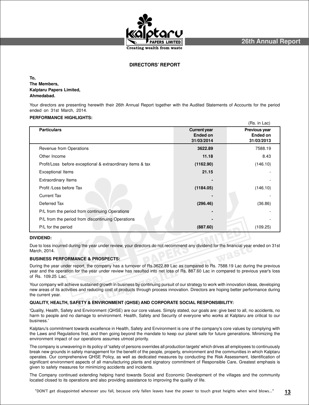

## **DIRECTORS' REPORT**

**To, The Members, Kalptaru Papers Limited, Ahmedabad.**

Your directors are presenting herewith their 26th Annual Report together with the Audited Statements of Accounts for the period ended on 31st March, 2014.

#### **PERFORMANCE HIGHLIGHTS:**

|                                                            |                                 | (Rs. in Lac)              |
|------------------------------------------------------------|---------------------------------|---------------------------|
| <b>Particulars</b>                                         | <b>Current year</b><br>Ended on | Previous year<br>Ended on |
|                                                            | 31/03/2014                      | 31/03/2013                |
| Revenue from Operations                                    | 3622.89                         | 7588.19                   |
| Other Income                                               | 11.18                           | 8.43                      |
| Profit/Loss before exceptional & extraordinary items & tax | (1162.90)                       | (146.10)                  |
| <b>Exceptional Items</b>                                   | 21.15                           |                           |
| Extraordinary Items                                        |                                 |                           |
| Profit /Loss before Tax                                    | (1184.05)                       | (146.10)                  |
| <b>Current Tax</b>                                         |                                 |                           |
| Deferred Tax                                               | (296.46)                        | (36.86)                   |
| P/L from the period from continuing Operations             |                                 |                           |
| P/L from the period from discontinuing Operations          |                                 |                           |
| P/L for the period                                         | (887.60)                        | (109.25)                  |

#### **DIVIDEND:**

Due to loss incurred during the year under review, your directors do not recommend any dividend for the financial year ended on 31st March, 2014.

#### **BUSINESS PERFORMANCE & PROSPECTS:**

During the year under report, the company has a turnover of Rs.3622.89 Lac as compared to Rs. 7588.19 Lac during the previous year and the operation for the year under review has resulted into net loss of Rs. 887.60 Lac in compared to previous year's loss of Rs. 109.25 Lac.

Your company will achieve sustained growth in business by continuing pursuit of our strategy to work with innovation ideas, developing new areas of its activities and reducing cost of products through process innovation. Directors are hoping better performance during the current year.

#### **QUALITY, HEALTH, SAFETY & ENVIRONMENT (QHSE) AND CORPORATE SOCIAL RESPONSIBILITY:**

'Quality, Health, Safety and Environment (QHSE) are our core values. Simply stated, our goals are: give best to all, no accidents, no harm to people and no damage to environment. Health, Safety and Security of everyone who works at Kalptaru are critical to our business.'

Kalptaru's commitment towards excellence in Health, Safety and Environment is one of the company's core values by complying with the Laws and Regulations first, and then going beyond the mandate to keep our planet safe for future generations. Minimizing the environment impact of our operations assumes utmost priority.

The company is unwavering in its policy of 'safety of persons overrides all production targets' which drives all employees to continuously break new grounds in safety management for the benefit of the people, property, environment and the communities in which Kalptaru operates. Our comprehensive QHSE Policy, as well as dedicated measures by conducting the Risk Assessment, Identification of significant environment aspects of all manufacturing plants and signatory commitment of Responsible Care, Greatest emphasis is given to safety measures for minimizing accidents and incidents.

The Company continued extending helping hand towards Social and Economic Development of the villages and the community located closed to its operations and also providing assistance to improving the quality of life.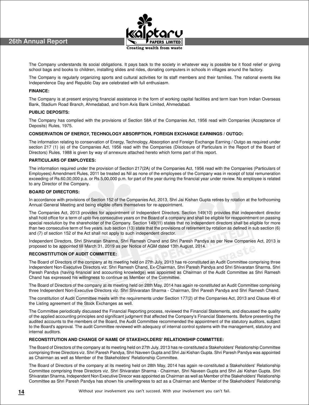# **26th Annual Report**



The Company understands its social obligations. It pays back to the society in whatever way is possible be it flood relief or giving school bags and books to children, installing slides and rides, donating computers in schools in villages around the factory.

The Company is regularly organizing sports and cultural activities for its staff members and their families. The national events like Independence Day and Republic Day are celebrated with full enthusiasm.

#### **FINANCE:**

The Company is at present enjoying financial assistance in the form of working capital facilities and term loan from Indian Overseas Bank, Stadium Road Branch, Ahmedabad, and from Axis Bank Limited, Ahmedabad.

#### **PUBLIC DEPOSITS:**

The Company has complied with the provisions of Section 58A of the Companies Act, 1956 read with Companies (Acceptance of Deposits) Rules, 1975.

#### **CONSERVATION OF ENERGY, TECHNOLOGY ABSORPTION, FOREIGN EXCHANGE EARNINGS / OUTGO:**

The information relating to conservation of Energy, Technology, Absorption and Foreign Exchange Earning / Outgo as required under section 217 (1) (e) of the Companies Act, 1956 read with the Companies (Disclosure of Particulars in the Report of the Board of Directors) Rules, 1988 is given by way of annexure attached hereto which forms part of this report.

#### **PARTICULARS OF EMPLOYEES:**

The information required under the provision of Section 217(2A) of the Companies Act, 1956 read with the Companies (Particulars of Employees) Amendment Rules, 2011 be treated as Nil as none of the employees of the Company was in receipt of total remuneration exceeding of Rs.60,00,000 p.a. or Rs.5,00,000 p.m. for part of the year during the financial year under review. No employee is related to any Director of the Company.

#### **BOARD OF DIRECTORS:**

In accordance with provisions of Section 152 of the Companies Act, 2013, Shri Jai Kishan Gupta retires by rotation at the forthcoming Annual General Meeting and being eligible offers themselves for re-appointment.

The Companies Act, 2013 provides for appointment of Independent Directors. Section 149(10) provides that independent director shall hold office for a term of upto five consecutive years on the Board of a company and shall be eligible for reappointment on passing special resolution by the shareholder of the Company. Section 149(11) states that no independent directors shall be eligible for more than two consecutive term of five years. sub section (13) state that the provisions of retirement by rotation as defined in sub section (6) and (7) of section 152 of the Act shall not apply to such independent director.

Independent Directors, Shri Shivratan Sharma, Shri Ramesh Chand and Shri Paresh Pandya as per New Companies Act, 2013 is proposed to be appointed till March 31, 2019 as per Notice of AGM dated 13th August, 2014.

#### **RECONSTITUTION OF AUDIT COMMITTEE:**

The Board of Directors of the company at its meeting held on 27th July, 2013 has re-constituted an Audit Committee comprising three Independent Non-Executive Directors viz. Shri Ramesh Chand, Ex-Chairman, Shri Paresh Pandya and Shri Shivaratan Sharma. Shri Paresh Pandya (having financial and accounting knowledge) was appointed as Chairman of the Audit Committee as Shri Ramesh Chand has expressed his willingness to continue as Member of the Committee.

The Board of Directors of the company at its meeting held on 28th May, 2014 has again re-constituted an Audit Committee comprising three Independent Non-Executive Directors viz. Shri Shivaratan Sharma - Chairman, Shri Paresh Pandya and Shri Ramesh Chand.

The constitution of Audit Committee meets with the requirements under Section 177(2) of the Companies Act, 2013 and Clause 49 of the Listing agreement of the Stock Exchanges as well.

The Committee periodically discussed the Financial Reporting process, reviewed the Financial Statements, and discussed the quality of the applied accounting principles and significant judgment that affected the Company's Financial Statements. Before presenting the audited accounts to the members of the Board, the Audit Committee recommended the appointment of the statutory auditors, subject to the Board's approval. The audit Committee reviewed with adequacy of internal control systems with the management, statutory and internal auditors.

#### **RECONSTITUTION AND CHANGE OF NAME OF STAKEHOLDERS' RELATIONSHIP COMMITTEE:**

The Board of Directors of the company at its meeting held on 27th July, 2013 has re-constituted a Stakeholders' Relationship Committee comprising three Directors viz. Shri Paresh Pandya, Shri Naveen Gupta and Shri Jai Kishan Gupta. Shri Paresh Pandya was appointed as Chairman as well as Member of the Stakeholders' Relationship Committee.

The Board of Directors of the company at its meeting held on 28th May, 2014 has again re-constituted a Stakeholders' Relationship Committee comprising three Directors viz. Shri Shivaratan Sharma - Chairman, Shri Naveen Gupta and Shri Jai Kishan Gupta. Shri Shivaratan Sharma, Independent Non Executive Direcor was appointed as Chairman as well as Member of the Stakeholders' Relationship Committee as Shri Paresh Pandya has shown his unwillingness to act as a Chairman and Member of the Stakeholders' Relationship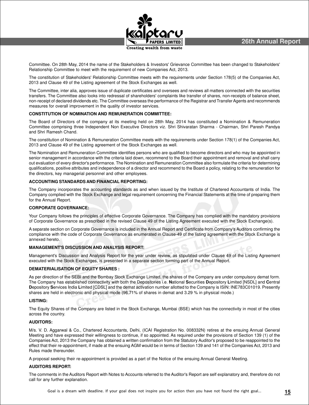

Committee. On 28th May, 2014 the name of the Stakeholders & Investors' Grievance Committee has been changed to Stakeholders' Relationship Committee to meet with the requirement of new Companies Act, 2013.

The constitution of Stakeholders' Relationship Committee meets with the requirements under Section 178(5) of the Companies Act, 2013 and Clause 49 of the Listing agreement of the Stock Exchanges as well.

The Committee, inter alia, approves issue of duplicate certificates and oversees and reviews all matters connected with the securities transfers. The Committee also looks into redressal of shareholders' complaints like transfer of shares, non-receipts of balance sheet, non-receipt of declared dividends etc. The Committee overseas the performance of the Registrar and Transfer Agents and recommends measures for overall improvement in the quality of investor services.

#### **CONSTITUTION OF NOMINATION AND REMUNERATION COMMITTEE:**

The Board of Directors of the company at its meeting held on 28th May, 2014 has constituted a Nomination & Remuneration Committee comprising three Independent Non Executive Directors viz. Shri Shivaratan Sharma - Chairman, Shri Paresh Pandya and Shri Ramesh Chand.

The constitution of Nomination & Remuneration Committee meets with the requirements under Section 178(1) of the Companies Act, 2013 and Clause 49 of the Listing agreement of the Stock Exchanges as well.

The Nomination and Remuneration Committee identifies persons who are qualified to become directors and who may be appointed in senior management in accordance with the criteria laid down, recommend to the Board their appointment and removal and shall carry out evaluation of every director's performance. The Nomination and Remuneration Committee also formulate the criteria for determining qualifications, positive attributes and independence of a director and recommend to the Board a policy, relating to the remuneration for the directors, key managerial personnel and other employees.

#### **ACCOUNTING STANDARDS AND FINANCIAL REPORTING:**

The Company incorporates the accounting standards as and when issued by the Institute of Chartered Accountants of India. The Company complied with the Stock Exchange and legal requirement concerning the Financial Statements at the time of preparing them for the Annual Report.

#### **CORPORATE GOVERNANCE:**

Your Company follows the principles of effective Corporate Governance. The Company has complied with the mandatory provisions of Corporate Governance as prescribed in the revised Clause 49 of the Listing Agreement executed with the Stock Exchange(s).

A separate section on Corporate Governance is included in the Annual Report and Certificate from Company's Auditors confirming the compliance with the code of Corporate Governance as enumerated in Clause-49 of the listing agreement with the Stock Exchange is annexed hereto.

#### **MANAGEMENT'S DISCUSSION AND ANALYSIS REPORT:**

Management's Discussion and Analysis Report for the year under review, as stipulated under Clause 49 of the Listing Agreement executed with the Stock Exchanges, is presented in a separate section forming part of the Annual Report.

#### **DEMATERIALISATION OF EQUITY SHARES :**

As per direction of the SEBI and the Bombay Stock Exchange Limited, the shares of the Company are under compulsory demat form. The Company has established connectivity with both the Depositories i.e. **N**ational **S**ecurities **D**epository **L**imited [NSDL] and **C**entral **D**epository **S**ervices India **L**imited [CDSL] and the demat activation number allotted to the Company is ISIN: INE783C01019. Presently shares are held in electronic and physical mode (96.71% of shares in demat and 3.29 % in physical mode.)

#### **LISTING:**

The Equity Shares of the Company are listed in the Stock Exchange, Mumbai (BSE) which has the connectivity in most of the cities across the country.

#### **AUDITORS:**

M/s. V. D. Aggarwal & Co., Chartered Accountants, Delhi, (ICAI Registration No. 008332N) retires at the ensuing Annual General Meeting and have expressed their willingness to continue, if so appointed. As required under the provisions of Section 139 (1) of the Companies Act, 2013 the Company has obtained a written confirmation from the Statutory Auditor's proposed to be reappointed to the effect that their re-appointment, if made at the ensuing AGM would be in terms of Section 139 and 141 of the Companies Act, 2013 and Rules made thereunder.

A proposal seeking their re-appointment is provided as a part of the Notice of the ensuing Annual General Meeting.

#### **AUDITORS REPORT:**

The comments in the Auditors Report with Notes to Accounts referred to the Auditor's Report are self explanatory and, therefore do not call for any further explanation.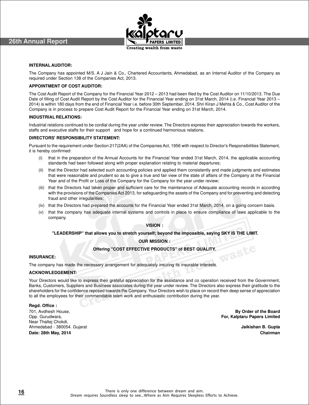

#### **INTERNAL AUDITOR:**

The Company has appointed M/S. A J Jain & Co., Chartered Accountants, Ahmedabad, as an Internal Auditor of the Company as required under Section 138 of the Companies Act, 2013.

#### **APPOINTMENT OF COST AUDITOR:**

The Cost Audit Report of the Company for the Financial Year 2012 – 2013 had been filed by the Cost Auditor on 11/10/2013. The Due Date of filling of Cost Audit Report by the Cost Auditor for the Financial Year ending on 31st March, 2014 (i.e. Financial Year 2013 – 2014) is within 180 days from the end of Financial Year i.e. before 30th September, 2014. Shri Kiran J Mehta & Co., Cost Auditor of the Company is in process to prepare Cost Audit Report for the Financial Year ending on 31st March, 2014.

#### **INDUSTRIAL RELATIONS:**

Industrial relations continued to be cordial during the year under review. The Directors express their appreciation towards the workers, staffs and executive staffs for their support and hope for a continued harmonious relations.

#### **DIRECTORS' RESPONSIBILITY STATEMENT:**

Pursuant to the requirement under Section 217(2AA) of the Companies Act, 1956 with respect to Director's Responsibilities Statement, it is hereby confirmed:

- (i) that in the preparation of the Annual Accounts for the Financial Year ended 31st March, 2014, the applicable accounting standards had been followed along with proper explanation relating to material departures;
- (ii) that the Director had selected such accounting policies and applied them consistently and made judgments and estimates that were reasonable and prudent so as to give a true and fair view of the state of affairs of the Company at the Financial Year and of the Profit or Loss of the Company for the Company for the year under review;
- (iii) that the Directors had taken proper and sufficient care for the maintenance of Adequate accounting records in according with the provisions of the Companies Act 2013, for safeguarding the assets of the Company and for preventing and detecting fraud and other irregularities;
- (iv) that the Directors had prepared the accounts for the Financial Year ended 31st March, 2014, on a going concern basis.
- (v) that the company has adequate internal systems and controls in place to ensure compliance of laws applicable to the company.

#### **VISION :**

#### **"LEADERSHIP" that allows you to stretch yourself; beyond the impossible, saying SKY IS THE LIMIT.**

#### **OUR MISSION :**

#### **Offering "COST EFFECTIVE PRODUCTS" of BEST QUALITY.**

#### **INSURANCE:**

The company has made the necessary arrangement for adequately insuring its insurable interests.

#### **ACKNOWLEDGEMENT:**

Your Directors would like to express their grateful appreciation for the assistance and co operation received from the Government, Banks, Customers, Suppliers and Business associates during the year under review. The Directors also express their gratitude to the shareholders for the confidence reposed towards the Company. Your Directors wish to place on record their deep sense of appreciation to all the employees for their commendable team work and enthusiastic contribution during the year.

#### **Regd. Office :**

Near Thaltej Chokdi, Ahmedabad - 380054. Gujarat **Jaikishan B. Gupta Date: 28th May, 2014 Chairman**

701, Avdhesh House, **By Order of the Board** Opp. Gurudwara, **For, Kalptaru Papers Limited**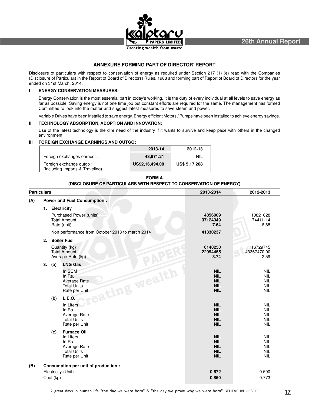

#### **ANNEXURE FORMING PART OF DIRECTOR' REPORT**

Disclosure of particulars with respect to conservation of energy as required under Section 217 (1) (e) read with the Companies (Disclosure of Particulars in the Report of Board of Directors) Rules, 1988 and forming part of Report of Board of Directors for the year ended on 31st March, 2014.

#### **I ENERGY CONSERVATION MEASURES:**

Energy Conservation is the most essential part in today's working. It is the duty of every individual at all levels to save energy as far as possible. Saving energy is not one time job but constant efforts are required for the same. The management has formed Committee to look into the matter and suggest latest measures to save steam and power.

Variable Drives have been installed to save energy. Energy efficient Motors / Pumps have been installed to achieve energy savings.

#### **II TECHNOLOGY ABSORPTION, ADOPTION AND INNOVATION:**

Use of the latest technology is the dire need of the industry if it wants to survive and keep pace with others in the changed environment.

#### **III FOREIGN EXCHANGE EARNINGS AND OUTGO:**

|                                                            | 2013-14         | 2012-13              |
|------------------------------------------------------------|-----------------|----------------------|
| Foreign exchanges earned:                                  | 43.971.21       | NIL                  |
| Foreign exchange outgo:<br>(Including Imports & Traveling) | US\$2.16.494.08 | <b>US\$ 5,17,268</b> |

**FORM A**

#### **(DISCLOSURE OF PARTICULARS WITH RESPECT TO CONSERVATION OF ENERGY)**

|     | <b>Particulars</b>                                                              |           | 2013-2014                                                                                                  | 2012-2013                                                          |                                                                    |
|-----|---------------------------------------------------------------------------------|-----------|------------------------------------------------------------------------------------------------------------|--------------------------------------------------------------------|--------------------------------------------------------------------|
| (A) | <b>Power and Fuel Consumption:</b>                                              |           |                                                                                                            |                                                                    |                                                                    |
|     | 1. Electricity<br>Purchased Power (units)<br><b>Total Amount</b><br>Rate (unit) |           |                                                                                                            | 4856009<br>37124349<br>7.64                                        | 10821628<br>74411114<br>6.88                                       |
|     |                                                                                 |           | Non performance from October 2013 to march 2014                                                            | 41330237                                                           |                                                                    |
|     | 2.                                                                              |           | <b>Boiler Fuel</b><br>Quantity (kg)<br><b>Total Amount</b><br>Average Rate (kg)                            | 6148250<br>22994455<br>3.74                                        | 16729745<br>43367470.00<br>2.59                                    |
|     | 3.                                                                              | (a)       | <b>LNG Gas</b><br>In SCM<br>eating wealth<br>In Rs.<br>Average Rate<br><b>Total Units</b><br>Rate per Unit | <b>NIL</b><br><b>NIL</b><br><b>NIL</b><br><b>NIL</b><br><b>NIL</b> | <b>NIL</b><br><b>NIL</b><br><b>NIL</b><br><b>NIL</b><br><b>NIL</b> |
|     |                                                                                 | (b)       | L.E.O.<br>In Liters<br>In Rs.<br>Average Rate<br><b>Total Units</b><br>Rate per Unit                       | <b>NIL</b><br><b>NIL</b><br><b>NIL</b><br><b>NIL</b><br><b>NIL</b> | <b>NIL</b><br><b>NIL</b><br><b>NIL</b><br><b>NIL</b><br><b>NIL</b> |
|     |                                                                                 | (c)       | <b>Furnace Oil</b><br>In Liters<br>In Rs.<br>Average Rate<br><b>Total Units</b><br>Rate per Unit           | <b>NIL</b><br><b>NIL</b><br><b>NIL</b><br><b>NIL</b><br><b>NIL</b> | <b>NIL</b><br><b>NIL</b><br><b>NIL</b><br><b>NIL</b><br><b>NIL</b> |
| (B) |                                                                                 | Coal (kg) | Consumption per unit of production :<br>Electricity (Unit)                                                 | 0.672<br>0.850                                                     | 0.500<br>0.773                                                     |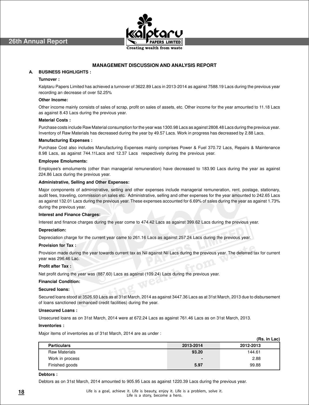

# **MANAGEMENT DISCUSSION AND ANALYSIS REPORT**

#### **A. BUSINESS HIGHLIGHTS :**

#### **Turnover :**

Kalptaru Papers Limited has achieved a turnover of 3622.89 Lacs in 2013-2014 as against 7588.19 Lacs during the previous year recording an decrease of over 52.25%

#### **Other Income:**

Other income mainly consists of sales of scrap, profit on sales of assets, etc. Other income for the year amounted to 11.18 Lacs as against 8.43 Lacs during the previous year.

#### **Material Costs :**

Purchase costs include Raw Material consumption for the year was 1300.98 Lacs as against 2808.48 Lacs during the previous year. Inventory of Raw Materials has decreased during the year by 49.57 Lacs. Work in progress has decreased by 2.88 Lacs.

#### **Manufacturing Expenses :**

Purchase Cost also includes Manufacturing Expenses mainly comprises Power & Fuel 370.72 Lacs, Repairs & Maintenance 8.98 Lacs, as against 744.11Lacs and 12.37 Lacs respectively during the previous year.

#### **Employee Emoluments:**

Employee's emoluments (other than managerial remuneration) have decreased to 183.90 Lacs during the year as against 224.86 Lacs during the previous year.

#### **Administrative, Selling and Other Expenses:**

Major components of administrative, selling and other expenses include managerial remuneration, rent, postage, stationary, audit fees, traveling, commission on sales etc. Administrative, selling and other expenses for the year amounted to 242.65 Lacs as against 132.01 Lacs during the previous year. These expenses accounted for 6.69% of sales during the year as against 1.73% during the previous year.

#### **Interest and Finance Charges:**

Interest and finance charges during the year come to 474.42 Lacs as against 399.62 Lacs during the previous year.

#### **Depreciation:**

Depreciation charge for the current year came to 261.16 Lacs as against 257.24 Lacs during the previous year.

#### **Provision for Tax :**

Provision made during the year towards current tax as Nil against Nil Lacs during the previous year. The deferred tax for current year was 296.46 Lac.

#### **Profit after Tax :**

Net profit during the year was (887.60) Lacs as against (109.24) Lacs during the previous year.

#### **Financial Condition:**

#### **Secured loans:**

Secured loans stood at 3526.93 Lacs as at 31st March, 2014 as against 3447.36 Lacs as at 31st March, 2013 due to disbursement of loans sanctioned (enhanced credit facilities) during the year.

#### **Unsecured Loans :**

Unsecured loans as on 31st March, 2014 were at 672.24 Lacs as against 761.46 Lacs as on 31st March, 2013.

#### **Inventories :**

Major items of inventories as of 31st March, 2014 are as under :

|                      |                | (Rs. in Lac) |
|----------------------|----------------|--------------|
| <b>Particulars</b>   | 2013-2014      | 2012-2013    |
| <b>Raw Materials</b> | 93.20          | 144.61       |
| Work in process      | $\blacksquare$ | 2.88         |
| Finished goods       | 5.97           | 99.88        |

#### **Debtors :**

Debtors as on 31st March, 2014 amounted to 905.95 Lacs as against 1220.39 Lacs during the previous year.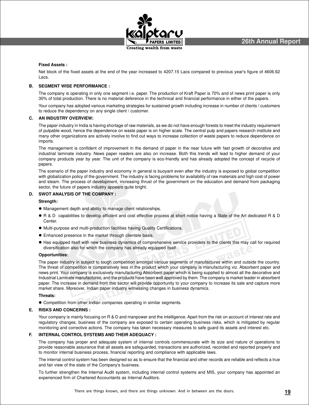

#### **Fixed Assets :**

Net block of the fixed assets at the end of the year increased to 4207.15 Lacs compared to previous year's figure of 4606.62 Lacs.

#### **B. SEGMENT WISE PERFORMANCE :**

The company is operating in only one segment i.e. paper. The production of Kraft Paper is 70% and of news print paper is only 30% of total production. There is no material deference in the technical and financial performance in either of the papers.

Your company has adopted various marketing strategies for sustained growth including increase in number of clients / customers to reduce the dependency on any single client / customer.

#### **C. AN INDUSTRY OVERVIEW:**

The paper industry in India is having shortage of raw materials, as we do not have enough forests to meet the industry requirement of pulpable wood, hence the dependence on waste paper is on higher scale. The central pulp and papers research institute and many other organizations are actively involve to find out ways to increase collection of waste papers to reduce dependence on imports.

The management is confident of improvement in the demand of paper in the near future with fast growth of decorative and industrial laminate industry. News paper readers are also on increase. Both this trends will lead to higher demand of your company products year by year. The unit of the company is eco-friendly and has already adopted the concept of recycle of papers.

The scenario of the paper industry and economy in general is buoyant even after the industry is exposed to global competition with globalization policy of the government. The industry is facing problems for availability of raw materials and high cost of power and steam. The process of development, increasing thrust of the government on the education and demand from packaging sector, the future of papers industry appears quite bright.

#### **D. SWOT ANALYSIS OF THE COMPANY :**

#### **Strength:**

- $\bullet$  Management depth and ability to manage client relationships.
- l R & D capabilities to develop efficient and cost effective process at short notice having a State of the Art dedicated R & D Center.
- $\bullet$  Multi-purpose and multi-production facilities having Quality Certifications.
- l Enhanced presence in the market through clientele basis.
- l Has equipped itself with new business dynamics of comprehensive service providers to the clients this may call for required diversification also for which the company has already equipped itself.

#### **Opportunities:**

The paper industry in subject to tough competition amongst various segments of manufactures within and outside the country. The threat of competition is comparatively less in the product which your company is manufacturing viz. Absorbent paper and news print. Your company is exclusively manufacturing Absorbent paper which is being supplied to almost all the decorative and Industrial Laminate manufactures, and the products have been well approved by them. The company is market leader in absorbent paper. The increase in demand from this sector will provide opportunity to your company to increase its sale and capture more market share. Moreover, Indian paper industry witnessing changes in business dynamics.

**Threats:**

• Competition from other Indian companies operating in similar segments.

#### **E. RISKS AND CONCERNS :**

Your company is mainly focusing on R & D and manpower and the intelligence. Apart from the risk on account of interest rate and regulatory changes, business of the company are exposed to certain operating business risks, which is mitigated by regular monitoring and corrective actions. The company has taken necessary measures to safe guard its assets and interest etc.

#### **F. INTERNAL CONTROL SYSTEMS AND THEIR ADEQUACY :**

The company has proper and adequate system of internal controls commensurate with its size and nature of operations to provide reasonable assurance that all assets are safeguarded, transactions are authorized, recorded and reported properly and to monitor internal business process, financial reporting and compliance with applicable laws.

The internal control system has been designed so as to ensure that the financial and other records are reliable and reflects a true and fair view of the state of the Company's business.

To further strengthen the Internal Audit system, including internal control systems and MIS, your company has appointed an experienced firm of Chartered Accountants as Internal Auditors.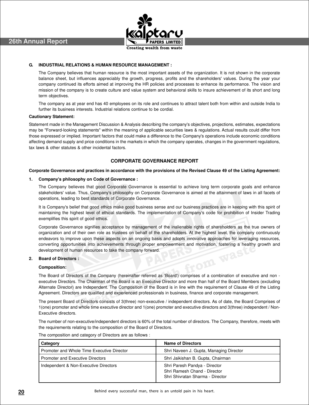

#### **G. INDUSTRIAL RELATIONS & HUMAN RESOURCE MANAGEMENT :**

The Company believes that human resource is the most important assets of the organization. It is not shown in the corporate balance sheet, but influences appreciably the growth, progress, profits and the shareholders' values. During the year your company continued its efforts aimed at improving the HR policies and processes to enhance its performance. The vision and mission of the company is to create culture and value system and behavioral skills to insure achievement of its short and long term objectives.

The company as at year end has 40 employees on its role and continues to attract talent both from within and outside India to further its business interests. Industrial relations continue to be cordial.

#### **Cautionary Statement:**

Statement made in the Management Discussion & Analysis describing the company's objectives, projections, estimates, expectations may be "Forward-looking statements" within the meaning of applicable securities laws & regulations. Actual results could differ from those expressed or implied. Important factors that could make a difference to the Company's operations include economic conditions affecting demand supply and price conditions in the markets in which the company operates, changes in the government regulations, tax laws & other statutes & other incidental factors.

## **CORPORATE GOVERNANCE REPORT**

#### **Corporate Governance and practices in accordance with the provisions of the Revised Clause 49 of the Listing Agreement:**

#### **1. Company's philosophy on Code of Governance :**

The Company believes that good Corporate Governance is essential to achieve long term corporate goals and enhance stakeholders' value. Thus, Company's philosophy on Corporate Governance is aimed at the attainment of laws in all facets of operations, leading to best standards of Corporate Governance.

It is Company's belief that good ethics make good business sense and our business practices are in keeping with this spirit of maintaining the highest level of ethical standards. The implementation of Company's code for prohibition of Insider Trading exemplifies this spirit of good ethics.

Corporate Governance signifies acceptance by management of the inalienable rights of shareholders as the true owners of organization and of their own role as trustees on behalf of the shareholders. At the highest level, the company continuously endeavors to improve upon these aspects on an ongoing basis and adopts innovative approaches for leveraging resources, converting opportunities into achievements through proper empowerment and motivation, fostering a healthy growth and development of human resources to take the company forward.<br> **Board of Directors:**<br> **Composition:** development of human resources to take the company forward.

#### **2. Board of Directors :**

#### **Composition:**

The Board of Directors of the Company (hereinafter referred as 'Board') comprises of a combination of executive and non executive Directors. The Chairman of the Board is an Executive Director and more than half of the Board Members (excluding Alternate Director) are Independent. The Composition of the Board is in line with the requirement of Clause 49 of the Listing Agreement. Directors are qualified and experienced professionals in business, finance and corporate management.

The present Board of Directors consists of 3(three) non-executive / independent directors. As of date, the Board Comprises of 1(one) promoter and whole time executive director and 1(one) promoter and executive directors and 3(three) independent / Non-Executive directors.

The number of non-executive/independent directors is 60% of the total number of directors. The Company, therefore, meets with the requirements relating to the composition of the Board of Directors.

The composition and category of Directors are as follows :

| Category                                   | <b>Name of Directors</b>                                                                          |
|--------------------------------------------|---------------------------------------------------------------------------------------------------|
| Promoter and Whole Time Executive Director | Shri Naveen J. Gupta, Managing Director                                                           |
| <b>Promoter and Executive Directors</b>    | Shri Jaikishan B. Gupta, Chairman                                                                 |
| Independent & Non-Executive Directors      | Shri Paresh Pandya - Director<br>Shri Ramesh Chand - Director<br>Shri Shivratan Sharma - Director |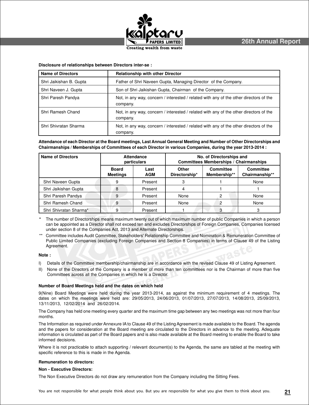

**Disclosure of relationships between Directors inter-se :**

| <b>Name of Directors</b> | <b>Relationship with other Director</b>                                                            |
|--------------------------|----------------------------------------------------------------------------------------------------|
| Shri Jaikishan B. Gupta  | Father of Shri Naveen Gupta, Managing Director of the Company.                                     |
| Shri Naveen J. Gupta     | Son of Shri Jaikishan Gupta, Chairman of the Company.                                              |
| Shri Paresh Pandya       | Not, in any way, concern / interested / related with any of the other directors of the<br>company. |
| Shri Ramesh Chand        | Not, in any way, concern / interested / related with any of the other directors of the<br>company. |
| Shri Shivratan Sharma    | Not, in any way, concern / interested / related with any of the other directors of the<br>company. |

**Attendance of each Director at the Board meetings, Last Annual General Meeting and Number of Other Directorships and Chairmanships / Memberships of Committees of each Director in various Companies, during the year 2013-2014 :**

| <b>Name of Directors</b> | <b>Attendance</b><br>particulars |                    | No. of Directorships and<br>Committees Memberships / Chairmanships |                                  |                                    |
|--------------------------|----------------------------------|--------------------|--------------------------------------------------------------------|----------------------------------|------------------------------------|
|                          | <b>Board</b><br><b>Meetings</b>  | Last<br><b>AGM</b> | Other<br>Directorship*                                             | <b>Committee</b><br>Membership** | <b>Committee</b><br>Chairmanship** |
| Shri Naveen Gupta        | 9                                | Present            |                                                                    |                                  | None                               |
| Shri Jaikishan Gupta     | 8                                | Present            |                                                                    |                                  |                                    |
| Shri Paresh Pandya       | 9                                | Present            | None                                                               | 2                                | None                               |
| Shri Ramesh Chand        | 9                                | Present            | None                                                               |                                  | None                               |
| Shri Shivratan Sharma*   | 9                                | Present            |                                                                    | 3                                | 3                                  |

**\*** The number of Directorships means maximum twenty out of which maximum number of public Companies in which a person can be appointed as a Director shall not exceed ten and excludes Directorships of Foreign Companies, Companies licensed under section 8 of the Companies Act, 2013 and Alternate Directorships.

\*\* Committee includes Audit Committee, Stakeholders' Relationship Committee and Nomination & Remuneration Committee of Public Limited Companies (excluding Foreign Companies and Section 8 Companies) in terms of Clause 49 of the Listing Agreement.

#### **Note :**

- I) Details of the Committee membership/chairmanship are in accordance with the revised Clause 49 of Listing Agreement.
- II) None of the Directors of the Company is a member of more than ten committees nor is the Chairman of more than five Committees across all the Companies in which he is a Director.

#### **Number of Board Meetings held and the dates on which held**

9(Nine) Board Meetings were held during the year 2013-2014, as against the minimum requirement of 4 meetings. The dates on which the meetings were held are: 29/05/2013, 24/06/2013, 01/07/2013, 27/07/2013, 14/08/2013, 25/09/2013, 13/11/2013, 12/02/2014 and 26/02/2014.

The Company has held one meeting every quarter and the maximum time gap between any two meetings was not more than four months.

The Information as required under Annexure IA to Clause 49 of the Listing Agreement is made available to the Board. The agenda and the papers for consideration at the Board meeting are circulated to the Directors in advance to the meeting. Adequate information is circulated as part of the Board papers and is also made available at the Board meeting to enable the Board to take informed decisions.

Where it is not practicable to attach supporting / relevant document(s) to the Agenda, the same are tabled at the meeting with specific reference to this is made in the Agenda.

#### **Remuneration to directors:**

#### **Non - Executive Directors:**

The Non Executive Directors do not draw any remuneration from the Company including the Sitting Fees.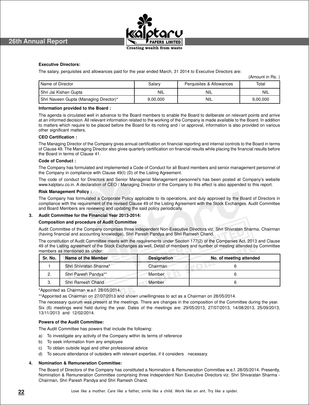

#### **Executive Directors:**

The salary, perquisites and allowances paid for the year ended March, 31 2014 to Executive Directors are:

|                                        |            |                          | (Amount in Rs.) |
|----------------------------------------|------------|--------------------------|-----------------|
| <b>Name of Director</b>                | Salary     | Perquisites & Allowances | Total           |
| Shri Jai Kishan Gupta                  | <b>NIL</b> | <b>NIL</b>               | NIL             |
| Shri Naveen Gupta (Managing Director)* | 9.00.000   | NIL                      | 9,00,000        |

#### **Information provided to the Board :**

The agenda is circulated well in advance to the Board members to enable the Board to deliberate on relevant points and arrive at an informed decision. All relevant information related to the working of the Company is made available to the Board. In addition to matters which require to be placed before the Board for its noting and / or approval, information is also provided on various other significant matters.

#### **CEO Certification :**

The Managing Director of the Company gives annual certification on financial reporting and internal controls to the Board in terms of Clause 49. The Managing Director also gives quarterly certification on financial results while placing the financial results before the Board in terms of Clause 41.

#### **Code of Conduct :**

The Company has formulated and implemented a Code of Conduct for all Board members and senior management personnel of the Company in compliance with Clause 49(I) (D) of the Listing Agreement.

The code of conduct for Directors and Senior Managerial Management personnel's has been posted at Company's website www.kalptaru.co.in. A declaration of CEO / Managing Director of the Company to this effect is also appended to this report.

#### **Risk Management Policy :**

The Company has formulated a Corporate Policy applicable to its operations, and duly approved by the Board of Directors in compliance with the requirement of the revised Clause 49 of the Listing Agreement with the Stock Exchanges. Audit Committee and Board Members are reviewing and updating the said policy periodically.

#### **3. Audit Committee for the Financial Year 2013-2014:**

#### **Composition and procedure of Audit Committee**

Audit Committee of the Company comprises three independent Non-Executive Directors viz. Shri Shivratan Sharma, Chairman (having financial and accounting knowledge), Shri Paresh Pandya and Shri Ramesh Chand.

The constitution of Audit Committee meets with the requirements under Section 177(2) of the Companies Act, 2013 and Clause 49 of the Listing agreement of the Stock Exchanges as well. Detail of members and number of meeting attended by Committee members as mentioned as under:

| Sr. No. | Name of the Member     | <b>Designation</b> | No. of meeting attended |
|---------|------------------------|--------------------|-------------------------|
|         | Shri Shivratan Sharma* | Chairman           |                         |
| 2.      | Shri Paresh Pandya**   | Member             |                         |
| o<br>.ت | Shri Ramesh Chand      | Member             |                         |

\*Appointed as Chairman w.e.f. 28/05/2014.

\*\*Appointed as Chairman on 27/07/2013 and shown unwillingness to act as a Chairman on 28/05/2014.

The necessary quorum was present at the meetings. There are changes in the composition of the Committee during the year. Six (6) meetings were held during the year. Dates of the meetings are: 29/05/2013, 27/07/2013, 14/08/2013, 25/09/2013, 13/11/2013 and 12/02/2014.

#### **Powers of the Audit Committee:**

The Audit Committee has powers that include the following:

- a) To investigate any activity of the Company within its terms of reference
- b) To seek information from any employee
- c) To obtain outside legal and other professional advice
- d) To secure attendance of outsiders with relevant expertise, if it considers necessary.

#### **4. Nomination & Remuneration Committee:**

The Board of Directors of the Company has constituted a Nomination & Remuneration Committee w.e.f. 28/05/2014. Presently, Nomination & Remuneration Committee comprising three Independent Non Executive Directors viz. Shri Shivaratan Sharma - Chairman, Shri Paresh Pandya and Shri Ramesh Chand.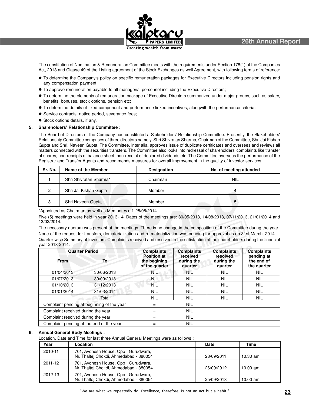The constitution of Nomination & Remuneration Committee meets with the requirements under Section 178(1) of the Companies Act, 2013 and Clause 49 of the Listing agreement of the Stock Exchanges as well Agreement, with following terms of reference:

- l To determine the Company's policy on specific remuneration packages for Executive Directors including pension rights and any compensation payment;
- $\bullet$  To approve remuneration payable to all managerial personnel including the Executive Directors;
- l To determine the elements of remuneration package of Executive Directors summarized under major groups, such as salary, benefits, bonuses, stock options, pension etc;
- $\bullet$  To determine details of fixed component and performance linked incentives, alongwith the performance criteria;
- **e** Service contracts, notice period, severance fees;
- **•** Stock options details, if any.

#### **5. Shareholders' Relationship Committee :**

The Board of Directors of the Company has constituted a Stakeholders' Relationship Committee. Presently, the Stakeholders' Relationship Committee comprises of three directors namely, Shri.Shivratan Sharma, Chairman of the Committee, Shri Jai Kishan Gupta and Shri. Naveen Gupta. The Committee, inter alia, approves issue of duplicate certificates and oversees and reviews all matters connected with the securities transfers. The Committee also looks into redressal of shareholders' complaints like transfer of shares, non-receipts of balance sheet, non-receipt of declared dividends etc. The Committee overseas the performance of the Registrar and Transfer Agents and recommends measures for overall improvement in the quality of investor services.

| Sr. No. | Name of the Member     | Designation | No. of meeting attended |
|---------|------------------------|-------------|-------------------------|
|         | Shri Shivratan Sharma* | Chairman    | <b>NIL</b>              |
| 2       | Shri Jai Kishan Gupta  | Member      |                         |
| 3       | Shri Naveen Gupta      | Member      | 5                       |

\*Appointed as Chairman as well as Member w.e.f. 28/05/2014

Five (5) meetings were held in year 2013-14. Dates of the meetings are: 30/05/2013, 14/08/2013, 07/11/2013, 21/01/2014 and 13/02/2014.

The necessary quorum was present at the meetings. There is no change in the composition of the Committee during the year. None of the request for transfers, dematerialization and re-materialization was pending for approval as on 31st March, 2014. Quarter-wise Summary of Investors' Complaints received and resolved to the satisfaction of the shareholders during the financial year 2013-2014.

| <b>Quarter Period</b>                    |                                            | <b>Complaints</b>                                    | <b>Complaints</b>                 | <b>Complaints</b>                 | <b>Complaints</b>                       |
|------------------------------------------|--------------------------------------------|------------------------------------------------------|-----------------------------------|-----------------------------------|-----------------------------------------|
| <b>From</b>                              | To                                         | <b>Position at</b><br>the begining<br>of the quarter | received<br>during the<br>quarter | resolved<br>during the<br>quarter | pending at<br>the end of<br>the quarter |
| 01/04/2013                               | 30/06/2013                                 | <b>NIL</b>                                           | <b>NIL</b>                        | <b>NIL</b>                        | <b>NIL</b>                              |
| 01/07/2013                               | 30/09/2013                                 | <b>NIL</b>                                           | <b>NIL</b>                        | <b>NIL</b>                        | <b>NIL</b>                              |
| 01/10/2013                               | 31/12/2013                                 | <b>NIL</b>                                           | <b>NIL</b>                        | <b>NIL</b>                        | <b>NIL</b>                              |
| 01/01/2014                               | 31/03/2014                                 | <b>NIL</b>                                           | <b>NIL</b>                        | <b>NIL</b>                        | <b>NIL</b>                              |
|                                          | Total                                      | <b>NIL</b>                                           | <b>NIL</b>                        | <b>NIL</b>                        | <b>NIL</b>                              |
|                                          | Complaint pending at beginning of the year | $=$                                                  | <b>NIL</b>                        |                                   |                                         |
| Complaint received during the year       |                                            | $=$                                                  | <b>NIL</b>                        |                                   |                                         |
| Complaint resolved during the year       |                                            | $=$                                                  | <b>NIL</b>                        |                                   |                                         |
| Complaint pending at the end of the year |                                            | $=$                                                  | <b>NIL</b>                        |                                   |                                         |

#### **6. Annual General Body Meetings :**

Location, Date and Time for last three Annual General Meetings were as follows :

| Year    | Location                                                                      | Date       | Time       |
|---------|-------------------------------------------------------------------------------|------------|------------|
| 2010-11 | 701, Avdhesh House, Opp: Gurudwara,<br>Nr. Thaltej Chokdi, Ahmedabad - 380054 | 28/09/2011 | $10.30$ am |
| 2011-12 | 701, Avdhesh House, Opp: Gurudwara,<br>Nr. Thaltej Chokdi, Ahmedabad - 380054 | 26/09/2012 | $10.00$ am |
| 2012-13 | 701, Avdhesh House, Opp: Gurudwara,<br>Nr. Thaltej Chokdi, Ahmedabad - 380054 | 25/09/2013 | $10.00$ am |

"We are what we repeatedly do. Excellence, therefore, is not an act but a habit."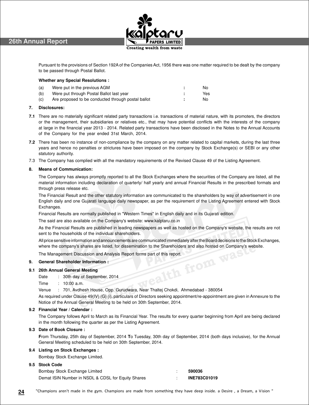



Pursuant to the provisions of Section 192A of the Companies Act, 1956 there was one matter required to be dealt by the company to be passed through Postal Ballot.

#### **Whether any Special Resolutions :**

| (a) | Were put in the previous AGM                       | No. |
|-----|----------------------------------------------------|-----|
| (b) | Were put through Postal Ballot last year           | Yes |
| (c) | Are proposed to be conducted through postal ballot | No. |

#### **7. Disclosures:**

- **7.1** There are no materially significant related party transactions i.e. transactions of material nature, with its promoters, the directors or the management, their subsidiaries or relatives etc., that may have potential conflicts with the interests of the company at large in the financial year 2013 - 2014. Related party transactions have been disclosed in the Notes to the Annual Accounts of the Company for the year ended 31st March, 2014.
- **7.2** There has been no instance of non-compliance by the company on any matter related to capital markets, during the last three years and hence no penalties or strictures have been imposed on the company by Stock Exchange(s) or SEBI or any other statutory authority.
- 7.3 The Company has complied with all the mandatory requirements of the Revised Clause 49 of the Listing Agreement.

#### **8. Means of Communication:**

The Company has always promptly reported to all the Stock Exchanges where the securities of the Company are listed, all the material information including declaration of quarterly/ half yearly and annual Financial Results in the prescribed formats and through press release etc.

The Financial Result and the other statutory information are communicated to the shareholders by way of advertisement in one English daily and one Gujarati language daily newspaper, as per the requirement of the Listing Agreement entered with Stock Exchanges.

Financial Results are normally published in "Western Times" in English daily and in its Gujarati edition.

The said are also available on the Company's website: www.kalptaru.co.in

As the Financial Results are published in leading newspapers as well as hosted on the Company's website, the results are not sent to the households of the individual shareholders.

All price sensitive information and announcements are communicated immediately after the Board decisions to the Stock Exchanges, where the company's shares are listed, for dissemination to the Shareholders and also hosted on Company's website.<br>
The Management Discussion and Analysis Report forms part of this report.<br> **General Shareholder Information** 

The Management Discussion and Analysis Report forms part of this report.

#### **9. General Shareholder Information :**

#### **9.1 26th Annual General Meeting**

Date : 30th day of September, 2014

Time : 10:00 a.m.

Venue : 701, Avdhesh House, Opp. Gurudwara, Near Thaltej Chokdi, Ahmedabad - 380054

As required under Clause 49(IV) (G) (i), particulars of Directors seeking appointment/re-appointment are given in Annexure to the Notice of the Annual General Meeting to be held on 30th September, 2014.

#### **9.2 Financial Year / Calendar :**

The Company follows April to March as its Financial Year. The results for every quarter beginning from April are being declared in the month following the quarter as per the Listing Agreement.

#### **9.3 Date of Book Closure :**

**F**rom Thursday, 25th day of September, 2014 **T**o Tuesday, 30th day of September, 2014 (both days inclusive), for the Annual General Meeting scheduled to be held on 30th September, 2014.

#### **9.4 Listing on Stock Exchanges :**

Bombay Stock Exchange Limited.

#### **9.5 Stock Code**

| Bombay Stock Exchange Limited                      | 590036              |
|----------------------------------------------------|---------------------|
| Demat ISIN Number in NSDL & CDSL for Equity Shares | <b>INE783C01019</b> |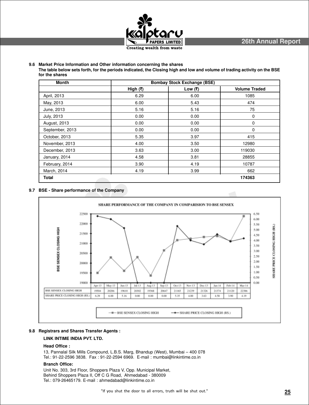

**9.6 Market Price Information and Other information concerning the shares**

**The table below sets forth, for the periods indicated, the Closing high and low and volume of trading activity on the BSE for the shares**

| <b>Month</b>    | <b>Bombay Stock Exchange (BSE)</b> |            |                      |  |
|-----------------|------------------------------------|------------|----------------------|--|
|                 | High (₹)                           | Low $( ₹)$ | <b>Volume Traded</b> |  |
| April, 2013     | 6.29                               | 6.00       | 1085                 |  |
| May, 2013       | 6.00                               | 5.43       | 474                  |  |
| June, 2013      | 5.16                               | 5.16       | 75                   |  |
| July, 2013      | 0.00                               | 0.00       | 0                    |  |
| August, 2013    | 0.00                               | 0.00       | 0                    |  |
| September, 2013 | 0.00                               | 0.00       | 0                    |  |
| October, 2013   | 5.35                               | 3.97       | 415                  |  |
| November, 2013  | 4.00                               | 3.50       | 12980                |  |
| December, 2013  | 3.63                               | 3.00       | 119030               |  |
| January, 2014   | 4.58                               | 3.81       | 28855                |  |
| February, 2014  | 3.90                               | 4.19       | 10787                |  |
| March, 2014     | 4.19                               | 3.99       | 662                  |  |
| <b>Total</b>    |                                    |            | 174363               |  |

#### **9.7 BSE - Share performance of the Company**



#### **9.8 Registrars and Shares Transfer Agents :**

#### **LINK INTIME INDIA PVT. LTD.**

#### **Head Office :**

13, Pannalal Silk Mills Compound, L.B.S. Marg, Bhandup (West), Mumbai – 400 078 Tel.: 91-22-2596 3838. Fax : 91-22-2594 6969. E-mail : mumbai@linkintime.co.in

#### **Branch Office:**

Unit No. 303, 3rd Floor, Shoppers Plaza V, Opp. Municipal Market, Behind Shoppers Plaza II, Off C G Road, Ahmedabad - 380009 Tel.: 079-26465179. E-mail : ahmedabad@linkintime.co.in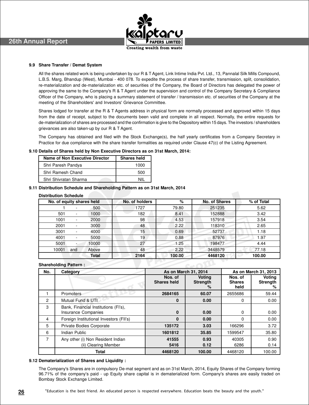

#### **9.9 Share Transfer / Demat System**

All the shares related work is being undertaken by our R & T Agent, Link Intime India Pvt. Ltd., 13, Pannalal Silk Mills Compound, L.B.S. Marg, Bhandup (West), Mumbai - 400 078. To expedite the process of share transfer, transmission, split, consolidation, re-materialization and de-materialization etc. of securities of the Company, the Board of Directors has delegated the power of approving the same to the Company's R & T Agent under the supervision and control of the Company Secretary & Compliance Officer of the Company, who is placing a summary statement of transfer / transmission etc. of securities of the Company at the meeting of the Shareholders' and Investors' Grievance Committee.

Shares lodged for transfer at the R & T Agents address in physical form are normally processed and approved within 15 days from the date of receipt, subject to the documents been valid and complete in all respect. Normally, the entire requests for de-materialization of shares are processed and the confirmation is give to the Depository within 15 days. The investors / shareholders grievances are also taken-up by our R & T Agent.

The Company has obtained and filed with the Stock Exchange(s), the half yearly certificates from a Company Secretary in Practice for due compliance with the share transfer formalities as required under Clause 47(c) of the Listing Agreement.

#### **9.10 Details of Shares held by Non Executive Directors as on 31st March, 2014:**

| Name of Non Executive Director | <b>Shares held</b> |
|--------------------------------|--------------------|
| Shri Paresh Pandya             | 1000               |
| Shri Ramesh Chand              | 500                |
| Shri Shivratan Sharma          | NII.               |

#### **9.11 Distribution Schedule and Shareholding Pattern as on 31st March, 2014**

#### **Distribution Schedule**

| No. of equity shares held |                          |       | No. of holders | %      | No. of Shares | % of Total |
|---------------------------|--------------------------|-------|----------------|--------|---------------|------------|
|                           |                          | 500   | 1727           | 79.80  | 251235        | 5.62       |
| 501                       |                          | 1000  | 182            | 8.41   | 152888        | 3.42       |
| 1001                      |                          | 2000  | 98             | 4.53   | 157918        | 3.54       |
| 2001                      | $\overline{\phantom{a}}$ | 3000  | 48             | 2.22   | 118310        | 2.65       |
| 3001                      |                          | 4000  | 15             | 0.69   | 52737         | 1.18       |
| 4001                      |                          | 5000  | 19             | 0.88   | 87976         | 1.97       |
| 5001                      |                          | 10000 | 27             | 1.25   | 198477        | 4.44       |
| 10001                     | and                      | Above | 48             | 2.22   | 3448579       | 77.18      |
|                           |                          | Total | 2164           | 100.00 | 4468120       | 100.00     |

#### **Shareholding Pattern :**

| No.            | Category                                                           |                               | As on March 31, 2014              |                                  | As on March 31, 2013    |
|----------------|--------------------------------------------------------------------|-------------------------------|-----------------------------------|----------------------------------|-------------------------|
|                |                                                                    | Nos. of<br><b>Shares held</b> | Voting<br><b>Strength</b><br>$\%$ | Nos. of<br><b>Shares</b><br>held | Voting<br>Strength<br>% |
|                | Promoters                                                          | 2684165                       | 60.07                             | 2655686                          | 59.44                   |
| $\overline{2}$ | Mutual Fund & UTI                                                  | $\bf{0}$                      | 0.00                              | 0                                | 0.00                    |
| 3              | Bank, Financial Institutions (FI's),<br><b>Insurance Companies</b> | $\bf{0}$                      | 0.00                              | 0                                | 0.00                    |
| 4              | Foreign Institutional Investors (FII's)                            | $\bf{0}$                      | 0.00                              | 0                                | 0.00                    |
| 5              | <b>Private Bodies Corporate</b>                                    | 135172                        | 3.03                              | 166296                           | 3.72                    |
| 6              | Indian Public                                                      | 1601812                       | 35.85                             | 1599547                          | 35.80                   |
| 7              | Any other (i) Non Resident Indian<br>(ii) Clearing Member          | 41555<br>5416                 | 0.93<br>0.12                      | 40305<br>6286                    | 0.90<br>0.14            |
|                | <b>Total</b>                                                       | 4468120                       | 100.00                            | 4468120                          | 100.00                  |

#### **9.12 Dematerialization of Shares and Liquidity :**

The Company's Shares are in compulsory De-mat segment and as on 31st March, 2014, Equity Shares of the Company forming 96.71% of the company's paid - up Equity share capital is in dematerialized form. Company's shares are easily traded on Bombay Stock Exchange Limited.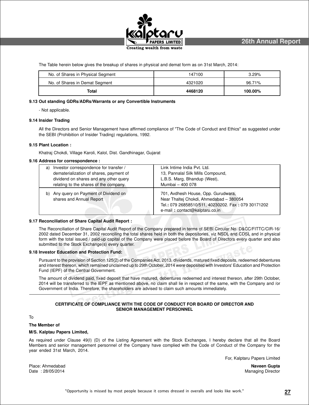

The Table herein below gives the breakup of shares in physical and demat form as on 31st March, 2014:

| No. of Shares in Physical Segment | 147100  | $3.29\%$ |
|-----------------------------------|---------|----------|
| No. of Shares in Demat Segment    | 4321020 | 96.71%   |
| Total                             | 4468120 | 100.00%  |

#### **9.13 Out standing GDRs/ADRs/Warrants or any Convertible Instruments**

- Not applicable.

#### **9.14 Insider Trading**

All the Directors and Senior Management have affirmed compliance of "The Code of Conduct and Ethics" as suggested under the SEBI (Prohibition of Insider Trading) regulations, 1992.

#### **9.15 Plant Location :**

Khatraj Chokdi, Village Karoli, Kalol, Dist. Gandhinagar, Gujarat

#### **9.16 Address for correspondence :**

| Investor correspondence for transfer /<br>a)<br>dematerialization of shares, payment of<br>dividend on shares and any other query<br>relating to the shares of the company. | Link Intime India Pyt. Ltd.<br>13, Pannalal Silk Mills Compound,<br>L.B.S. Marg, Bhandup (West),<br>Mumbai - 400 078                                                    |
|-----------------------------------------------------------------------------------------------------------------------------------------------------------------------------|-------------------------------------------------------------------------------------------------------------------------------------------------------------------------|
| b) Any query on Payment of Dividend on<br>shares and Annual Report                                                                                                          | 701, Avdhesh House, Opp. Gurudwara,<br>Near Thaltej Chokdi, Ahmedabad - 380054<br>Tel.: 079 26858510/511, 40230202. Fax: 079 30171202<br>e-mail: contact@kalptaru.co.in |

#### **9.17 Reconciliation of Share Capital Audit Report :**

The Reconciliation of Share Capital Audit Report of the Company prepared in terms of SEBI Circular No. D&CC/FITTC/CIR-16/ 2002 dated December 31, 2002 reconciling the total shares held in both the depositories, viz NSDL and CDSL and in physical form with the total issued / paid-up capital of the Company were placed before the Board of Directors every quarter and also submitted to the Stock Exchange(s) every quarter.

#### **9.18 Investor Education and Protection Fund:**

Pursuant to the provision of Section 125(2) of the Companies Act, 2013, dividends, matured fixed deposits, redeemed debentures and interest thereon, which remained unclaimed up to 29th October, 2014 were deposited with Investors' Education and Protection Fund (IEPF) of the Central Government.

The amount of dividend paid, fixed deposit that have matured, debentures redeemed and interest thereon, after 29th October, 2014 will be transferred to the IEPF as mentioned above, no claim shall lie in respect of the same, with the Company and /or Government of India. Therefore, the shareholders are advised to claim such amounts immediately.

#### **CERTIFICATE OF COMPLIANCE WITH THE CODE OF CONDUCT FOR BOARD OF DIRECTOR AND SENIOR MANAGEMENT PERSONNEL**

#### To

#### **The Member of**

#### **M/S. Kalptau Papers Limited,**

As required under Clause 49(I) (D) of the Listing Agreement with the Stock Exchanges, I hereby declare that all the Board Members and senior management personnel of the Company have complied with the Code of Conduct of the Company for the year ended 31st March, 2014.

For, Kalptaru Papers Limited

Place: Ahmedabad **Naveen Gupta**

Managing Director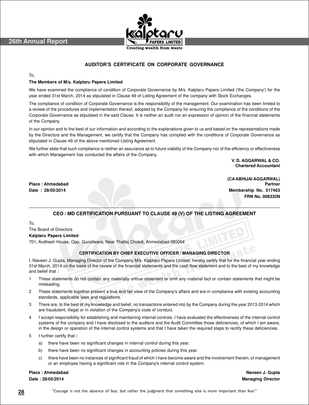

# **AUDITOR'S CERTIFICATE ON CORPORATE GOVERNANCE**

To,

#### **The Members of M/s. Kalptaru Papers Limited**

We have examined the compliance of condition of Corporate Governance by M/s. Kalptaru Papers Limited ('the Company') for the year ended 31st March, 2014 as stipulated in Clause 49 of Listing Agreement of the company with Stock Exchanges.

The compliance of condition of Corporate Governance is the responsibility of the management. Our examination has been limited to a review of the procedures and implementation thereof, adopted by the Company for ensuring the compliance of the conditions of the Corporate Governance as stipulated in the said Clause. It is neither an audit nor an expression of opinion of the financial statements of the Company.

In our opinion and to the best of our information and according to the explanations given to us and based on the representations made by the Directors and the Management, we certify that the Company has complied with the conditions of Corporate Governance as stipulated in Clause 49 of the above mentioned Listing Agreement.

We further state that such compliance is neither an assurance as to future viability of the Company nor of the efficiency or effectiveness with which Management has conducted the affairs of the Company.

> **V. D. AGGARWAL & CO. Chartered Accountant**

**(CAABHIJAI AGGARWAL) Place : Ahmedabad Partner Date : 28/05/2014 Membership No. 517463 FRN No. 008332N**

# **CEO / MD CERTIFICATION PURSUANT TO CLAUSE 49 (V) OF THE LISTING AGREEMENT**

To,

The Board of Directors

#### **Kalptaru Papers Limited**

701, Avdhesh House, Opp. Gurudwara, Near Thaltej Chokdi, Ahmedabad-380054

#### **CERTIFICATION BY CHIEF EXECUTIVE OFFICER / MANAGING DIRECTOR**

I, Naveen J. Gupta, Managing Director of the Company M/s. Kalptaru Papers Limited, hereby certify that for the financial year ending 31st March, 2014 on the basis of the review of the financial statements and the cash flow statement and to the best of my knowledge and belief that :

- 1 These statements do not contain any materially untrue statement or omit any material fact or contain statements that might be misleading.
- 2 These statements together present a true and fair view of the Company's affairs and are in compliance with existing accounting standards, applicable laws and regulations.
- 3 There are, to the best of my knowledge and belief, no transactions entered into by the Company during the year 2013-2014 which are fraudulent, illegal or in violation of the Company's code of conduct.
- 4 I accept responsibility for establishing and maintaining internal controls. I have evaluated the effectiveness of the internal control systems of the company and I have disclosed to the auditors and the Audit Committee those deficiencies, of which I am aware, in the design or operation of the internal control systems and that I have taken the required steps to rectify these deficiencies.
- 5 I further certify that **:**
	- a) there have been no significant changes in internal control during this year.
	- b) there have been no significant changes in accounting policies during this year.
	- c) there have been no instances of significant fraud of which I have become aware and the involvement therein, of management or an employee having a significant role in the Company's internal control system.

**Place : Ahmedabad Naveen J. Gupta**

**Date : 28/05/2014 Managing Director**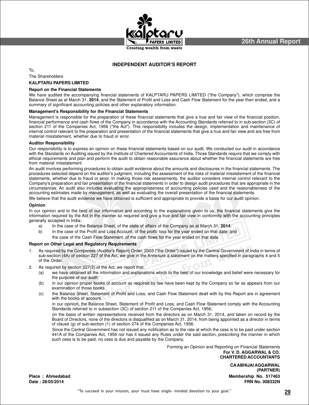**26th Annual Report**



# **INDEPENDENT AUDITOR'S REPORT**

To, The Shareholders

#### **KALPTARU PAPERS LIMITED**

#### **Report on the Financial Statements**

We have audited the accompanying financial statements of KALPTARU PAPERS LIMITED ("the Company"), which comprise the Balance Sheet as at March 31, **2014**, and the Statement of Profit and Loss and Cash Flow Statement for the year then ended, and a summary of significant accounting policies and other explanatory information.

#### **Management's Responsibility for the Financial Statements**

Management is responsible for the preparation of these financial statements that give a true and fair view of the financial position, financial performance and cash flows of the Company in accordance with the Accounting Standards referred to in sub-section (3C) of section 211 of the Companies Act, 1956 ("the Act"). This responsibility includes the design, implementation and maintenance of internal control relevant to the preparation and presentation of the financial statements that give a true and fair view and are free from material misstatement, whether due to fraud or error.

#### **Auditor Responsibility**

Our responsibility is to express an opinion on these financial statements based on our audit. We conducted our audit in accordance with the Standards on Auditing issued by the Institute of Chartered Accountants of India. Those Standards require that we comply with ethical requirements and plan and perform the audit to obtain reasonable assurance about whether the financial statements are free from material misstatement.

An audit involves performing procedures to obtain audit evidence about the amounts and disclosures in the financial statements. The procedures selected depend on the auditor's judgment, including the assessment of the risks of material misstatement of the financial statements, whether due to fraud or error. In making those risk assessments, the auditor considers internal control relevant to the Company's preparation and fair presentation of the financial statements in order to design audit procedures that are appropriate in the circumstances. An audit also includes evaluating the appropriateness of accounting policies used and the reasonableness of the accounting estimates made by management, as well as evaluating the overall presentation of the financial statements.

We believe that the audit evidence we have obtained is sufficient and appropriate to provide a basis for our audit opinion.

#### **Opinion**

In our opinion and to the best of our information and according to the explanations given to us, the financial statements give the information required by the Act in the manner so required and give a true and fair view in conformity with the accounting principles generally accepted in India:

- a) In the case of the Balance Sheet, of the state of affairs of the Company as at March 31, **2014**;
- b) In the case of the Profit and Loss Account, of the profit/ loss for the year ended on that date; and
	- the case of the Cash Flow Statement, of the cash flows for the year ended on that date.

#### **Report on Other Legal and Regulatory Requirements**

- As required by the Companies (Auditor's Report) Order, 2003 ("the Order") issued by the Central Government of India in terms of sub-section (4A) of section 227 of the Act, we give in the Annexure a statement on the matters specified in paragraphs 4 and 5 of the Order.
- 2. As required by section 227(3) of the Act, we report that:
	- (a) we have obtained all the information and explanations which to the best of our knowledge and belief were necessary for the purpose of our audit;
	- (b) in our opinion proper books of account as required by law have been kept by the Company so far as appears from our examination of those books.
	- (c) the Balance Sheet, Statement of Profit and Loss, and Cash Flow Statement dealt with by this Report are in agreement with the books of account.

in our opinion, the Balance Sheet, Statement of Profit and Loss, and Cash Flow Statement comply with the Accounting Standards referred to in subsection (3C) of section 211 of the Companies Act, 1956;

on the basis of written representations received from the directors as on March 31, 2014, and taken on record by the Board of Directors, none of the directors is disqualified as on March 31, 2014, from being appointed as a director in terms of clause (g) of sub-section (1) of section 274 of the Companies Act, 1956.

Since the Central Government has not issued any notification as to the rate at which the cess is to be paid under section 441A of the Companies Act, 1956 nor has it issued any Rules under the said section, prescribing the manner in which such cess is to be paid, no cess is due and payable by the Company.

> Forming an Opinion and Reporting on Financial Statements **For V. D. AGGARWAL & CO. CHARTERED ACCOUNTANTS**

**CAABHIJAI AGGARWAL (PARTNER) Place : Ahmedabad Membership No. 517463 Date : 28/05/2014 FRN No. 008332N**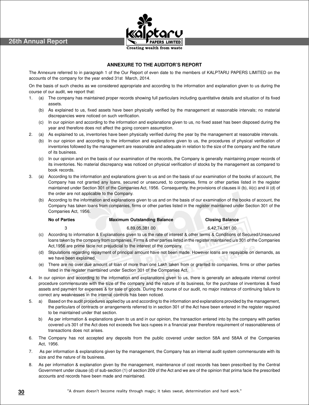# **26th Annual Report**



## **ANNEXURE TO THE AUDITOR'S REPORT**

The Annexure referred to in paragraph 1 of the Our Report of even date to the members of KALPTARU PAPERS LIMITED on the accounts of the company for the year ended 31st March, 2014.

On the basis of such checks as we considered appropriate and according to the information and explanation given to us during the course of our audit, we report that:

- 1. (a) The company has maintained proper records showing full particulars including quantitative details and situation of its fixed assets.
	- (b) As explained to us, fixed assets have been physically verified by the management at reasonable intervals; no material discrepancies were noticed on such verification.
	- (c) In our opinion and according to the information and explanations given to us, no fixed asset has been disposed during the year and therefore does not affect the going concern assumption.
- 2. (a) As explained to us, inventories have been physically verified during the year by the management at reasonable intervals.
	- (b) In our opinion and according to the information and explanations given to us, the procedures of physical verification of inventories followed by the management are reasonable and adequate in relation to the size of the company and the nature of its business.
	- (c) In our opinion and on the basis of our examination of the records, the Company is generally maintaining proper records of its inventories. No material discrepancy was noticed on physical verification of stocks by the management as compared to book records.
- 3. (a) According to the information and explanations given to us and on the basis of our examination of the books of account, the Company has not granted any loans, secured or unsecured, to companies, firms or other parties listed in the register maintained under Section 301 of the Companies Act, 1956. Consequently, the provisions of clauses iii (b), iii(c) and iii (d) of the order are not applicable to the Company.
	- (b) According to the information and explanations given to us and on the basis of our examination of the books of account, the Company has taken loans from companies, firms or other parties listed in the register maintained under Section 301 of the Companies Act, 1956.

| <b>No of Parties</b>                                                                                                        | <b>Maximum Outstanding Balance</b>                                                                                           | <b>Closing Balance</b> |  |  |
|-----------------------------------------------------------------------------------------------------------------------------|------------------------------------------------------------------------------------------------------------------------------|------------------------|--|--|
|                                                                                                                             | 6.89.05.381.00                                                                                                               | 6.42.74.381.00         |  |  |
|                                                                                                                             | (c) According to information & Explanations given to us the rate of interest & other terms & Conditions of Secured/Unsecured |                        |  |  |
| loans taken by the company from companies. Firms & other parties listed in the register maintained u/s 301 of the Companies |                                                                                                                              |                        |  |  |
|                                                                                                                             | Act, 1956 are prime facie not prejudicial to the interest of the company.                                                    |                        |  |  |

- (d) Stipulations regarding repayment of principal amount have not been made. However loans are repayable on demands, as we have been explained.
- (e) There are no over due amount of loan of more than one Lakh taken from or granted to companies, firms or other parties listed in the register maintained under Section 301 of the Companies Act.
- 4. In our opinion and according to the information and explanations given to us, there is generally an adequate internal control procedure commensurate with the size of the company and the nature of its business, for the purchase of inventories & fixed assets and payment for expenses & for sale of goods. During the course of our audit, no major instance of continuing failure to correct any weaknesses in the internal controls has been noticed.
- 5. a) Based on the audit procedures applied by us and according to the information and explanations provided by the management, the particulars of contracts or arrangements referred to in section 301 of the Act have been entered in the register required to be maintained under that section.
	- b) As per information & explanations given to us and in our opinion, the transaction entered into by the company with parties covered u/s 301 of the Act does not exceeds five lacs rupees in a financial year therefore requirement of reasonableness of transactions does not arises.
- 6. The Company has not accepted any deposits from the public covered under section 58A and 58AA of the Companies Act, 1956.
- 7. As per information & explanations given by the management, the Company has an internal audit system commensurate with its size and the nature of its business.
- 8. As per information & explanation given by the management, maintenance of cost records has been prescribed by the Central Government under clause (d) of sub-section (1) of section 209 of the Act and we are of the opinion that prima facie the prescribed accounts and records have been made and maintained.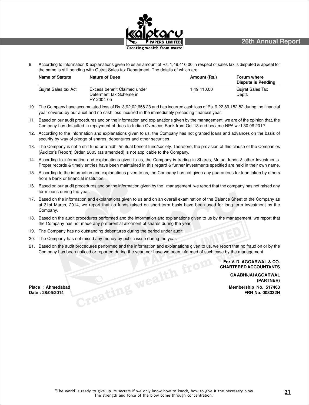

9. According to information & explanations given to us an amount of Rs. 1,49,410.00 in respect of sales tax is disputed & appeal for the same is still pending with Gujrat Sales tax Department. The details of which are

| <b>Name of Statute</b> | <b>Nature of Dues</b>                                                 | Amount (Rs.) | <b>Forum where</b><br>Dispute is Pending |
|------------------------|-----------------------------------------------------------------------|--------------|------------------------------------------|
| Guirat Sales tax Act   | Excess benefit Claimed under<br>Deferment tax Scheme in<br>FY 2004-05 | 1.49.410.00  | <b>Guirat Sales Tax</b><br>Deptt.        |

- 10. The Company have accumulated loss of Rs. 3,92,02,658.23 and has incurred cash loss of Rs. 9,22,89,152.82 during the financial year covered by our audit and no cash loss incurred in the immediately preceding financial year.
- 11. Based on our audit procedures and on the information and explanations given by the management, we are of the opinion that, the Company has defaulted in repayment of dues to Indian Overseas Bank from Oct-13 and became NPA w.r.f 30.06.2012.
- 12. According to the information and explanations given to us, the Company has not granted loans and advances on the basis of security by way of pledge of shares, debentures and other securities.
- 13. The Company is not a chit fund or a nidhi /mutual benefit fund/society. Therefore, the provision of this clause of the Companies (Auditor's Report) Order, 2003 (as amended) is not applicable to the Company.
- 14. According to information and explanations given to us, the Company is trading in Shares, Mutual funds & other Investments. Proper records & timely entries have been maintained in this regard & further investments specified are held in their own name.
- 15. According to the information and explanations given to us, the Company has not given any guarantees for loan taken by others from a bank or financial institution.
- 16. Based on our audit procedures and on the information given by the management, we report that the company has not raised any term loans during the year.
- 17. Based on the information and explanations given to us and on an overall examination of the Balance Sheet of the Company as at 31st March, 2014, we report that no funds raised on short-term basis have been used for long-term investment by the Company.
- 18. Based on the audit procedures performed and the information and explanations given to us by the management, we report that the Company has not made any preferential allotment of shares during the year.
- 19. The Company has no outstanding debentures during the period under audit.
- 20. The Company has not raised any money by public issue during the year.
- 21. Based on the audit procedures performed and the information and explanations given to us, we report that no fraud on or by the Company has been noticed or reported during the year, nor have we been informed of such case by the management.

**For V. D. AGGARWAL & CO. CHARTERED ACCOUNTANTS**

**CAABHIJAI AGGARWAL (PARTNER) Place : Ahmedabad Membership No. 517463 Date : 28/05/2014 FRN No. 008332N**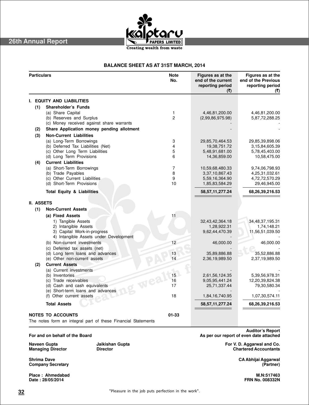

# **BALANCE SHEET AS AT 31ST MARCH, 2014**

| <b>Particulars</b> |                                                               | <b>Note</b><br>No. | Figures as at the<br>end of the current<br>reporting period<br>(3) | Figures as at the<br>end of the Previous<br>reporting period<br>(3) |
|--------------------|---------------------------------------------------------------|--------------------|--------------------------------------------------------------------|---------------------------------------------------------------------|
|                    | <b>I. EQUITY AND LIABILITIES</b>                              |                    |                                                                    |                                                                     |
| (1)                | <b>Shareholder's Funds</b>                                    |                    |                                                                    |                                                                     |
|                    | (a) Share Capital                                             | 1                  | 4,46,81,200.00                                                     | 4,46,81,200.00                                                      |
|                    | (b) Reserves and Surplus                                      | $\overline{2}$     | (2,99,86,975.98)                                                   | 5,87,72,288.25                                                      |
|                    | (c) Money received against share warrants                     |                    |                                                                    |                                                                     |
| (2)                | Share Application money pending allotment                     |                    |                                                                    |                                                                     |
| (3)                | <b>Non-Current Liabilities</b>                                |                    |                                                                    |                                                                     |
|                    | (a) Long-Term Borrowings                                      | 3                  | 29,85,70,464.53                                                    | 29,85,39,898.06                                                     |
|                    | (b) Deferred Tax Liabilities (Net)                            | 4                  | 19,38,751.72                                                       | 3,15,84,605.39                                                      |
|                    | (c) Other Long Term Liabilities                               | 5                  | 5,48,91,681.00                                                     | 5,78,45,403.00                                                      |
|                    | (d) Long Term Provisions                                      | 6                  | 14,36,859.00                                                       | 10,58,475.00                                                        |
| (4)                | <b>Current Liabilities</b>                                    |                    |                                                                    |                                                                     |
|                    | (a) Short-Term Borrowings                                     | 7                  | 10,59,68,480.33                                                    | 9,74,06,798.93                                                      |
|                    | (b) Trade Payables                                            | 8                  | 3,37,10,867.43                                                     | 4,25,31,032.61                                                      |
|                    | (c) Other Current Liabilities                                 | 9                  | 5,59,16,364.90                                                     | 4,72,72,570.29                                                      |
|                    | (d) Short-Term Provisions                                     | 10                 | 1,85,83,584.29                                                     | 29,46,945.00                                                        |
|                    | <b>Total Equity &amp; Liabilities</b>                         |                    | 58, 57, 11, 277. 24                                                | 68,26,39,216.53                                                     |
| <b>II. ASSETS</b>  |                                                               |                    |                                                                    |                                                                     |
| (1)                | <b>Non-Current Assets</b>                                     |                    |                                                                    |                                                                     |
|                    | (a) Fixed Assets                                              | 11                 |                                                                    |                                                                     |
|                    | 1) Tangible Assets                                            |                    | 32,43,42,364.18                                                    | 34,48,37,195.31                                                     |
|                    | 2) Intangible Assets                                          |                    | 1,28,922.31                                                        | 1,74,148.21                                                         |
|                    | 3) Capital Work-in-progress                                   |                    | 9,62,44,470.39                                                     | 11,56,51,039.50                                                     |
|                    | 4) Intangible Assets under Development                        |                    |                                                                    |                                                                     |
|                    | (b) Non-current investments                                   | 12                 | 46,000.00                                                          | 46,000.00                                                           |
|                    | (c) Deferred tax assets (net)                                 |                    |                                                                    |                                                                     |
|                    | (d) Long term loans and advances                              | 13                 | 35,89,886.88                                                       | 35,52,886.88                                                        |
|                    | (e) Other non-current assets                                  | 14                 | 2,36,19,989.50                                                     | 2,37,19,989.50                                                      |
| (2)                | <b>Current Assets</b>                                         |                    |                                                                    |                                                                     |
|                    | (a) Current investments                                       |                    |                                                                    |                                                                     |
|                    | (b) Inventories                                               | 15 <sub>1</sub>    | 2,61,56,124.35                                                     | 5,39,56,978.31                                                      |
|                    | wea<br>(c) Trade receivables                                  | 16                 | 9,05,95,441.24                                                     | 12,20,39,824.38                                                     |
|                    | (d) Cash and cash equivalents                                 | 17                 | 25,71,337.44                                                       | 79,30,580.34                                                        |
|                    | (e) Short-term loans and advances<br>(f) Other current assets | 18                 |                                                                    |                                                                     |
|                    |                                                               |                    | 1,84,16,740.95                                                     | 1,07,30,574.11                                                      |
|                    | <b>Total Assets</b>                                           |                    | 58, 57, 11, 277. 24                                                | 68,26,39,216.53                                                     |
|                    | <b>NOTES TO ACCOUNTS</b>                                      | $01 - 33$          |                                                                    |                                                                     |
|                    | The notes form an integral part of these Financial Statements |                    |                                                                    |                                                                     |

**Company Secretary** 

**Place : Ahmedabad M.N:517463**

**Auditor's Report For and on behalf of the Board As per our report of even date attached**

**Naveen Gupta Jaikishan Gupta For V. D. Aggarwal and Co. Managing Director Director Chartered Accountants**

**Shrima Dave CA Abhijai Aggarwal**

**Date : 28/05/2014 FRN No. 008332N**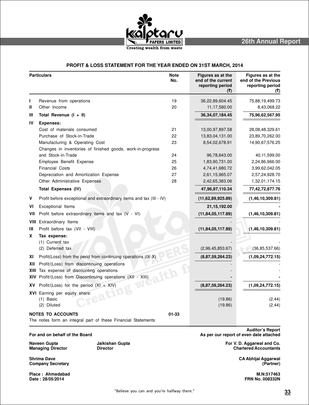

# **PROFIT & LOSS STATEMENT FOR THE YEAR ENDED ON 31ST MARCH, 2014**

|     | <b>Particulars</b><br><b>Note</b><br>No.                                                  |           | Figures as at the<br>end of the current<br>reporting period<br>(3) | Figures as at the<br>end of the Previous<br>reporting period<br>(7) |  |
|-----|-------------------------------------------------------------------------------------------|-----------|--------------------------------------------------------------------|---------------------------------------------------------------------|--|
| ı   | Revenue from operations                                                                   | 19        | 36,22,89,604.45                                                    | 75,88,19,499.73                                                     |  |
| ш   | Other Income                                                                              | 20        | 11,17,580.00                                                       | 8,43,068.22                                                         |  |
| Ш   | Total Revenue $(I + II)$                                                                  |           | 36, 34, 07, 184. 45                                                | 75,96,62,567.95                                                     |  |
| IV  | <b>Expenses:</b>                                                                          |           |                                                                    |                                                                     |  |
|     | Cost of materials consumed                                                                | 21        | 13,00,97,897.58                                                    | 28,08,48,329.61                                                     |  |
|     | Purchase of Stock-in-Trade                                                                | 22        | 13,83,04,131.00                                                    | 23,89,70,262.00                                                     |  |
|     | Manufacturing & Operating Cost                                                            | 23        | 8,54,02,678.91                                                     | 14,90,67,576.25                                                     |  |
|     | Changes in inventories of finished goods, work-in-progress                                |           |                                                                    |                                                                     |  |
|     | and Stock-in-Trade                                                                        | 24        | 96,78,643.00                                                       | 40,11,599.00                                                        |  |
|     | Employee Benefit Expense                                                                  | 25        | 1,83,90,731.00                                                     | 2,24,86,966.00                                                      |  |
|     | <b>Financial Costs</b>                                                                    | 26        | 4,74,41,680.72                                                     | 3,99,62,042.05                                                      |  |
|     | Depreciation and Amortization Expense                                                     | 27        | 2,61,15,965.07                                                     | 2,57,24,928.70                                                      |  |
|     | Other Administrative Expenses                                                             | 28        | 2,42,65,383.06                                                     | 1,32,01,174.15                                                      |  |
|     | <b>Total Expenses (IV)</b>                                                                |           | 47,96,97,110.34                                                    | 77,42,72,877.76                                                     |  |
| ٧   | Profit before exceptional and extraordinary items and tax (III - IV)                      |           | (11, 62, 89, 925.89)                                               | (1,46,10,309.81)                                                    |  |
| ٧I  | Exceptional Items                                                                         |           | 21,15,192.00                                                       |                                                                     |  |
| VII | Profit before extraordinary items and tax (V - VI)                                        |           | (11, 84, 05, 117.89)                                               | (1,46,10,309.81)                                                    |  |
|     | <b>VIII</b> Extraordinary Items                                                           |           |                                                                    |                                                                     |  |
| IX  | Profit before tax (VII - VIII)                                                            |           | (11, 84, 05, 117.89)                                               | (1,46,10,309.81)                                                    |  |
| x   | Tax expense:                                                                              |           |                                                                    |                                                                     |  |
|     | (1) Current tax                                                                           |           |                                                                    |                                                                     |  |
|     | (2) Deferred tax                                                                          |           | (2,96,45,853.67)                                                   | (36, 85, 537.66)                                                    |  |
| ΧI  | Profit(Loss) from the perid from continuing operations (IX-X)                             |           | (8,87,59,264.23)                                                   | (1,09,24,772.15)                                                    |  |
| XII | Profit/(Loss) from discontinuing operations                                               |           |                                                                    |                                                                     |  |
|     | XIII Tax expense of discounting operations                                                |           |                                                                    |                                                                     |  |
|     | XIV Profit/(Loss) from Discontinuing operations (XII - XIII)                              |           |                                                                    |                                                                     |  |
| XV  | Profit/(Loss) for the period $(XI + XIV)$                                                 |           | (8, 87, 59, 264.23)                                                | (1,09,24,772.15)                                                    |  |
|     | XVI Earning per equity share:                                                             |           |                                                                    |                                                                     |  |
|     | $(1)$ Basic                                                                               |           | (19.86)                                                            | (2.44)                                                              |  |
|     | (2) Diluted                                                                               |           | (19.86)                                                            | (2.44)                                                              |  |
|     | <b>NOTES TO ACCOUNTS</b><br>The notes form an integral part of these Financial Statements | $01 - 33$ |                                                                    |                                                                     |  |

**Shrima Dave CA Abhijai Aggarwal**  $Company$  Secretary

**Place : Ahmedabad M.N:517463**

**Auditor's Report For and on behalf of the Board As per our report of even date attached As per our report of even date attached** 

**Naveen Gupta Jaikishan Gupta For V. D. Aggarwal and Co. Chartered Accountants** 

**Date : 28/05/2014 FRN No. 008332N**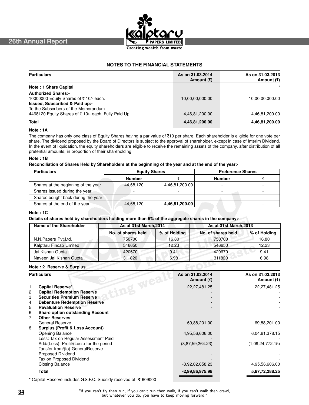

| <b>Particulars</b>                                                                                                                            | As on 31,03,2014<br>Amount $($ ₹) | As on 31,03,2013<br>Amount (₹) |
|-----------------------------------------------------------------------------------------------------------------------------------------------|-----------------------------------|--------------------------------|
| Note: 1 Share Capital                                                                                                                         |                                   |                                |
| <b>Authorized Shares:-</b><br>10000000 Equity Shares of ₹10/- each.<br>Issued, Subscribed & Paid up:-<br>To the Subscribers of the Memorandum | 10,00,00,000.00                   | 10,00,00,000.00                |
| 4468120 Equity Shares of ₹10/- each, Fully Paid Up                                                                                            | 4,46,81,200.00                    | 4,46,81,200.00                 |
| <b>Total</b>                                                                                                                                  | 4,46,81,200.00                    | 4,46,81,200.00                 |

#### **Note : 1A**

The company has only one class of Equity Shares having a par value of ₹10 per share. Each shareholder is eligible for one vote per share. The dividend proposed by the Board of Directors is subject to the approval of shareholder, except in case of Interim Dividend. In the event of liquidation, the equity shareholders are eligible to receive the remaining assets of the company, after distribution of all prefential amounts, in proportion of their shareholding.

#### **Note : 1B**

#### **Reconciliation of Shares Held by Shareholders at the beginning of the year and at the end of the year:-**

| <b>Particulars</b>                  | <b>Equity Shares</b> |                | <b>Preference Shares</b> |  |
|-------------------------------------|----------------------|----------------|--------------------------|--|
|                                     | <b>Number</b>        |                | <b>Number</b>            |  |
| Shares at the beginning of the year | 44,68,120            | 4,46,81,200.00 |                          |  |
| Shares Issued during the year       |                      |                |                          |  |
| Shares bought back during the year  |                      |                |                          |  |
| Shares at the end of the year       | 44,68,120            | 4,46,81,200.00 |                          |  |

#### **Note : 1C**

**Details of shares held by shareholders holding more than 5% of the aggregate shares in the company:-**

| Name of the Shareholder | As at 31st March, 2014 |              | As at 31st March, 2013 |              |
|-------------------------|------------------------|--------------|------------------------|--------------|
|                         | No. of shares held     | % of Holding | No. of shares held     | % of Holding |
| N.N.Papers Pvt.Ltd.     | 750700                 | 16.80        | 750700                 | 16.80        |
| Kalptaru Fincap Limited | 546650                 | 12.23        | 546650                 | 12.23        |
| Jai Kishan Gupta        | 420670                 | 9.41         | 420670                 | 9.41         |
| Naveen Jai Kishan Gupta | 311820                 | 6.98         | 311820                 | 6.98         |

#### **Note : 2 Reserve & Surplus**

| <b>Particulars</b> |                                            | As on 31,03,2014<br>Amount (₹) | As on 31.03.2013<br>Amount (₹) |
|--------------------|--------------------------------------------|--------------------------------|--------------------------------|
|                    | Capital Reserve*                           | 22, 27, 481. 25                | 22, 27, 481. 25                |
| $\overline{c}$     | <b>Capital Redemption Reserve</b>          |                                |                                |
| 3                  | <b>Securities Premium Reserve</b>          |                                |                                |
| 4                  | <b>Debenture Redemption Reserve</b>        |                                |                                |
| 5                  | <b>Revaluation Reserve</b>                 |                                |                                |
| 6                  | <b>Share option outstanding Account</b>    |                                |                                |
| 7                  | <b>Other Reserves</b>                      |                                |                                |
|                    | <b>General Reserve</b>                     | 69,88,201.00                   | 69,88,201.00                   |
| 8                  | <b>Surplus (Profit &amp; Loss Account)</b> |                                |                                |
|                    | Opening Balance                            | 4,95,56,606.00                 | 6,04,81,378.15                 |
|                    | Less: Tax on Regular Assessment Paid       |                                |                                |
|                    | Add/(Less): Profit/(Loss) for the period   | (8,87,59,264.23)               | (1,09,24,772.15)               |
|                    | Tansfer from/(to) GeneralReserve           |                                |                                |
|                    | Proposed Dividend                          |                                |                                |
|                    | Tax on Proposed Dividend                   |                                |                                |
|                    | <b>Closing Balance</b>                     | $-3,92,02,658.23$              | 4,95,56,606.00                 |
|                    | <b>Total</b>                               | $-2,99,86,975.98$              | 5,87,72,288.25                 |
|                    |                                            |                                |                                |

Capital Reserve includes G.S.F.C. Sudsidy received of ₹609000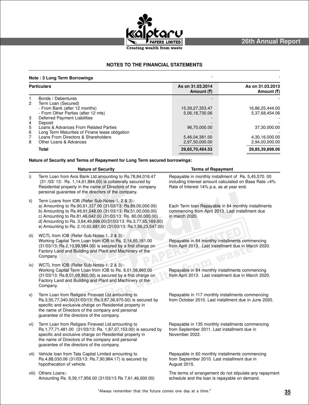# **Note : 3 Long Term Borrowings** ' '

|                | <b>Particulars</b>                              | As on 31,03,2014<br>Amount (₹) | As on 31.03.2013<br>Amount (₹) |
|----------------|-------------------------------------------------|--------------------------------|--------------------------------|
|                | Bonds / Debentures                              |                                |                                |
| $\overline{2}$ | Term Loan (Secured)                             |                                |                                |
|                | - From Bank (after 12 months)                   | 15,39,27,353.47                | 16,86,25,444.00                |
|                | - From Other Parties (after 12 mts)             | 5,06,18,730.06                 | 5,37,68,454.06                 |
| 3              | Deferred Payment Liabilities                    | -                              |                                |
| 4              | Deposit                                         |                                |                                |
| 5              | Loans & Advances From Related Parties           | 96,70,000.00                   | 37.30.000.00                   |
| 6              | Long Term Maturities of Finane lease obligation |                                |                                |
| 7              | Loans From Directors & Shareholders             | 5,46,04,381.00                 | 4,30,16,000.00                 |
| 8              | Other Loans & Advances                          | 2,97,50,000.00                 | 2.94.00.000.00                 |
|                | <b>Total</b>                                    | 29,85,70,464.53                | 29,85,39,898.06                |
|                |                                                 |                                |                                |

**Nature of Security and Terms of Repayment for Long Term secured borrowings:**

|        | <b>Nature of Security</b>                                                                                                                                                                                                                                                                                                                                                             | <b>Terms of Repayment</b>                                                                                                                                  |
|--------|---------------------------------------------------------------------------------------------------------------------------------------------------------------------------------------------------------------------------------------------------------------------------------------------------------------------------------------------------------------------------------------|------------------------------------------------------------------------------------------------------------------------------------------------------------|
| i)     | Term Loan from Axis Bank Ltd.amounting to Rs.78,84,016.47<br>(31 /03/ 13: Rs. 1,14,61,884.00) is collaterally secured by<br>Residential property in the name of Directors of the company<br>personal guarantee of the directors of the company.                                                                                                                                       | Repayable in monthly installment of Rs. 5,45,570. 00<br>including Interest amount calculated on Base Rate +4%<br>Rate of Interest 14% p.a. as at year end. |
| ii)    | Term Loans from IOB (Refer Sub-Notes-1, 2 & 3):-<br>a) Amounting to Rs.90,61,337.00 (31/03/13: Rs.89,00,000.00)<br>b) Amounting to Rs.49,91,248.00 (31/03/13: Rs.51,00,000.00)<br>c) Amounting to Rs.81,46,042.00 (31/03/13: Rs. 80,00,000.00)<br>d) Amounting to Rs. 3,84,49,696.00(31/03/13: Rs.3,77,65,169.00)<br>e) Amounting to Rs. 2,10,62,681.00 (31/03/13: Rs.1,56,23,547.00) | Each Term loan Repayable in 84 monthly installments<br>commencing from April 2013. Last installment due<br>in march 2020.                                  |
| iii)   | WCTL from IOB (Refer Sub-Notes-1, 2 & 3):-<br>Working Capital Term Loan from IOB to Rs. 2,14,85,161.00<br>(31/03/13: Rs.2,10,99,984.00) is secured by a first charge on<br>Factory Land and Building and Plant and Machinery of the<br>Company.                                                                                                                                       | Repayable in 84 monthly installments commencing<br>from April 2013. Last installment due in March 2020.<br>Was                                             |
| iv)    | WCTL from IOB (Refer Sub-Notes-1, 2 & 3):-<br>Working Capital Term Loan from IOB to Rs. 8,01,08,860.00<br>(31/03/13: Rs.8,01,08,860.00) is secured by a first charge on<br>Factory Land and Building and Plant and Machinery of the<br>Company.                                                                                                                                       | Repayable in 84 monthly installments commencing<br>from April 2013. Last installment due in March 2020.                                                    |
| V)     | Term Loan from Religare Finevest Ltd.amounting to<br>Rs.3,55,77,340.00(31/03/13: Rs.3,87,36,970.00) is secured by<br>specific and exclusive charge on Residential property in<br>the name of Directors of the company and personal<br>guarantee of the directors of the company.                                                                                                      | Repayable in 117 monthly installments commencing<br>from October 2010. Last installment due in June 2020.                                                  |
| vi)    | Term Loan from Religare Finevest Ltd.amounting to<br>Rs.1,77,71,481.00 (31/03/13: Rs. 1,87,07,153.00) is secured by<br>specific and exclusive charge on Residential property in<br>the name of Directors of the company and personal<br>guarantee of the directors of the company.                                                                                                    | Repayable in 135 monthly installments commencing<br>from September 2011. Last installment due in<br>November 2022.                                         |
| vii)   | Vehicle Ioan from Tata Capital Limited amounting to<br>Rs.4,88,030.06 (31/03/13: Rs.7,90,984.17) is secured by<br>hypothecation of vehicle.                                                                                                                                                                                                                                           | Repayable in 60 monthly installments commencing<br>from September 2010. Last installment due in<br>August 2015.                                            |
| viii). | Others Loans:-<br>Amounting Rs. 9,39,17,956.00 (31/03/13 Rs 7,61,46,000.00)                                                                                                                                                                                                                                                                                                           | The terms of arrangement do not stipulate any repayment<br>schedule and the loan is repayable on demand.                                                   |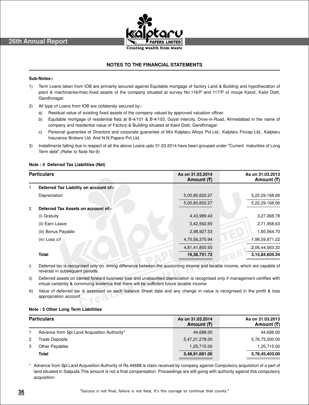

#### **Sub-Notes:-**

- 1) Term Loans taken from IOB are primarily secured against Equitable mortgage of factory Land & Building and hypothecation of plant & machinaries/misc.fixed assets of the company situated at survey No.116/P and 117/P of mouje Karoli, Kalol Distt, Gandhinagar.
- 2) All type of Loans from IOB are collateraly secured by:
	- a) Residual value of exisiting fixed assets of the company valued by approved valuation officer.
	- b) Equitable mortgage of residential flats at B-4/101 & B-4/103, Goyal intercity, Drive-in-Road, Ahmedabad in the name of company and residential value of Factory & Building situated at Kalol Distt, Gandhinagar.
	- c) Personal guarantee of Directors and corporate guarantee of M/s Kalptaru Alloys Pvt.Ltd., Kalptaru Fincap Ltd., Kalptaru Insurance Brokers Ltd. And N.N.Papers Pvt.Ltd.
- 3) Installments falling due in respect of all the above Loans upto 31.03.2014 have been grouped under "Current maturities of Long Term debt".(Refer to Note No-9)

#### **Note : 4 Deferred Tax Liabilities (Net)**

|   | <b>Particulars</b>                     | As on 31,03,2014<br>Amount (र) | As on 31.03.2013<br>Amount (₹) |
|---|----------------------------------------|--------------------------------|--------------------------------|
|   | Deferred Tax Liability on account of:- |                                |                                |
|   | Depreciation                           | 5,00,80,602.27                 | 5,22,29,168.66                 |
|   |                                        | 5,00,80,602.27                 | 5,22,29,168.66                 |
| 2 | Deferred Tax Assets on account of:-    |                                |                                |
|   | (i) Gratuity                           | 4,43,989.43                    | 3,27,068.78                    |
|   | (ii) Earn Leave                        | 3,42,562.65                    | 2,71,958.63                    |
|   | (iii) Bonus Payable                    | 2,98,927.53                    | 1,85,564.70                    |
|   | $(iv)$ Loss $c/f$                      | 4,70,56,370.94                 | 1,98,59,971.22                 |
|   |                                        | 4,81,41,850.55                 | 2,06,44,563.32                 |
|   | <b>Total</b>                           | 19,38,751.72                   | 3,15,84,605.34                 |
|   |                                        |                                |                                |

i) Deferred tax is recognised only on timing difference between the accounting income and taxable income, which are capable of reversal in subsequent periods.

ii) Deferred assets on carried forward business loss and unabsorbed depreciation is recognised only if management certifies with virtual certainity & convincing evidence that there will be sufficient future taxable income.

iii) Value of deferred tax is assessed on each balance Sheet date and any change in value is recognised in the profit & loss appropriation account.

#### **Note : 5 Other Long Term Liabilities**

|   | <b>Particulars</b>                           | As on 31,03,2014<br>Amount $(₹)$ | As on 31.03.2013<br>Amount (₹) |
|---|----------------------------------------------|----------------------------------|--------------------------------|
|   | Advance from Spl.Land Acquisition Authority* | 44.688.00                        | 44,688.00                      |
| 2 | Trade Deposits                               | 5,47,21,278.00                   | 5,76,75,000.00                 |
| 3 | <b>Other Payables</b>                        | 1,25,715.00                      | 1,25,715.00                    |
|   | <b>Total</b>                                 | 5,48,91,681.00                   | 5,78,45,403.00                 |

\* Advance from Spl.Land Acquisition Authority of Rs.44688 is claim received by company against Compulsory acquisition of a part of land situated in Satpuda.This amount is not a final compensation. Proceedings are still going with authority against this compulsory acquisition.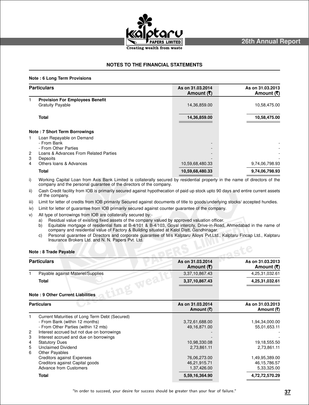

#### **Note : 6 Long Term Provisions**

| <b>Particulars</b> |                                                                   | As on 31.03.2014<br>Amount (₹)                       | As on 31.03.2013<br>Amount (₹) |
|--------------------|-------------------------------------------------------------------|------------------------------------------------------|--------------------------------|
|                    | <b>Provision For Employees Benefit</b><br><b>Gratuity Payable</b> | 14,36,859.00                                         | 10,58,475.00                   |
|                    | <b>Total</b>                                                      | 14,36,859.00                                         | 10,58,475.00                   |
|                    | <b>Note: 7 Short Term Borrowings</b>                              |                                                      |                                |
| 1.                 | Loan Repayable on Demand<br>- From Bank<br>- From Other Parties   | $\overline{\phantom{0}}$<br>$\overline{\phantom{a}}$ |                                |
| $\overline{2}$     | Loans & Advances From Related Parties                             | $\overline{\phantom{a}}$                             |                                |
| 3                  | Depsoits                                                          |                                                      |                                |
| 4                  | Others Ioans & Advances                                           | 10,59,68,480.33                                      | 9,74,06,798.93                 |
|                    | <b>Total</b>                                                      | 10,59,68,480.33                                      | 9,74,06,798.93                 |

i) Working Capital Loan from Axis Bank Limited is collaterally secured by residential property in the name of directors of the company and the personal guarantee of the directors of the company.

- ii) Cash Credit facility from IOB is primarily secured against hypothecation of paid up stock upto 90 days and entire current assets of the company.
- iii) Limit for letter of credits from IOB primarily Secured against documents of title to goods/underlying stocks/ accepted hundies.
- iv) Limit for letter of guarantee from IOB primarily secured against counter guarantee of the company.
- v) All type of borrowings from IOB are collaterally secured by:
	- a) Residual value of exisiting fixed assets of the company valued by approved valuation officer.
	- b) Equitable mortgage of residential flats at B-4/101 & B-4/103, Goyal intercity, Drive-in-Road, Ahmedabad in the name of company and residential value of Factory & Building situated at Kalol Distt, Gandhinagar.
	- c) Personal guarantee of Directors and corporate guarantee of M/s Kalptaru Alloys Pvt.Ltd., Kalptaru Fincap Ltd., Kalptaru Insurance Brokers Ltd. and N. N. Papers Pvt. Ltd.

#### **Note : 8 Trade Payable**

|                    | <b>Particulars</b>                             | As on 31,03,2014<br>Amount $(\bar{x})$ | As on 31.03.2013<br>Amount (र) |
|--------------------|------------------------------------------------|----------------------------------------|--------------------------------|
| 1                  | Payable against Materiel/Supplies              | 3,37,10,867.43                         | 4,25,31,032.61                 |
|                    | <b>Total</b>                                   | 3,37,10,867.43                         | 4,25,31,032.61                 |
|                    | <b>Note: 9 Other Current Liabilities</b>       |                                        |                                |
| <b>Particulars</b> |                                                | As on 31.03.2014<br>Amount (₹)         | As on 31,03,2013<br>Amount (₹) |
| 1                  | Current Maturities of Long Term Debt (Secured) |                                        |                                |
|                    | - From Bank (within 12 months)                 | 3,72,61,688.00                         | 1,94,34,000.00                 |
|                    | - From Other Parties (within 12 mts)           | 49,16,871.00                           | 55,01,653.11                   |
| $\overline{c}$     | Interest accrued but not due on borrowings     |                                        |                                |
| 3                  | Interest accrued and due on borrowings         |                                        |                                |
| 4                  | <b>Statutory Dues</b>                          | 10,98,330.08                           | 19,18,555.50                   |
| 5                  | <b>Unclaimed Dividend</b>                      | 2,73,861.11                            | 2,73,861.11                    |
| 6                  | Other Payables                                 |                                        |                                |
|                    | <b>Creditors against Expenses</b>              | 76,06,273.00                           | 1,49,95,389.00                 |
|                    | Creditors against Capital goods                | 46,21,915.71                           | 46, 15, 786. 57                |
|                    | <b>Advance from Customers</b>                  | 1,37,426.00                            | 5,33,325.00                    |
|                    | <b>Total</b>                                   | 5,59,16,364.90                         | 4,72,72,570.29                 |
|                    |                                                |                                        |                                |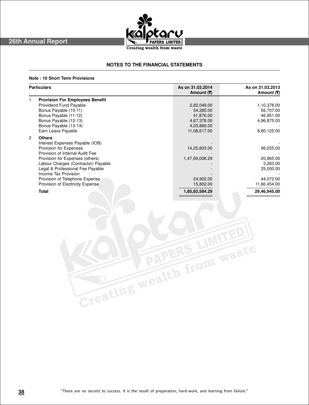



#### **Note : 10 Short Term Provisions**

|                | <b>Particulars</b>                     | As on 31.03.2014<br>Amount $($ ₹) | As on 31.03.2013<br>Amount (₹) |
|----------------|----------------------------------------|-----------------------------------|--------------------------------|
| 1              | <b>Provision For Employees Benefit</b> |                                   |                                |
|                | Providend Fund Payable                 | 2,82,049.00                       | 1,10,378.00                    |
|                | Bonus Payable (10-11)                  | 54,285.00                         | 56,707.00                      |
|                | Bonus Payable (11-12)                  | 41,876.00                         | 46,951.00                      |
|                | Bonus Payable (12-13)                  | 4,67,376.00                       | 4,96,875.00                    |
|                | Bonus Payable (13-14)                  | 4,03,866.00                       |                                |
|                | Earn Leave Payable                     | 11,08,617.00                      | 8,80,125.00                    |
| $\overline{2}$ | <b>Others</b>                          |                                   |                                |
|                | Interest Expenses Payable (IOB)        |                                   |                                |
|                | Provision for Expenses                 | 14,25,803.00                      | 96,255.00                      |
|                | Provision of Internal Audit Fee        |                                   |                                |
|                | Provision for Expenses (others)        | 1,47,59,008.29                    | 20,865.00                      |
|                | Labour Charges (Contractor) Payable    |                                   | 3,263.00                       |
|                | Legal & Professional Fee Payable       |                                   | 25,000.00                      |
|                | Income Tax Provision                   |                                   |                                |
|                | Provision of Telephone Expense         | 24,902.00                         | 44,072.00                      |
|                | Provision of Electricity Expense       | 15,802.00                         | 11,66,454.00                   |
|                | <b>Total</b>                           | 1,85,83,584.29                    | 29,46,945.00                   |

**KON PAPERS LIMITED**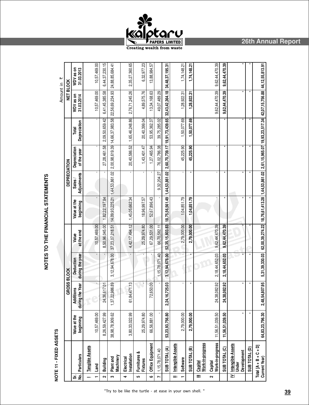

# **26th Annual Report**

|                    | NOTE 11 - FIXED ASSETS                           |                           |                                  |                              |                                                                                                                                    |                                                                                       |                      |                             |                       | Amount in                                      | ₩                       |
|--------------------|--------------------------------------------------|---------------------------|----------------------------------|------------------------------|------------------------------------------------------------------------------------------------------------------------------------|---------------------------------------------------------------------------------------|----------------------|-----------------------------|-----------------------|------------------------------------------------|-------------------------|
|                    |                                                  |                           | <b>GROSS BLOCK</b>               |                              |                                                                                                                                    |                                                                                       | DEPRECIATION         |                             |                       | <b>NET BLOCK</b>                               |                         |
| ູ້<br>ສ່ <u>ອ່</u> | <b>Particulars</b>                               | Value at the<br>beginning | during the Year<br>dditions<br>⋖ | during the year<br>Deduction | at the end<br>Value                                                                                                                | Value at the<br>beginning                                                             | Adjustments<br>Sales | Depreciation<br>of the year | Depreciation<br>Total | WDV as on<br>31.03.2014                        | WDV as on<br>31.03.2013 |
|                    | <b>Tangible Assets</b>                           |                           |                                  |                              |                                                                                                                                    |                                                                                       |                      |                             |                       |                                                |                         |
|                    | Land                                             | 10,57,469.00              |                                  |                              | 10,57,469.00                                                                                                                       |                                                                                       |                      |                             |                       | 10,57,469.00                                   | 10,57,469.00            |
| $\sim$             | Building                                         | 8,26,59,427.99            | 24,36,617.01                     |                              | 8,50,96,045.00                                                                                                                     | 1,82,22,197.84                                                                        |                      | 27,28,461.58                | 2,09,50,659.42        | 6,41,45,385.58                                 | 6,44,37,230.15          |
| ၐ                  | <b>Machinery</b><br>Plant and                    | 38,98,78,909.62           | 1,37,22,986.89                   | 3,12,94,678.00               |                                                                                                                                    | 37,23,07,218.51   14,09,93,225.21   1,44,53,861.02   2,00,98,619.39   14,66,37,983.58 |                      |                             |                       | 22,56,69,234.93                                | 24,88,85,684.41         |
| 4                  | Electrical<br>Installation                       | 3,80,33,022.99            | 61,84,471.13                     |                              | 4,42,17,494.12                                                                                                                     | 1,45,05,662.34                                                                        |                      | 20,40,586.52                | 1,65,46,248.86        | 2,76,71,245.26                                 | 2,35,27,360.65          |
| မာ                 | Furnitures &<br><b>Fixtures</b>                  | 25,29,974.80              |                                  |                              | 25,29,974.80                                                                                                                       | 18,96,997.57                                                                          |                      | 1,43,401.47                 | 20,40,399.04          | 4,89,575.76                                    | 6,32,977.23             |
| ဖ                  | Office Equipment                                 | 66,56,881.00              | 72,650.00                        |                              | 67,29,531.00                                                                                                                       | 52,67,896.43                                                                          |                      | ,27,465.94                  | 53,95,362.37          | 13,34,168.63                                   | 13,88,984.57            |
| r.                 | 1,15,78,071.40                                   |                           |                                  | 1,15,78,071.40               | 66,70,582.11                                                                                                                       |                                                                                       | 9,32,204.27          | 76,02,786.38                | 39,75,285.02          | 49,07,489.29                                   |                         |
|                    | SUB TOTAL (A)                                    | 53,23,93,756.80           | 14,16,725.03<br>$\frac{2}{3}$    | 3,12,94,678.00               |                                                                                                                                    | 52,35,15,803.83 18,75,56,561.49 1,44,53,861.02                                        |                      |                             |                       | 2,60,70,739.17 19,91,73,439.65 32,43,42,364.18 | 34,48,37,195.31         |
| $=$                | <b>Intangible Assets</b>                         |                           |                                  |                              |                                                                                                                                    |                                                                                       |                      |                             |                       |                                                |                         |
|                    | Software                                         | 2,79,000.00               |                                  |                              | 2,79,000.00                                                                                                                        | 1,04,851.79                                                                           |                      | 45,225.90                   | 1,50,077.69           | 1,28,922.31                                    | 1,74,148.21             |
|                    | SUB TOTAL (B)                                    | 2,79,000.00               |                                  |                              | 2,79,000.00                                                                                                                        | 1,04,851.79                                                                           |                      | 45,225.90                   | 1,50,077.69           | 1,28,922.31                                    | 1,74,148.21             |
| $\equiv$           | Capital<br>Work-in-progress                      |                           |                                  |                              |                                                                                                                                    |                                                                                       |                      |                             |                       |                                                |                         |
| $\mathbf{a}$       | Work-in-progress<br>Capital                      | 11,56,51,039.50           | 14,38,082.92                     | 2,18,44,652.03               | 9,62,44,470.39                                                                                                                     |                                                                                       |                      |                             |                       | 9,62,44,470.39                                 | 9,62,44,470.39          |
|                    | SUB TOTAL (C)                                    | 11,56,51,039.50           | 24,38,082.92                     | 2,18,44,652.03               | 9,62,44,470.39                                                                                                                     | ٠                                                                                     |                      |                             |                       | 9,62,44,470.39                                 | 9,62,44,470.39          |
| $\overline{\geq}$  | <u>Intangible Assets</u><br>Under<br>Development |                           |                                  |                              |                                                                                                                                    | $\blacksquare$                                                                        |                      |                             |                       | ٠                                              |                         |
|                    | SUB TOTAL (D)                                    |                           |                                  |                              |                                                                                                                                    | ٠                                                                                     |                      |                             |                       | ٠                                              |                         |
|                    | Total [A + B + C + D]<br>Current Year)           | 64,83,23,796.30           | 2,48,54,807.95                   |                              | 5,31,39,330.03   62,00,39,274.22  18,76,61,413.28 1,44,53,861.02  2,61,15,965.07 19,93,23,517.34  42,07,15,756.88  44,12,55,813.91 |                                                                                       |                      |                             |                       |                                                |                         |

# NOTES TO THE FINANCIAL STATEMENTS **NOTES TO THE FINANCIAL STATEMENTS**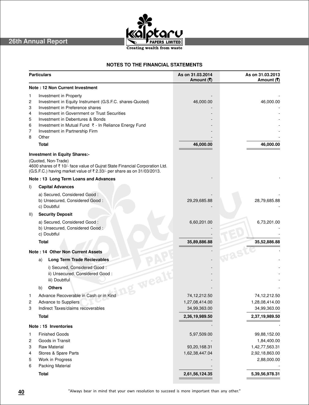

|                | <b>Particulars</b>                                                                                                                                  | As on 31.03.2014<br>Amount (₹) | As on 31.03.2013<br>Amount (₹) |
|----------------|-----------------------------------------------------------------------------------------------------------------------------------------------------|--------------------------------|--------------------------------|
|                | <b>Note: 12 Non Current Investment</b>                                                                                                              |                                |                                |
| 1              | Investment in Property                                                                                                                              |                                |                                |
| $\overline{c}$ | Investment in Equity Instrument (G.S.F.C. shares-Quoted)                                                                                            | 46,000.00                      | 46,000.00                      |
| 3              | Investment in Preference shares                                                                                                                     |                                |                                |
| 4<br>5         | Investment in Government or Trust Securities<br>Investment in Debentures & Bonds                                                                    |                                |                                |
| 6              | Investment in Mutual Fund ₹ - In Reliance Energy Fund                                                                                               |                                |                                |
| $\overline{7}$ | Investment in Partnership Firm                                                                                                                      |                                |                                |
| 8              | Other                                                                                                                                               |                                |                                |
|                | <b>Total</b>                                                                                                                                        | 46,000.00                      | 46,000.00                      |
|                | <b>Investment in Equity Shares:-</b>                                                                                                                |                                |                                |
|                | (Quoted, Non-Trade)                                                                                                                                 |                                |                                |
|                | 4600 shares of ₹10/- face value of Gujrat State Financial Corporation Ltd.<br>(G.S.F.C.) having market value of ₹2.33/- per share as on 31/03/2013. |                                |                                |
|                | Note: 13 Long Term Loans and Advances                                                                                                               |                                |                                |
| $\vert$        | <b>Capital Advances</b>                                                                                                                             |                                |                                |
|                | a) Secured, Considered Good:                                                                                                                        |                                |                                |
|                | b) Unsecured, Considered Good:                                                                                                                      | 29,29,685.88                   | 28,79,685.88                   |
|                | c) Doubtful                                                                                                                                         |                                |                                |
| $\vert \vert$  | <b>Security Deposit</b>                                                                                                                             |                                |                                |
|                | a) Secured, Considered Good:                                                                                                                        | 6,60,201.00                    | 6,73,201.00                    |
|                | b) Unsecured, Considered Good:                                                                                                                      |                                |                                |
|                | c) Doubtful                                                                                                                                         |                                |                                |
|                | Total                                                                                                                                               | 35,89,886.88                   | 35,52,886.88                   |
|                | <b>Note: 14 Other Non Current Assets</b>                                                                                                            |                                |                                |
|                | <b>Long Term Trade Recievables</b><br>a)                                                                                                            |                                |                                |
|                | i) Secured, Considered Good:                                                                                                                        |                                |                                |
|                | ii) Unsecured, Considered Good:                                                                                                                     |                                |                                |
|                | iii) Doubtful                                                                                                                                       |                                |                                |
|                | ng wealt<br><b>Others</b><br>b)                                                                                                                     |                                |                                |
| 1              | Advance Recoverable in Cash or in Kind                                                                                                              | 74,12,212.50                   | 74,12,212.50                   |
| 2              | Advance to Suppliers                                                                                                                                | 1,27,08,414.00                 | 1,28,08,414.00                 |
| 3              | Indirect Taxes/claims recoverables                                                                                                                  | 34,99,363.00                   | 34,99,363.00                   |
|                | <b>Total</b>                                                                                                                                        | 2,36,19,989.50                 | 2,37,19,989.50                 |
|                | Note: 15 Inventories                                                                                                                                |                                |                                |
| 1              | <b>Finished Goods</b>                                                                                                                               | 5,97,509.00                    | 99,88,152.00                   |
| 2              | Goods in Transit                                                                                                                                    |                                | 1,84,400.00                    |
| 3              | <b>Raw Material</b>                                                                                                                                 | 93,20,168.31                   | 1,42,77,563.31                 |
| 4              | Stores & Spare Parts                                                                                                                                | 1,62,38,447.04                 | 2,92,18,863.00                 |
| 5              | Work in Progress                                                                                                                                    |                                | 2,88,000.00                    |
| 6              | Packing Material                                                                                                                                    |                                |                                |
|                | <b>Total</b>                                                                                                                                        | 2,61,56,124.35                 | 5,39,56,978.31                 |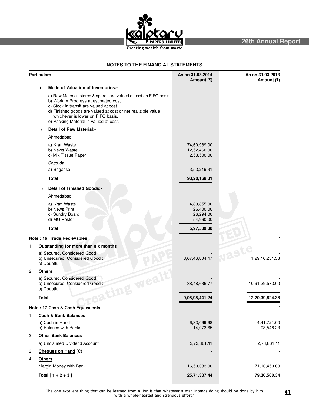

# **26th Annual Report**

| <b>Particulars</b> |               |                                                                                                                                                                                                                                                                                                        | As on 31.03.2014<br>Amount (₹)                     | As on 31.03.2013<br>Amount (₹) |
|--------------------|---------------|--------------------------------------------------------------------------------------------------------------------------------------------------------------------------------------------------------------------------------------------------------------------------------------------------------|----------------------------------------------------|--------------------------------|
|                    | i)            | Mode of Valuation of Inventories:-                                                                                                                                                                                                                                                                     |                                                    |                                |
|                    |               | a) Raw Material, stores & spares are valued at cost on FIFO basis.<br>b) Work in Progress at estimated cost.<br>c) Stock in transit are valued at cost.<br>d) Finished goods are valued at cost or net realizible value<br>whichever is lower on FIFO basis.<br>e) Packing Material is valued at cost. |                                                    |                                |
|                    | ii)           | <b>Detail of Raw Material:-</b>                                                                                                                                                                                                                                                                        |                                                    |                                |
|                    |               | Ahmedabad                                                                                                                                                                                                                                                                                              |                                                    |                                |
|                    |               | a) Kraft Waste<br>b) News Waste<br>c) Mix Tissue Paper                                                                                                                                                                                                                                                 | 74,60,989.00<br>12,52,460.00<br>2,53,500.00        |                                |
|                    |               | Satpuda                                                                                                                                                                                                                                                                                                |                                                    |                                |
|                    |               | a) Bagasse                                                                                                                                                                                                                                                                                             | 3,53,219.31                                        |                                |
|                    |               | <b>Total</b>                                                                                                                                                                                                                                                                                           | 93,20,168.31                                       |                                |
|                    | iii)          | <b>Detail of Finished Goods:-</b>                                                                                                                                                                                                                                                                      |                                                    |                                |
|                    |               | Ahmedabad                                                                                                                                                                                                                                                                                              |                                                    |                                |
|                    |               | a) Kraft Waste<br>b) News Print<br>c) Sundry Board<br>d) MG Poster                                                                                                                                                                                                                                     | 4,89,855.00<br>26,400.00<br>26,294.00<br>54,960.00 |                                |
|                    |               | <b>Total</b>                                                                                                                                                                                                                                                                                           | 5,97,509.00                                        |                                |
|                    |               | Note: 16 Trade Recievables                                                                                                                                                                                                                                                                             |                                                    |                                |
| 1                  |               | Outstanding for more than six months                                                                                                                                                                                                                                                                   |                                                    |                                |
|                    |               | a) Secured, Considered Good:<br>b) Unsecured, Considered Good:<br>c) Doubtful                                                                                                                                                                                                                          | 8,67,46,804.47                                     | 1,29,10,251.38                 |
| 2                  | <b>Others</b> |                                                                                                                                                                                                                                                                                                        |                                                    |                                |
|                    |               | ting weal<br>a) Secured, Considered Good:<br>b) Unsecured, Considered Good:<br>c) Doubtful                                                                                                                                                                                                             | 38,48,636.77                                       | 10,91,29,573.00                |
|                    | Total         |                                                                                                                                                                                                                                                                                                        | 9,05,95,441.24                                     | 12,20,39,824.38                |
|                    |               | Note: 17 Cash & Cash Equivalents                                                                                                                                                                                                                                                                       |                                                    |                                |
| 1                  |               | <b>Cash &amp; Bank Balances</b>                                                                                                                                                                                                                                                                        |                                                    |                                |
|                    |               | a) Cash in Hand<br>b) Balance with Banks                                                                                                                                                                                                                                                               | 6,33,069.68<br>14,073.65                           | 4,41,721.00<br>98,548.23       |
| 2                  |               | <b>Other Bank Balances</b>                                                                                                                                                                                                                                                                             |                                                    |                                |
|                    |               | a) Unclaimed Dividend Account                                                                                                                                                                                                                                                                          | 2,73,861.11                                        | 2,73,861.11                    |
| 3                  |               | Cheques on Hand (C)                                                                                                                                                                                                                                                                                    |                                                    |                                |
| 4                  | <b>Others</b> |                                                                                                                                                                                                                                                                                                        |                                                    |                                |
|                    |               | Margin Money with Bank                                                                                                                                                                                                                                                                                 | 16,50,333.00                                       | 71,16,450.00                   |
|                    |               | Total $[1 + 2 + 3]$                                                                                                                                                                                                                                                                                    | 25,71,337.44                                       | 79,30,580.34                   |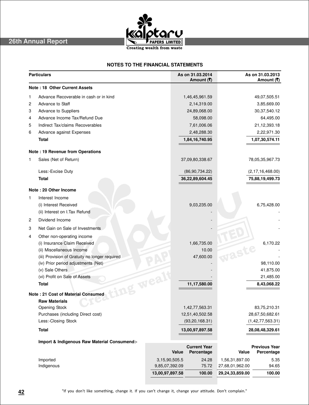

|                | <b>Particulars</b>                                       |                 | As on 31.03.2014<br>Amount (₹)      |                 | As on 31.03.2013<br>Amount (₹)      |
|----------------|----------------------------------------------------------|-----------------|-------------------------------------|-----------------|-------------------------------------|
|                | <b>Note: 18 Other Current Assets</b>                     |                 |                                     |                 |                                     |
| $\mathbf{1}$   | Advance Recoverable in cash or in kind                   |                 | 1,46,45,961.59                      |                 | 49,07,505.51                        |
| $\overline{c}$ | Advance to Staff                                         |                 | 2,14,319.00                         |                 | 3,85,669.00                         |
| 3              | Advance to Suppliers                                     |                 | 24,89,068.00                        |                 | 30, 37, 540. 12                     |
| 4              | Advance Income Tax/Refund Due                            |                 | 58,098.00                           |                 | 64,495.00                           |
| 5              | Indirect Tax/claims Recoverables                         |                 | 7,61,006.06                         |                 | 21,12,393.18                        |
| 6              | Advance against Expenses                                 |                 | 2,48,288.30                         |                 | 2,22,971.30                         |
|                | Total                                                    |                 | 1,84,16,740.95                      |                 | 1,07,30,574.11                      |
|                | Note: 19 Revenue from Operations                         |                 |                                     |                 |                                     |
| 1              | Sales (Net of Return)                                    |                 | 37,09,80,338.67                     |                 | 78,05,35,967.73                     |
|                | Less:-Excise Duty                                        |                 | (86,90,734.22)                      |                 | (2, 17, 16, 468.00)                 |
|                | <b>Total</b>                                             |                 | 36,22,89,604.45                     |                 | 75,88,19,499.73                     |
|                | Note: 20 Other Income                                    |                 |                                     |                 |                                     |
| $\mathbf{1}$   | Interest Income                                          |                 |                                     |                 |                                     |
|                | (i) Interest Received                                    |                 | 9,03,235.00                         |                 | 6,75,428.00                         |
|                | (ii) Interest on I. Tax Refund                           |                 |                                     |                 |                                     |
| 2              | Dividend Income                                          |                 |                                     |                 |                                     |
| 3              | Net Gain on Sale of Investments                          |                 |                                     |                 |                                     |
| 4              | Other non-operating income                               |                 |                                     |                 |                                     |
|                | (i) Insurance Claim Received                             |                 | 1,66,735.00                         |                 | 6,170.22                            |
|                | (ii) Miscellaneous Income                                |                 | 10.00                               | aste            |                                     |
|                | (iii) Provision of Gratuity no longer required           |                 | 47,600.00                           |                 |                                     |
|                | (iv) Prior period adjustments (Net)                      |                 |                                     |                 | 98,110.00                           |
|                | (v) Sale Others                                          |                 |                                     |                 | 41,875.00                           |
|                | (vi) Profit on Sale of Assets                            |                 |                                     |                 | 21,485.00                           |
|                | ting weal<br>Total                                       |                 | 11,17,580.00                        |                 | 8,43,068.22                         |
|                | Note: 21 Cost of Material Consumed                       |                 |                                     |                 |                                     |
|                | <b>Raw Materials</b>                                     |                 |                                     |                 |                                     |
|                | Opening Stock                                            |                 | 1,42,77,563.31                      |                 | 83,75,210.31                        |
|                | Purchases (including Direct cost)<br>Less:-Closing Stock |                 | 12,51,40,502.58<br>(93, 20, 168.31) |                 | 28,67,50,682.61<br>(1,42,77,563.31) |
|                |                                                          |                 |                                     |                 |                                     |
|                | Total                                                    |                 | 13,00,97,897.58                     |                 | 28,08,48,329.61                     |
|                | Import & Indigenous Raw Material Consumend:-             |                 |                                     |                 |                                     |
|                |                                                          | Value           | <b>Current Year</b><br>Percentage   | Value           | <b>Previous Year</b><br>Percentage  |
|                | Imported                                                 | 3,15,90,505.5   | 24.28                               | 1,56,31,897.00  | 5.35                                |
|                | Indigenous                                               | 9,85,07,392.09  | 75.72                               | 27,68,01,962.00 | 94.65                               |
|                |                                                          | 13,00,97,897.58 | 100.00                              | 29,24,33,859.00 | 100.00                              |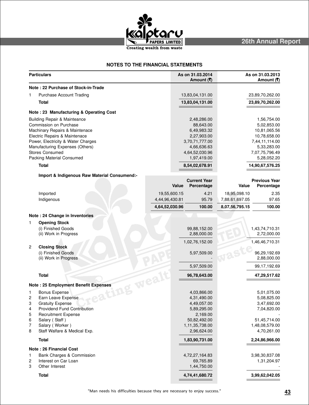

| <b>Particulars</b>                                                    |                | As on 31.03.2014<br>Amount (₹) |                | As on 31.03.2013<br>Amount (₹) |
|-----------------------------------------------------------------------|----------------|--------------------------------|----------------|--------------------------------|
| Note: 22 Purchase of Stock-in-Trade                                   |                |                                |                |                                |
| <b>Purchase Account Trading</b><br>1                                  |                | 13,83,04,131.00                |                | 23,89,70,262.00                |
| Total                                                                 |                | 13,83,04,131.00                |                | 23,89,70,262.00                |
| Note: 23 Manufacturing & Operating Cost                               |                |                                |                |                                |
| <b>Building Repair &amp; Mainteance</b>                               |                | 2,48,286.00                    |                | 1,56,754.00                    |
| Commission on Purchase                                                |                | 88,643.00                      |                | 5,02,853.00                    |
| Machinary Repairs & Maintenace                                        |                | 6,49,983.32                    |                | 10,81,065.56                   |
| Electric Repairs & Maintenace                                         |                | 2,27,903.00                    |                | 10,78,658.00                   |
| Power, Electricity & Water Charges<br>Manufacturing Expenses (Others) |                | 3,70,71,777.00<br>4,66,636.63  |                | 7,44,11,114.00<br>5,33,283.00  |
| Stores Consumed                                                       |                | 4,64,52,030.96                 |                | 7,07,75,796.49                 |
| Packing Material Consumed                                             |                | 1,97,419.00                    |                | 5,28,052.20                    |
| Total                                                                 |                | 8,54,02,678.91                 |                | 14,90,67,576.25                |
| Import & Indigenous Raw Material Consumend:-                          |                |                                |                |                                |
|                                                                       |                | <b>Current Year</b>            |                | <b>Previous Year</b>           |
|                                                                       |                | Value<br>Percentage            | Value          | Percentage                     |
| Imported                                                              | 19,55,600.15   | 4.21                           | 18,95,098.10   | 2.35                           |
| Indigenous                                                            | 4,44,96,430.81 | 95.79                          | 7,88,61,697.05 | 97.65                          |
|                                                                       | 4,64,52,030.96 | 100.00                         | 8,07,56,795.15 | 100.00                         |
| Note: 24 Change in Inventories                                        |                |                                |                |                                |
| <b>Opening Stock</b><br>1                                             |                |                                |                |                                |
| (i) Finished Goods                                                    |                | 99,88,152.00                   |                | 1,43,74,710.31                 |
| (ii) Work in Progress                                                 |                | 2,88,000.00                    |                | 2,72,000.00                    |
| $\overline{c}$<br><b>Closing Stock</b>                                |                | 1,02,76,152.00                 |                | 1,46,46,710.31                 |
| (i) Finished Goods                                                    |                | 5,97,509.00                    |                | 96,29,192.69                   |
| (ii) Work in Progress                                                 |                |                                |                | 2,88,000.00                    |
|                                                                       |                | 5,97,509.00                    |                | 99,17,192.69                   |
| <b>Total</b>                                                          |                | 96,78,643.00                   |                | 47,29,517.62                   |
|                                                                       | ting weal      |                                |                |                                |
| <b>Note: 25 Employment Benefit Expenses</b>                           |                |                                |                |                                |
| Bonus Expense<br>1<br>Earn Leave Expense<br>2                         |                | 4,03,866.00                    |                | 5,01,075.00                    |
| 3<br><b>Gratuity Expense</b>                                          |                | 4,31,490.00<br>4,49,057.00     |                | 5,08,825.00<br>3,47,692.00     |
| Providend Fund Contribution<br>4                                      |                | 5,89,295.00                    |                | 7,04,820.00                    |
| 5<br><b>Recruitment Expense</b>                                       |                | 2,169.00                       |                |                                |
| Salary (Staff)<br>6                                                   |                | 50,82,492.00                   |                | 51,45,714.00                   |
| 7<br>Salary (Worker)                                                  |                | 1,11,35,738.00                 |                | 1,48,08,579.00                 |
| 8<br>Staff Walfare & Medical Exp.                                     |                | 2,96,624.00                    |                | 4,70,261.00                    |
| <b>Total</b>                                                          |                | 1,83,90,731.00                 |                | 2,24,86,966.00                 |
| <b>Note: 26 Financial Cost</b>                                        |                |                                |                |                                |
| Bank Charges & Commission<br>1                                        |                | 4,72,27,164.83                 |                | 3,98,30,837.08                 |
| $\overline{c}$<br>Interest on Car Loan                                |                | 69,765.89                      |                | 1,31,204.97                    |
| Other Interest<br>3                                                   |                | 1,44,750.00                    |                |                                |
| <b>Total</b>                                                          |                | 4,74,41,680.72                 |                | 3,99,62,042.05                 |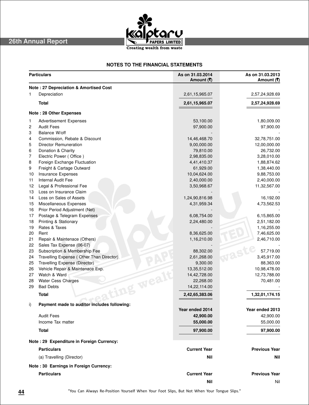

| <b>Particulars</b> |                                                    | As on 31.03.2014<br>Amount $($ ₹) | As on 31.03.2013<br>Amount (₹) |  |
|--------------------|----------------------------------------------------|-----------------------------------|--------------------------------|--|
|                    | <b>Note: 27 Depreciation &amp; Amortised Cost</b>  |                                   |                                |  |
| 1                  | Depreciation                                       | 2,61,15,965.07                    | 2,57,24,928.69                 |  |
|                    | Total                                              | 2,61,15,965.07                    | 2,57,24,928.69                 |  |
|                    | Note: 28 Other Expenses                            |                                   |                                |  |
| 1                  | <b>Advertisement Expenses</b>                      | 53,100.00                         | 1,80,009.00                    |  |
| 2                  | <b>Audit Fees</b>                                  | 97,900.00                         | 97,900.00                      |  |
| 3                  | Balance W/off                                      |                                   |                                |  |
| 4                  | Commission, Rebate & Discount                      | 14,46,468.70                      | 32,78,751.00                   |  |
| 5                  | Director Remuneration                              | 9,00,000.00                       | 12,00,000.00                   |  |
| 6                  | Donation & Charity                                 | 79,810.00                         | 26,732.00                      |  |
| 7                  | Electric Power (Office)                            | 2,98,835.00                       | 3,28,010.00                    |  |
| 8                  | Foreign Exchange Fluctuation                       | 4,41,410.37                       | 1,88,874.62                    |  |
| 9                  | Freight & Cartage Outward                          | 61,929.00                         | 1,38,440.00                    |  |
| 10                 | Insurance Expenses                                 | 10,04,624.00                      | 9,88,753.00                    |  |
| 11                 | Internal Audit Fee                                 | 2,40,000.00                       | 2,40,000.00                    |  |
| 12                 | Legal & Professional Fee                           | 3,50,968.67                       | 11,32,567.00                   |  |
| 13<br>14           | Loss on Insurance Claim<br>Loss on Sales of Assets |                                   |                                |  |
| 15                 | Miscellaneous Expenses                             | 1,24,90,816.98<br>4,31,959.34     | 16,192.00<br>4,73,562.53       |  |
| 16                 | Prior Period Adjustment (Net)                      |                                   |                                |  |
| 17                 | Postage & Telegram Expenses                        | 6,08,754.00                       | 6,15,865.00                    |  |
| 18                 | Printing & Stationary                              | 2,24,480.00                       | 2,51,182.00                    |  |
| 19                 | Rates & Taxes                                      |                                   | 1,16,255.00                    |  |
| 20                 | Rent                                               | 8,36,625.00                       | 7,46,625.00                    |  |
| 21                 | Repair & Maintenace (Others)                       | 1,16,210.00                       | 2,46,710.00                    |  |
| 22                 | Sales Tax Expense (06-07)                          |                                   |                                |  |
| 23                 | Subscription & Membership Fee                      | 88,302.00                         | 57,719.00                      |  |
| 24                 | Travelling Expense (Other Than Director)           | 2,61,268.00                       | 3,45,917.00                    |  |
| 25                 | Travelling Expense (Director)                      | 9,300.00                          | 88,363.00                      |  |
| 26                 | Vehicle Repair & Maintenace Exp.                   | 13,35,512.00                      | 10,98,478.00                   |  |
| 27                 | Watch & Ward                                       | 14,42,728.00                      | 12,73,788.00                   |  |
| 28                 | <b>Water Cess Charges</b>                          | 22,268.00                         | 70,481.00                      |  |
| 29                 | <b>Bad Debts</b>                                   | 14,22,114.00                      |                                |  |
|                    | ting wealt<br><b>Total</b>                         | 2,42,65,383.06                    | 1,32,01,174.15                 |  |
| i)                 | Payment made to auditor includes following:        |                                   |                                |  |
|                    |                                                    | Year ended 2014                   | Year ended 2013                |  |
|                    | <b>Audit Fees</b>                                  | 42,900.00                         | 42,900.00                      |  |
|                    | Income Tax matter                                  | 55,000.00                         | 55,000.00                      |  |
|                    | <b>Total</b>                                       | 97,900.00                         | 97,900.00                      |  |
|                    | Note: 29 Expenditure in Foreign Currency:          |                                   |                                |  |
|                    | <b>Particulars</b>                                 | <b>Current Year</b>               | <b>Previous Year</b>           |  |
|                    | (a) Travelling (Director)                          | Nil                               | Nil                            |  |
|                    | Note: 30 Earnings in Foreign Currency:             |                                   |                                |  |
|                    | <b>Particulars</b>                                 | <b>Current Year</b>               | <b>Previous Year</b>           |  |
|                    |                                                    | <b>Nil</b>                        | Nil                            |  |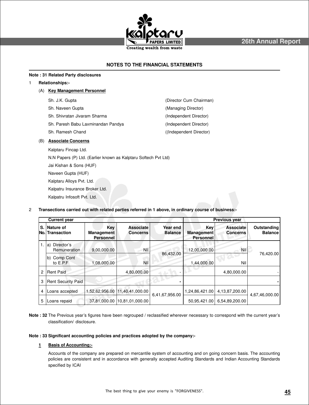

# **Note : 31 Related Party disclosures**

# 1 **Relationships:-**

## (A) **Key Management Personnel**

Sh. J.K. Gupta (Director Cum Chairman) Sh. Naveen Gupta (Managing Director) Sh. Shivratan Jivaram Sharma (Independent Director) Sh. Paresh Babu Laxminandan Pandya (Independent Director) Sh. Ramesh Chand ((Independent Director) (B) **Associate Concerns** Kalptaru Fincap Ltd. N.N Papers (P) Ltd. (Earlier known as Kalptaru Softech Pvt Ltd) Jai Kishan & Sons (HUF)

Naveen Gupta (HUF)

Kalptaru Alloys Pvt. Ltd.

Kalpatru Insurance Broker Ltd.

Kalpatru Infosoft Pvt. Ltd.

2 **Transections carried out with related parties referred in 1 above, in ordinary course of business:-**

| <b>Current year</b> |                                  |                                              |                                     | <b>Previous year</b>       |                                              |                                     |                               |
|---------------------|----------------------------------|----------------------------------------------|-------------------------------------|----------------------------|----------------------------------------------|-------------------------------------|-------------------------------|
| S.                  | Nature of<br>No. Transaction     | Key<br><b>Management</b><br><b>Personnel</b> | <b>Associate</b><br><b>Concerns</b> | Year end<br><b>Balance</b> | Key<br><b>Management</b><br><b>Personnel</b> | <b>Associate</b><br><b>Concerns</b> | Outstanding<br><b>Balance</b> |
| 1.                  | Director's<br>a)<br>Remuneration | 9,00,000.00                                  | Nil                                 |                            | 12,00,000.00                                 | Nil                                 | 76,420.00                     |
|                     | b) Comp Cont<br>to E.P.F         | 1,08,000.00                                  | Nil                                 | 86,432.00                  | 1,44,000.00                                  | Nil                                 |                               |
| $\overline{2}$      | <b>Rent Paid</b>                 |                                              | 4,80,000.00                         |                            |                                              | 4,80,000.00                         |                               |
| 3                   | <b>Rent Security Paid</b>        |                                              |                                     |                            |                                              |                                     |                               |
| 4                   | Loans accepted                   |                                              | 1,52,62,956.00 11,40,41,000.00      | 6,41,67,956.00             | 1,24,86,421.00                               | 4,13,87,200.00                      | 4,67,46,000.00                |
| 5                   | Loans repaid                     | 37,81,000.00                                 | 10,81,01,000.00                     |                            | 50,95,421.00                                 | 6,54,89,200.00                      |                               |

**Note : 32** The Previous year's figures have been regrouped / reclassified wherever necessary to correspond with the current year's classification/ disclosure.

#### **Note : 33 Significant accounting policies and practices adopted by the company:-**

#### **1 Basis of Accounting:-**

Accounts of the company are prepared on mercantile system of accounting and on going concern basis. The accounting policies are consistent and in accordance with generally accepted Auditing Standards and Indian Accounting Standards specified by ICAI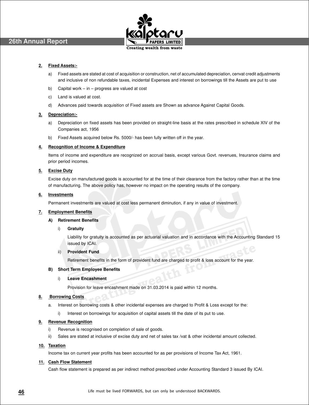

#### **2. Fixed Assets:-**

- a) Fixed assets are stated at cost of acquisition or construction, net of accumulated depreciation, cenvat credit adjustments and inclusive of non refundable taxes, incidental Expenses and interest on borrowings till the Assets are put to use
- b) Capital work in progress are valued at cost
- c) Land is valued at cost.
- d) Advances paid towards acquisition of Fixed assets are Shown as advance Against Capital Goods.

#### **3. Depreciation:-**

- a) Depreciation on fixed assets has been provided on straight-line basis at the rates prescribed in schedule XIV of the Companies act, 1956
- b) Fixed Assets acquired below Rs. 5000/- has been fully written off in the year.

#### **4. Recognition of Income & Expenditure**

Items of income and expenditure are recognized on accrual basis, except various Govt. revenues, Insurance claims and prior period incomes.

#### **5. Excise Duty**

Excise duty on manufactured goods is accounted for at the time of their clearance from the factory rather than at the time of manufacturing. The above policy has, however no impact on the operating results of the company.

#### **6. Investments**

Permanent investments are valued at cost less permanent diminution, if any in value of investment.

#### **7. Employment Benefits**

#### **A) Retirement Benefits**

i) **Gratuity**

Liability for gratuity is accounted as per actuarial valuation and in accordance with the Accounting Standard 15 issued by ICAI.

#### ii) **Provident Fund**

Retirement benefits in the form of provident fund are charged to profit & loss account for the year.

#### **B) Short Term Employee Benefits**

#### i) **Leave Encashment**

Provision for leave encashment made on 31.03.2014 is paid within 12 months.

#### **8. Borrowing Costs**

- a. Interest on borrowing costs & other incidental expenses are charged to Profit & Loss except for the:
	- i) Interest on borrowings for acquisition of capital assets till the date of its put to use.

#### **9. Revenue Recognition**

- i) Revenue is recognised on completion of sale of goods.
- ii) Sales are stated at inclusive of excise duty and net of sales tax /vat & other incidental amount collected.

#### **10. Taxation**

Income tax on current year profits has been accounted for as per provisions of Income Tax Act, 1961.

#### **11. Cash Flow Statement**

Cash flow statement is prepared as per indirect method prescribed under Accounting Standard 3 issued By ICAI.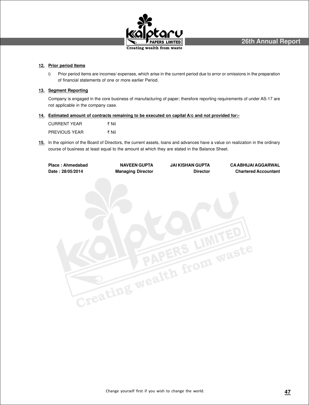

#### **12. Prior period Items**

i) Prior period items are incomes/ expenses, which arise in the current period due to error or omissions in the preparation of financial statements of one or more earlier Period.

#### **13. Segment Reporting**

Company is engaged in the core business of manufacturing of paper; therefore reporting requirements of under AS-17 are not applicable in the company case.

#### **14. Estimated amount of contracts remaining to be executed on capital A/c and not provided for:-**

| <b>CURRENT YEAR</b> | ₹ Nil |
|---------------------|-------|
| PREVIOUS YEAR       | ₹ Nil |

**15.** In the opinion of the Board of Directors, the current assets, loans and advances have a value on realization in the ordinary course of business at least equal to the amount at which they are stated in the Balance Sheet.

| Place: Ahmedabad<br>Date: 28/05/2014 | <b>NAVEEN GUPTA</b><br><b>Managing Director</b> | <b>JAI KISHAN GUPTA</b><br><b>Director</b> | <b>CA ABHIJAI AGGARWAL</b><br><b>Chartered Accountant</b> |
|--------------------------------------|-------------------------------------------------|--------------------------------------------|-----------------------------------------------------------|
|                                      |                                                 |                                            |                                                           |
|                                      |                                                 |                                            |                                                           |
|                                      |                                                 |                                            |                                                           |
|                                      |                                                 | from waste                                 |                                                           |
|                                      | wealth<br>$\sigma$<br>eatin!                    |                                            |                                                           |
|                                      |                                                 |                                            |                                                           |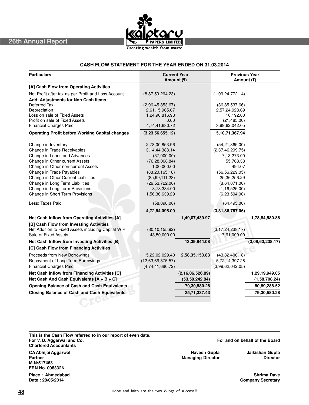

# **CASH FLOW STATEMENT FOR THE YEAR ENDED ON 31.03.2014**

| <b>Particulars</b>                                     | <b>Current Year</b><br>Amount (₹) |                     | <b>Previous Year</b><br>Amount (₹) |                  |
|--------------------------------------------------------|-----------------------------------|---------------------|------------------------------------|------------------|
| [A] Cash Flow from Operating Activities                |                                   |                     |                                    |                  |
| Net Profit after tax as per Profit and Loss Account    | (8,87,59,264.23)                  |                     | (1,09,24,772.14)                   |                  |
| Add: Adjustments for Non Cash Items                    |                                   |                     |                                    |                  |
| Deferred Tax                                           | (2,96,45,853.67)                  |                     | (36, 85, 537.66)                   |                  |
| Depreciation                                           | 2,61,15,965.07                    |                     | 2,57,24,928.69                     |                  |
| Loss on sale of Fixed Assets                           | 1,24,90,816.98                    |                     | 16,192.00                          |                  |
| Profit on sale of Fixed Assets                         | 0.00                              |                     | (21, 485.00)                       |                  |
| <b>Financial Charges Paid</b>                          | 4,74,41,680.72                    |                     | 3,99,62,042.05                     |                  |
| <b>Operating Profit before Working Capital changes</b> | (3,23,56,655.12)                  |                     | 5, 10, 71, 367. 94                 |                  |
| Change in Inventory                                    | 2,78,00,853.96                    |                     | (54, 21, 365.00)                   |                  |
| Change in Trade Receivables                            | 3,14,44,383.14                    |                     | (2,37,46,299.75)                   |                  |
| Change in Loans and Advances                           | (37,000.00)                       |                     | 7,13,273.00                        |                  |
| Change in Other current Assets                         | (76, 28, 068.84)                  |                     | 55,768.38                          |                  |
| Change in Other non-current Assets                     | 1,00,000.00                       |                     | 494.07                             |                  |
| Change in Trade Payables                               | (88, 20, 165.18)                  |                     | (56, 56, 229.05)                   |                  |
| Change in Other Current Liabilities                    | (85,99,111.28)                    |                     | 25,36,256.29                       |                  |
| Change in Long Term Liabilities                        | (29,53,722.00)                    |                     | (8,64,071.00)                      |                  |
| Change in Long Term Provisions                         | 3,78,384.00                       |                     | (1, 16, 525.00)                    |                  |
| Change in Short Term Provisions                        | 1,56,36,639.29                    |                     | (6, 23, 594.00)                    |                  |
| Less: Taxes Paid                                       | (58,098.00)                       |                     | (64, 495.00)                       |                  |
|                                                        | 4,72,64,095.09                    |                     | (3,31,86,787.06)                   |                  |
| Net Cash Inflow from Operating Activities [A]          |                                   | 1,49,07,439.97      |                                    | 1,78,84,580.88   |
| [B] Cash Flow from Investing Activities                |                                   |                     |                                    |                  |
| Net Addition to Fixed Assets including Capital WIP     | (30, 10, 155.92)                  |                     | (3, 17, 24, 238.17)                |                  |
| Sale of Fixed Assets                                   | 43,50,000.00                      |                     | 7,61,000.00                        |                  |
| Net Cash Inflow from Investing Activities [B]          |                                   | 13,39,844.08        |                                    | (3,09,63,238.17) |
| [C] Cash Flow from Financing Activities                |                                   |                     |                                    |                  |
| Proceeds from New Borrowings                           | 15,22,02,029.40                   | 2,58,35,153.83      | (43, 32, 406.18)                   |                  |
| Repayment of Long Term Borrowings                      | (12,63,66,875.57)                 |                     | 5,72,14,397.28                     |                  |
| <b>Financial Charges Paid</b>                          | (4,74,41,680.72)                  |                     | (3,99,62,042.05)                   |                  |
| Net Cash Inflow from Financing Activities [C]          |                                   | (2, 16, 06, 526.89) |                                    | 1,29,19,949.05   |
| Net Cash And Cash Equivalents $[A + B + C]$            |                                   | (53, 59, 242.84)    |                                    | (1,58,708.24)    |
| Opening Balance of Cash and Cash Equivalents           |                                   | 79,30,580.28        |                                    | 80,89,288.52     |
| <b>Closing Balance of Cash and Cash Equivalents</b>    |                                   | 25,71,337.43        |                                    | 79,30,580.28     |
|                                                        |                                   |                     |                                    |                  |

**This is the Cash Flow referred to in our report of even date. Chartered Accountants CA Abhijai Aggarwal Naveen Gupta Jaikishan Gupta**

**M.N:517463 FRN No. 008332N**

**Place : Ahmedabad Shrima Dave**

For and on behalf of the Board

**Managing Director** 

**Company Secretary**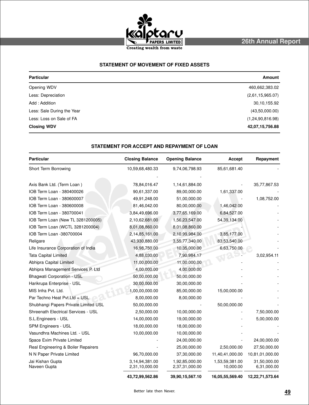

# **STATEMENT OF MOVEMENT OF FIXED ASSETS**

| <b>Particular</b>          | Amount              |
|----------------------------|---------------------|
| Opening WDV                | 460,662,383.02      |
| Less: Depreciation         | (2,61,15,965.07)    |
| Add: Addition              | 30,10,155.92        |
| Less: Sale During the Year | (43,50,000.00)      |
| Less: Loss on Sale of FA   | (1, 24, 90, 816.98) |
| <b>Closing WDV</b>         | 42,07,15,756.88     |

# **STATEMENT FOR ACCEPT AND REPAYMENT OF LOAN**

| <b>Particular</b>                    | <b>Closing Balance</b> | <b>Opening Balance</b> | Accept          | Repayment       |
|--------------------------------------|------------------------|------------------------|-----------------|-----------------|
| Short Term Borrowing                 | 10,59,68,480.33        | 9,74,06,798.93         | 85,61,681.40    |                 |
|                                      |                        |                        |                 |                 |
| Axis Bank Ltd. (Term Loan)           | 78,84,016.47           | 1,14,61,884.00         |                 | 35,77,867.53    |
| IOB Term Loan - 380400026            | 90,61,337.00           | 89,00,000.00           | 1,61,337.00     |                 |
| IOB Term Loan - 380600007            | 49,91,248.00           | 51,00,000.00           |                 | 1,08,752.00     |
| IOB Term Loan - 380600008            | 81,46,042.00           | 80,00,000.00           | 1,46,042.00     |                 |
| IOB Term Loan - 380700041            | 3,84,49,696.00         | 3,77,65,169.00         | 6,84,527.00     |                 |
| IOB Term Loan (New TL 3281200005)    | 2,10,62,681.00         | 1,56,23,547.00         | 54,39,134.00    |                 |
| IOB Term Loan (WCTL 3281200004)      | 8,01,08,860.00         | 8,01,08,860.00         |                 |                 |
| IOB Term Loan -380700004             | 2,14,85,161.00         | 2,10,99,984.00         | 3,85,177.00     |                 |
| Religare                             | 43,930,880.00          | 3,55,77,340.00         | 83,53,540.00    |                 |
| Life Insurance Corporation of India  | 16,98,750.00           | 10,35,000.00           | 6,63,750.00     |                 |
| <b>Tata Capital Limited</b>          | 4,88,030.00            | 7,90,984.17            |                 | 3,02,954.11     |
| Abhipra Capital Limited              | 11,00,000.00           | 11,00,000.00           |                 |                 |
| Abhipra Management Services P. Ltd   | 4,00,000.00            | 4,00,000.00            |                 |                 |
| <b>Bhagwati Corporation - USL</b>    | 50,00,000.00           | 50,00,000.00           |                 |                 |
| Harikrupa Enterprise - USL           | 30,00,000.00           | 30,00,000.00           |                 |                 |
| MIS Infra Pvt. Ltd.                  | 1,00,00,000.00         | 85,00,000.00           | 15,00,000.00    |                 |
| Par Techno Heat Pvt.Ltd = USL        | 8,00,000.00            | 8,00,000.00            |                 |                 |
| Shubhangi Papers Private Limited USL | 50,00,000.00           |                        | 50,00,000.00    |                 |
| Shreenath Electrical Services - USL  | 2,50,000.00            | 10,00,000.00           |                 | 7,50,000.00     |
| S.L.Engineers - USL                  | 14,00,000.00           | 19,00,000.00           |                 | 5,00,000.00     |
| SPM Engineers - USL                  | 18,00,000.00           | 18,00,000.00           |                 |                 |
| Vasundhra Machines Ltd. - USL        | 10,00,000.00           | 10,00,000.00           |                 |                 |
| Space Exim Private Limited           |                        | 24,00,000.00           |                 | 24,00,000.00    |
| Real Engineering & Boiler Repairers  |                        | 25,00,000.00           | 2,50,000.00     | 27,50,000.00    |
| N N Paper Private Limited            | 96,70,000.00           | 37,30,000.00           | 11,40,41,000.00 | 10,81,01,000.00 |
| Jai Kishan Gupta                     | 3,14,94,381.00         | 1,92,85,000.00         | 1,53,59,381.00  | 31,50,000.00    |
| Naveen Gupta                         | 2,31,10,000.00         | 2,37,31,000.00         | 10,000.00       | 6,31,000.00     |
|                                      | 43,72,99,562.86        | 39,90,15,567.10        | 16,05,55,569.40 | 12,22,71,573.64 |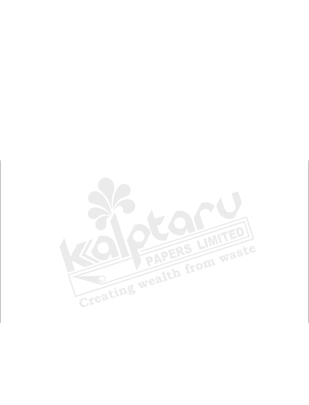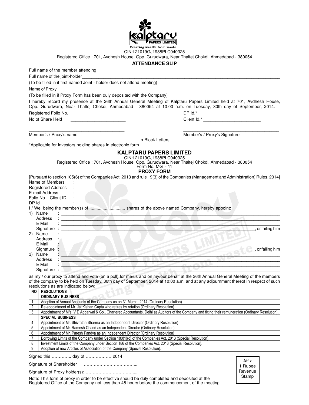

Registered Office : 701, Avdhesh House, Opp. Gurudwara, Near Thaltej Chokdi, Ahmedabad - 380054

**ATTENDANCE SLIP**

|              | Full name of the member attending                                                                                                                                                                                                                                                                                                                                                                                                                                                                                |                                                                           |
|--------------|------------------------------------------------------------------------------------------------------------------------------------------------------------------------------------------------------------------------------------------------------------------------------------------------------------------------------------------------------------------------------------------------------------------------------------------------------------------------------------------------------------------|---------------------------------------------------------------------------|
|              | Full name of the joint-holder_                                                                                                                                                                                                                                                                                                                                                                                                                                                                                   |                                                                           |
|              | (To be filled in if first named Joint - holder does not attend meeting)                                                                                                                                                                                                                                                                                                                                                                                                                                          |                                                                           |
|              | Name of Proxy                                                                                                                                                                                                                                                                                                                                                                                                                                                                                                    |                                                                           |
|              | (To be filled in if Proxy Form has been duly deposited with the Company)                                                                                                                                                                                                                                                                                                                                                                                                                                         |                                                                           |
|              | I hereby record my presence at the 26th Annual General Meeting of Kalptaru Papers Limited held at 701, Avdhesh House,<br>Opp. Gurudwara, Near Thaltej Chokdi, Ahmedabad - 380054 at 10:00 a.m. on Tuesday, 30th day of September, 2014.                                                                                                                                                                                                                                                                          | DP Id.*                                                                   |
|              | No of Share Held                                                                                                                                                                                                                                                                                                                                                                                                                                                                                                 |                                                                           |
|              | Member's / Proxy's name<br>In Block Letters                                                                                                                                                                                                                                                                                                                                                                                                                                                                      | Member's / Proxy's Signature                                              |
|              | *Applicable for investors holding shares in electronic form                                                                                                                                                                                                                                                                                                                                                                                                                                                      |                                                                           |
|              | CIN:L21019GJ1988PLC040325<br>Registered Office: 701, Avdhesh House, Opp. Gurudwara, Near Thaltej Chokdi, Ahmedabad - 380054<br>Form No. MGT-11<br><b>PROXY FORM</b><br>[Pursuant to section 105(6) of the Companies Act, 2013 and rule 19(3) of the Companies (Management and Administration) Rules, 2014]                                                                                                                                                                                                       |                                                                           |
| DP Id        | Name of Members<br><b>Registered Address</b><br>E-mail Address<br>Folio No.   Client ID<br>1) Name                                                                                                                                                                                                                                                                                                                                                                                                               |                                                                           |
|              | Address<br><u> Andrew Maria (1989)</u><br>E Mail<br><u> The Community of the Community of the Community of the Community of the Community of the Community of the Community of the Community of the Community of the Community of the Community of the Community of the Community of</u>                                                                                                                                                                                                                         |                                                                           |
| 2) Name      | Signature :<br><u> The Community of the Community of the Community of the Community of the Community of the Community of the Community of the Community of the Community of the Community of the Community of the Community of the Community of</u><br>Address<br>E Mail<br><u> The Communication of the Communication of the Communication of the Communication of the Communication of the Communication of the Communication of the Communication of the Communication of the Communication of the Commun</u> | $\Box$ , or failing him<br><b>TALL</b><br>$\mathcal{L}$ and $\mathcal{L}$ |
| 3) Name      | Signature :<br><b>AND NY</b><br><u>and and the second property of the second property of the second property of the second property of the second property of the second property of the second property of the second property of the second property of the se</u><br>Address<br>۰.<br>E Mail                                                                                                                                                                                                                  | $\sim$ or failing him                                                     |
|              | Signature :                                                                                                                                                                                                                                                                                                                                                                                                                                                                                                      |                                                                           |
| NO I         | as my / our proxy to attend and vote (on a poll) for me/us and on my/our behalf at the 26th Annual General Meeting of the members<br>of the company to be held on Tuesday, 30th day of September, 2014 at 10:00 a.m. and at any adjournment thereof in respect of such<br>resolutions as are indicated below:<br><b>RESOLUTIONS</b>                                                                                                                                                                              |                                                                           |
| 1            | <b>ORDINARY BUSINESS</b><br>Adoption of Annual Accounts of the Company as on 31 March, 2014 (Ordinary Resolution).                                                                                                                                                                                                                                                                                                                                                                                               |                                                                           |
| $\mathbf{2}$ | Re-appointment of Mr. Jai Kishan Gupta who retires by rotation (Ordinary Resolution).                                                                                                                                                                                                                                                                                                                                                                                                                            |                                                                           |
| 3            | Appointment of M/s. V D Aggarwal & Co., Chartered Accountants, Delhi as Auditors of the Company and fixing their remuneration (Ordinary Resolution).                                                                                                                                                                                                                                                                                                                                                             |                                                                           |
|              | <b>SPECIAL BUSINESS</b>                                                                                                                                                                                                                                                                                                                                                                                                                                                                                          |                                                                           |
| 4            | Appointment of Mr. Shivratan Sharma as an Independent Director (Ordinary Resolution)                                                                                                                                                                                                                                                                                                                                                                                                                             |                                                                           |

5 Appointment of Mr. Ramesh Chand as an Independent Director (Ordinary Resolution)

6 Appointment of Mr. Paresh Pandya as an Independent Director (Ordinary Resolution)

7 | Borrowing Limits of the Company under Section 180(1)(c) of the Companies Act, 2013 (Special Resolution).

8 Investment Limits of the Company under Section 186 of the Companies Act, 2013 (Special Resolution).<br>9 Adoption of new Articles of Association of the Company (Special Resolution). Adoption of new Articles of Association of the Company (Special Resolution).

Signed this ………….. day of ……………… 2014

Signature of Shareholder ………………………………...

Signature of Proxy holder(s): ……………………………....

Note: This form of proxy in order to be effective should be duly completed and deposited at the Registered Office of the Company not less than 48 hours before the commencement of the meeting.